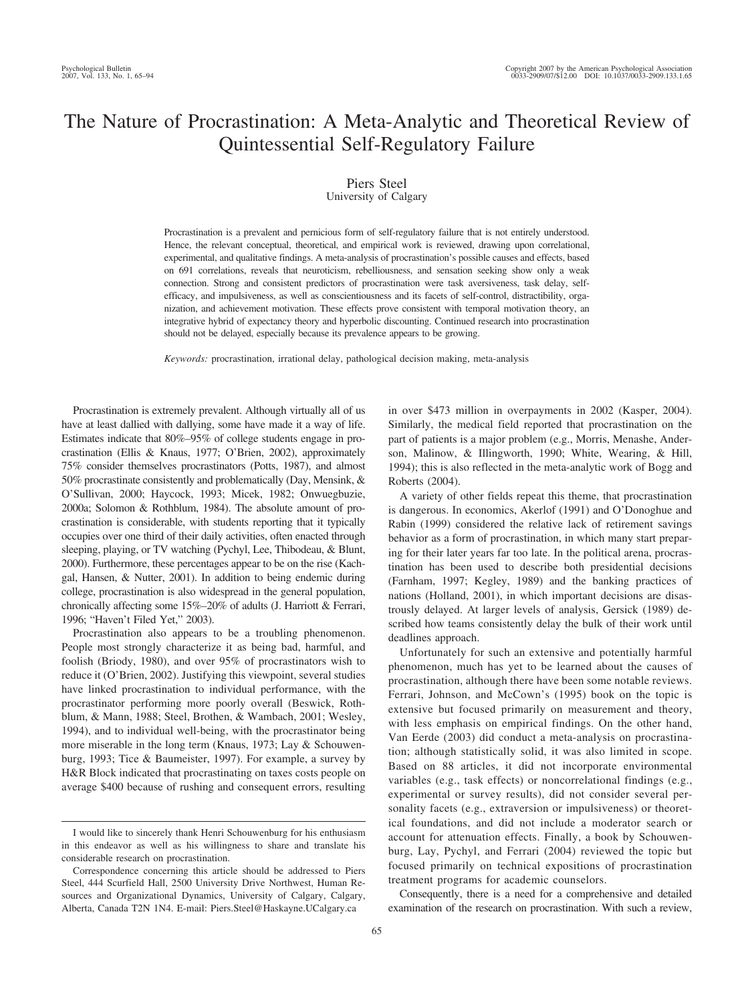# The Nature of Procrastination: A Meta-Analytic and Theoretical Review of Quintessential Self-Regulatory Failure

# Piers Steel

University of Calgary

Procrastination is a prevalent and pernicious form of self-regulatory failure that is not entirely understood. Hence, the relevant conceptual, theoretical, and empirical work is reviewed, drawing upon correlational, experimental, and qualitative findings. A meta-analysis of procrastination's possible causes and effects, based on 691 correlations, reveals that neuroticism, rebelliousness, and sensation seeking show only a weak connection. Strong and consistent predictors of procrastination were task aversiveness, task delay, selfefficacy, and impulsiveness, as well as conscientiousness and its facets of self-control, distractibility, organization, and achievement motivation. These effects prove consistent with temporal motivation theory, an integrative hybrid of expectancy theory and hyperbolic discounting. Continued research into procrastination should not be delayed, especially because its prevalence appears to be growing.

*Keywords:* procrastination, irrational delay, pathological decision making, meta-analysis

Procrastination is extremely prevalent. Although virtually all of us have at least dallied with dallying, some have made it a way of life. Estimates indicate that 80%–95% of college students engage in procrastination (Ellis & Knaus, 1977; O'Brien, 2002), approximately 75% consider themselves procrastinators (Potts, 1987), and almost 50% procrastinate consistently and problematically (Day, Mensink, & O'Sullivan, 2000; Haycock, 1993; Micek, 1982; Onwuegbuzie, 2000a; Solomon & Rothblum, 1984). The absolute amount of procrastination is considerable, with students reporting that it typically occupies over one third of their daily activities, often enacted through sleeping, playing, or TV watching (Pychyl, Lee, Thibodeau, & Blunt, 2000). Furthermore, these percentages appear to be on the rise (Kachgal, Hansen, & Nutter, 2001). In addition to being endemic during college, procrastination is also widespread in the general population, chronically affecting some 15%–20% of adults (J. Harriott & Ferrari, 1996; "Haven't Filed Yet," 2003).

Procrastination also appears to be a troubling phenomenon. People most strongly characterize it as being bad, harmful, and foolish (Briody, 1980), and over 95% of procrastinators wish to reduce it (O'Brien, 2002). Justifying this viewpoint, several studies have linked procrastination to individual performance, with the procrastinator performing more poorly overall (Beswick, Rothblum, & Mann, 1988; Steel, Brothen, & Wambach, 2001; Wesley, 1994), and to individual well-being, with the procrastinator being more miserable in the long term (Knaus, 1973; Lay & Schouwenburg, 1993; Tice & Baumeister, 1997). For example, a survey by H&R Block indicated that procrastinating on taxes costs people on average \$400 because of rushing and consequent errors, resulting in over \$473 million in overpayments in 2002 (Kasper, 2004). Similarly, the medical field reported that procrastination on the part of patients is a major problem (e.g., Morris, Menashe, Anderson, Malinow, & Illingworth, 1990; White, Wearing, & Hill, 1994); this is also reflected in the meta-analytic work of Bogg and Roberts (2004).

A variety of other fields repeat this theme, that procrastination is dangerous. In economics, Akerlof (1991) and O'Donoghue and Rabin (1999) considered the relative lack of retirement savings behavior as a form of procrastination, in which many start preparing for their later years far too late. In the political arena, procrastination has been used to describe both presidential decisions (Farnham, 1997; Kegley, 1989) and the banking practices of nations (Holland, 2001), in which important decisions are disastrously delayed. At larger levels of analysis, Gersick (1989) described how teams consistently delay the bulk of their work until deadlines approach.

Unfortunately for such an extensive and potentially harmful phenomenon, much has yet to be learned about the causes of procrastination, although there have been some notable reviews. Ferrari, Johnson, and McCown's (1995) book on the topic is extensive but focused primarily on measurement and theory, with less emphasis on empirical findings. On the other hand, Van Eerde (2003) did conduct a meta-analysis on procrastination; although statistically solid, it was also limited in scope. Based on 88 articles, it did not incorporate environmental variables (e.g., task effects) or noncorrelational findings (e.g., experimental or survey results), did not consider several personality facets (e.g., extraversion or impulsiveness) or theoretical foundations, and did not include a moderator search or account for attenuation effects. Finally, a book by Schouwenburg, Lay, Pychyl, and Ferrari (2004) reviewed the topic but focused primarily on technical expositions of procrastination treatment programs for academic counselors.

Consequently, there is a need for a comprehensive and detailed examination of the research on procrastination. With such a review,

I would like to sincerely thank Henri Schouwenburg for his enthusiasm in this endeavor as well as his willingness to share and translate his considerable research on procrastination.

Correspondence concerning this article should be addressed to Piers Steel, 444 Scurfield Hall, 2500 University Drive Northwest, Human Resources and Organizational Dynamics, University of Calgary, Calgary, Alberta, Canada T2N 1N4. E-mail: Piers.Steel@Haskayne.UCalgary.ca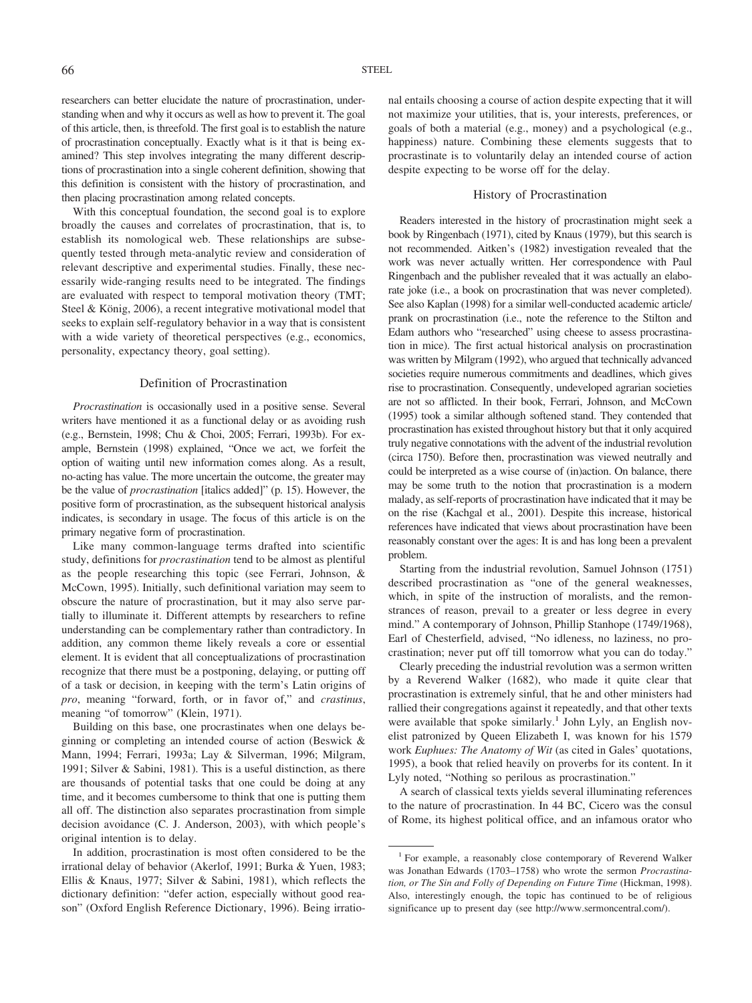researchers can better elucidate the nature of procrastination, understanding when and why it occurs as well as how to prevent it. The goal of this article, then, is threefold. The first goal is to establish the nature of procrastination conceptually. Exactly what is it that is being examined? This step involves integrating the many different descriptions of procrastination into a single coherent definition, showing that this definition is consistent with the history of procrastination, and then placing procrastination among related concepts.

With this conceptual foundation, the second goal is to explore broadly the causes and correlates of procrastination, that is, to establish its nomological web. These relationships are subsequently tested through meta-analytic review and consideration of relevant descriptive and experimental studies. Finally, these necessarily wide-ranging results need to be integrated. The findings are evaluated with respect to temporal motivation theory (TMT; Steel & König,  $2006$ ), a recent integrative motivational model that seeks to explain self-regulatory behavior in a way that is consistent with a wide variety of theoretical perspectives (e.g., economics, personality, expectancy theory, goal setting).

# Definition of Procrastination

*Procrastination* is occasionally used in a positive sense. Several writers have mentioned it as a functional delay or as avoiding rush (e.g., Bernstein, 1998; Chu & Choi, 2005; Ferrari, 1993b). For example, Bernstein (1998) explained, "Once we act, we forfeit the option of waiting until new information comes along. As a result, no-acting has value. The more uncertain the outcome, the greater may be the value of *procrastination* [italics added]" (p. 15). However, the positive form of procrastination, as the subsequent historical analysis indicates, is secondary in usage. The focus of this article is on the primary negative form of procrastination.

Like many common-language terms drafted into scientific study, definitions for *procrastination* tend to be almost as plentiful as the people researching this topic (see Ferrari, Johnson, & McCown, 1995). Initially, such definitional variation may seem to obscure the nature of procrastination, but it may also serve partially to illuminate it. Different attempts by researchers to refine understanding can be complementary rather than contradictory. In addition, any common theme likely reveals a core or essential element. It is evident that all conceptualizations of procrastination recognize that there must be a postponing, delaying, or putting off of a task or decision, in keeping with the term's Latin origins of *pro*, meaning "forward, forth, or in favor of," and *crastinus*, meaning "of tomorrow" (Klein, 1971).

Building on this base, one procrastinates when one delays beginning or completing an intended course of action (Beswick & Mann, 1994; Ferrari, 1993a; Lay & Silverman, 1996; Milgram, 1991; Silver & Sabini, 1981). This is a useful distinction, as there are thousands of potential tasks that one could be doing at any time, and it becomes cumbersome to think that one is putting them all off. The distinction also separates procrastination from simple decision avoidance (C. J. Anderson, 2003), with which people's original intention is to delay.

In addition, procrastination is most often considered to be the irrational delay of behavior (Akerlof, 1991; Burka & Yuen, 1983; Ellis & Knaus, 1977; Silver & Sabini, 1981), which reflects the dictionary definition: "defer action, especially without good reason" (Oxford English Reference Dictionary, 1996). Being irrational entails choosing a course of action despite expecting that it will not maximize your utilities, that is, your interests, preferences, or goals of both a material (e.g., money) and a psychological (e.g., happiness) nature. Combining these elements suggests that to procrastinate is to voluntarily delay an intended course of action despite expecting to be worse off for the delay.

# History of Procrastination

Readers interested in the history of procrastination might seek a book by Ringenbach (1971), cited by Knaus (1979), but this search is not recommended. Aitken's (1982) investigation revealed that the work was never actually written. Her correspondence with Paul Ringenbach and the publisher revealed that it was actually an elaborate joke (i.e., a book on procrastination that was never completed). See also Kaplan (1998) for a similar well-conducted academic article/ prank on procrastination (i.e., note the reference to the Stilton and Edam authors who "researched" using cheese to assess procrastination in mice). The first actual historical analysis on procrastination was written by Milgram (1992), who argued that technically advanced societies require numerous commitments and deadlines, which gives rise to procrastination. Consequently, undeveloped agrarian societies are not so afflicted. In their book, Ferrari, Johnson, and McCown (1995) took a similar although softened stand. They contended that procrastination has existed throughout history but that it only acquired truly negative connotations with the advent of the industrial revolution (circa 1750). Before then, procrastination was viewed neutrally and could be interpreted as a wise course of (in)action. On balance, there may be some truth to the notion that procrastination is a modern malady, as self-reports of procrastination have indicated that it may be on the rise (Kachgal et al., 2001). Despite this increase, historical references have indicated that views about procrastination have been reasonably constant over the ages: It is and has long been a prevalent problem.

Starting from the industrial revolution, Samuel Johnson (1751) described procrastination as "one of the general weaknesses, which, in spite of the instruction of moralists, and the remonstrances of reason, prevail to a greater or less degree in every mind." A contemporary of Johnson, Phillip Stanhope (1749/1968), Earl of Chesterfield, advised, "No idleness, no laziness, no procrastination; never put off till tomorrow what you can do today."

Clearly preceding the industrial revolution was a sermon written by a Reverend Walker (1682), who made it quite clear that procrastination is extremely sinful, that he and other ministers had rallied their congregations against it repeatedly, and that other texts were available that spoke similarly.<sup>1</sup> John Lyly, an English novelist patronized by Queen Elizabeth I, was known for his 1579 work *Euphues: The Anatomy of Wit* (as cited in Gales' quotations, 1995), a book that relied heavily on proverbs for its content. In it Lyly noted, "Nothing so perilous as procrastination."

A search of classical texts yields several illuminating references to the nature of procrastination. In 44 BC, Cicero was the consul of Rome, its highest political office, and an infamous orator who

<sup>1</sup> For example, a reasonably close contemporary of Reverend Walker was Jonathan Edwards (1703–1758) who wrote the sermon *Procrastination, or The Sin and Folly of Depending on Future Time* (Hickman, 1998). Also, interestingly enough, the topic has continued to be of religious significance up to present day (see http://www.sermoncentral.com/).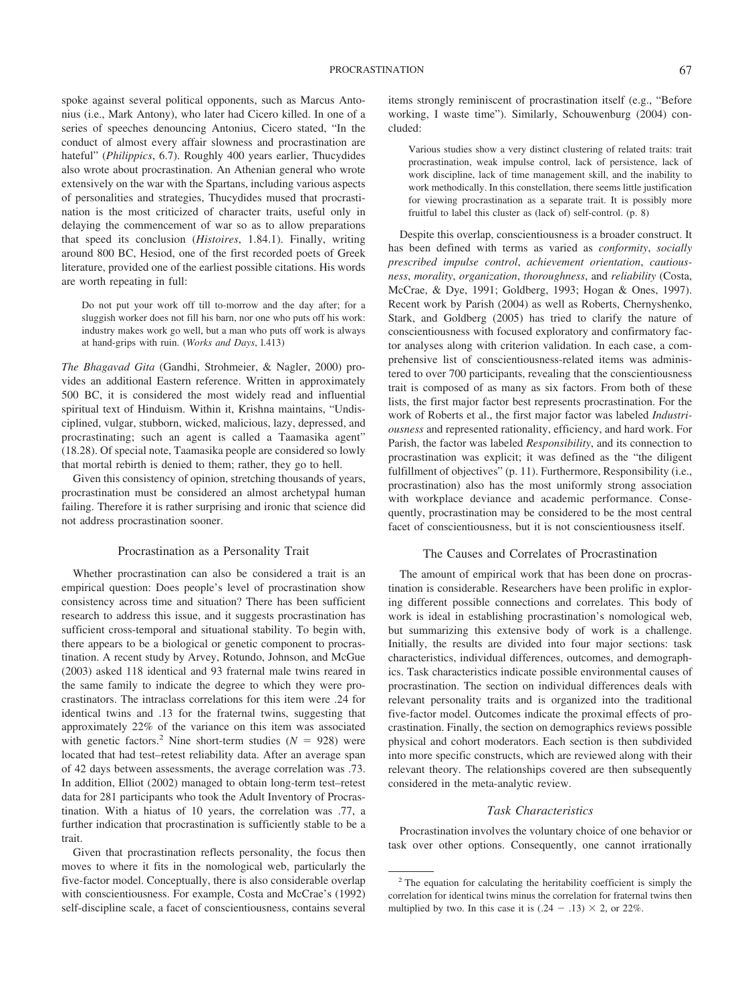spoke against several political opponents, such as Marcus Antonius (i.e., Mark Antony), who later had Cicero killed. In one of a series of speeches denouncing Antonius, Cicero stated, "In the conduct of almost every affair slowness and procrastination are hateful" (*Philippics*, 6.7). Roughly 400 years earlier, Thucydides also wrote about procrastination. An Athenian general who wrote extensively on the war with the Spartans, including various aspects of personalities and strategies, Thucydides mused that procrastination is the most criticized of character traits, useful only in delaying the commencement of war so as to allow preparations that speed its conclusion (*Histoires*, 1.84.1). Finally, writing around 800 BC, Hesiod, one of the first recorded poets of Greek literature, provided one of the earliest possible citations. His words are worth repeating in full:

Do not put your work off till to-morrow and the day after; for a sluggish worker does not fill his barn, nor one who puts off his work: industry makes work go well, but a man who puts off work is always at hand-grips with ruin. (*Works and Days*, l.413)

*The Bhagavad Gita* (Gandhi, Strohmeier, & Nagler, 2000) provides an additional Eastern reference. Written in approximately 500 BC, it is considered the most widely read and influential spiritual text of Hinduism. Within it, Krishna maintains, "Undisciplined, vulgar, stubborn, wicked, malicious, lazy, depressed, and procrastinating; such an agent is called a Taamasika agent" (18.28). Of special note, Taamasika people are considered so lowly that mortal rebirth is denied to them; rather, they go to hell.

Given this consistency of opinion, stretching thousands of years, procrastination must be considered an almost archetypal human failing. Therefore it is rather surprising and ironic that science did not address procrastination sooner.

# Procrastination as a Personality Trait

Whether procrastination can also be considered a trait is an empirical question: Does people's level of procrastination show consistency across time and situation? There has been sufficient research to address this issue, and it suggests procrastination has sufficient cross-temporal and situational stability. To begin with, there appears to be a biological or genetic component to procrastination. A recent study by Arvey, Rotundo, Johnson, and McGue (2003) asked 118 identical and 93 fraternal male twins reared in the same family to indicate the degree to which they were procrastinators. The intraclass correlations for this item were .24 for identical twins and .13 for the fraternal twins, suggesting that approximately 22% of the variance on this item was associated with genetic factors.<sup>2</sup> Nine short-term studies ( $N = 928$ ) were located that had test–retest reliability data. After an average span of 42 days between assessments, the average correlation was .73. In addition, Elliot (2002) managed to obtain long-term test–retest data for 281 participants who took the Adult Inventory of Procrastination. With a hiatus of 10 years, the correlation was .77, a further indication that procrastination is sufficiently stable to be a trait.

Given that procrastination reflects personality, the focus then moves to where it fits in the nomological web, particularly the five-factor model. Conceptually, there is also considerable overlap with conscientiousness. For example, Costa and McCrae's (1992) self-discipline scale, a facet of conscientiousness, contains several items strongly reminiscent of procrastination itself (e.g., "Before working, I waste time"). Similarly, Schouwenburg (2004) concluded:

Various studies show a very distinct clustering of related traits: trait procrastination, weak impulse control, lack of persistence, lack of work discipline, lack of time management skill, and the inability to work methodically. In this constellation, there seems little justification for viewing procrastination as a separate trait. It is possibly more fruitful to label this cluster as (lack of) self-control. (p. 8)

Despite this overlap, conscientiousness is a broader construct. It has been defined with terms as varied as *conformity*, *socially prescribed impulse control*, *achievement orientation*, *cautiousness*, *morality*, *organization*, *thoroughness*, and *reliability* (Costa, McCrae, & Dye, 1991; Goldberg, 1993; Hogan & Ones, 1997). Recent work by Parish (2004) as well as Roberts, Chernyshenko, Stark, and Goldberg (2005) has tried to clarify the nature of conscientiousness with focused exploratory and confirmatory factor analyses along with criterion validation. In each case, a comprehensive list of conscientiousness-related items was administered to over 700 participants, revealing that the conscientiousness trait is composed of as many as six factors. From both of these lists, the first major factor best represents procrastination. For the work of Roberts et al., the first major factor was labeled *Industriousness* and represented rationality, efficiency, and hard work. For Parish, the factor was labeled *Responsibility*, and its connection to procrastination was explicit; it was defined as the "the diligent fulfillment of objectives" (p. 11). Furthermore, Responsibility (i.e., procrastination) also has the most uniformly strong association with workplace deviance and academic performance. Consequently, procrastination may be considered to be the most central facet of conscientiousness, but it is not conscientiousness itself.

#### The Causes and Correlates of Procrastination

The amount of empirical work that has been done on procrastination is considerable. Researchers have been prolific in exploring different possible connections and correlates. This body of work is ideal in establishing procrastination's nomological web, but summarizing this extensive body of work is a challenge. Initially, the results are divided into four major sections: task characteristics, individual differences, outcomes, and demographics. Task characteristics indicate possible environmental causes of procrastination. The section on individual differences deals with relevant personality traits and is organized into the traditional five-factor model. Outcomes indicate the proximal effects of procrastination. Finally, the section on demographics reviews possible physical and cohort moderators. Each section is then subdivided into more specific constructs, which are reviewed along with their relevant theory. The relationships covered are then subsequently considered in the meta-analytic review.

#### *Task Characteristics*

Procrastination involves the voluntary choice of one behavior or task over other options. Consequently, one cannot irrationally

 $2$ <sup>2</sup> The equation for calculating the heritability coefficient is simply the correlation for identical twins minus the correlation for fraternal twins then multiplied by two. In this case it is  $(.24 - .13) \times 2$ , or 22%.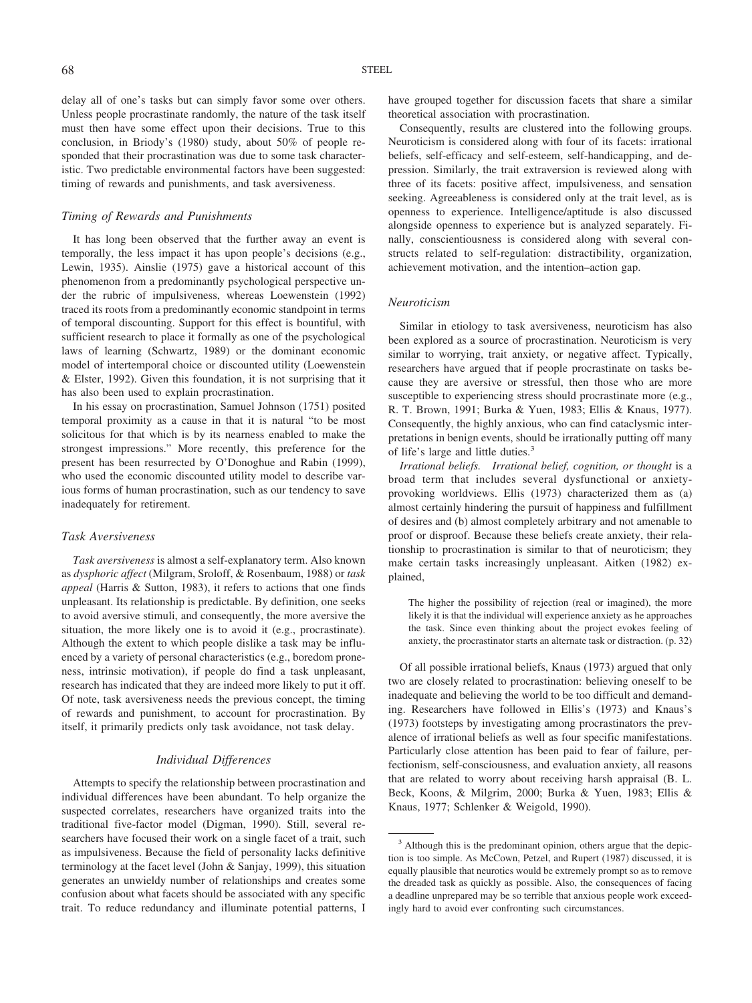#### *Timing of Rewards and Punishments*

It has long been observed that the further away an event is temporally, the less impact it has upon people's decisions (e.g., Lewin, 1935). Ainslie (1975) gave a historical account of this phenomenon from a predominantly psychological perspective under the rubric of impulsiveness, whereas Loewenstein (1992) traced its roots from a predominantly economic standpoint in terms of temporal discounting. Support for this effect is bountiful, with sufficient research to place it formally as one of the psychological laws of learning (Schwartz, 1989) or the dominant economic model of intertemporal choice or discounted utility (Loewenstein & Elster, 1992). Given this foundation, it is not surprising that it has also been used to explain procrastination.

In his essay on procrastination, Samuel Johnson (1751) posited temporal proximity as a cause in that it is natural "to be most solicitous for that which is by its nearness enabled to make the strongest impressions." More recently, this preference for the present has been resurrected by O'Donoghue and Rabin (1999), who used the economic discounted utility model to describe various forms of human procrastination, such as our tendency to save inadequately for retirement.

# *Task Aversiveness*

*Task aversiveness* is almost a self-explanatory term. Also known as *dysphoric affect* (Milgram, Sroloff, & Rosenbaum, 1988) or *task appeal* (Harris & Sutton, 1983), it refers to actions that one finds unpleasant. Its relationship is predictable. By definition, one seeks to avoid aversive stimuli, and consequently, the more aversive the situation, the more likely one is to avoid it (e.g., procrastinate). Although the extent to which people dislike a task may be influenced by a variety of personal characteristics (e.g., boredom proneness, intrinsic motivation), if people do find a task unpleasant, research has indicated that they are indeed more likely to put it off. Of note, task aversiveness needs the previous concept, the timing of rewards and punishment, to account for procrastination. By itself, it primarily predicts only task avoidance, not task delay.

# *Individual Differences*

Attempts to specify the relationship between procrastination and individual differences have been abundant. To help organize the suspected correlates, researchers have organized traits into the traditional five-factor model (Digman, 1990). Still, several researchers have focused their work on a single facet of a trait, such as impulsiveness. Because the field of personality lacks definitive terminology at the facet level (John & Sanjay, 1999), this situation generates an unwieldy number of relationships and creates some confusion about what facets should be associated with any specific trait. To reduce redundancy and illuminate potential patterns, I have grouped together for discussion facets that share a similar theoretical association with procrastination.

Consequently, results are clustered into the following groups. Neuroticism is considered along with four of its facets: irrational beliefs, self-efficacy and self-esteem, self-handicapping, and depression. Similarly, the trait extraversion is reviewed along with three of its facets: positive affect, impulsiveness, and sensation seeking. Agreeableness is considered only at the trait level, as is openness to experience. Intelligence/aptitude is also discussed alongside openness to experience but is analyzed separately. Finally, conscientiousness is considered along with several constructs related to self-regulation: distractibility, organization, achievement motivation, and the intention–action gap.

#### *Neuroticism*

Similar in etiology to task aversiveness, neuroticism has also been explored as a source of procrastination. Neuroticism is very similar to worrying, trait anxiety, or negative affect. Typically, researchers have argued that if people procrastinate on tasks because they are aversive or stressful, then those who are more susceptible to experiencing stress should procrastinate more (e.g., R. T. Brown, 1991; Burka & Yuen, 1983; Ellis & Knaus, 1977). Consequently, the highly anxious, who can find cataclysmic interpretations in benign events, should be irrationally putting off many of life's large and little duties.<sup>3</sup>

*Irrational beliefs. Irrational belief, cognition, or thought* is a broad term that includes several dysfunctional or anxietyprovoking worldviews. Ellis (1973) characterized them as (a) almost certainly hindering the pursuit of happiness and fulfillment of desires and (b) almost completely arbitrary and not amenable to proof or disproof. Because these beliefs create anxiety, their relationship to procrastination is similar to that of neuroticism; they make certain tasks increasingly unpleasant. Aitken (1982) explained,

The higher the possibility of rejection (real or imagined), the more likely it is that the individual will experience anxiety as he approaches the task. Since even thinking about the project evokes feeling of anxiety, the procrastinator starts an alternate task or distraction. (p. 32)

Of all possible irrational beliefs, Knaus (1973) argued that only two are closely related to procrastination: believing oneself to be inadequate and believing the world to be too difficult and demanding. Researchers have followed in Ellis's (1973) and Knaus's (1973) footsteps by investigating among procrastinators the prevalence of irrational beliefs as well as four specific manifestations. Particularly close attention has been paid to fear of failure, perfectionism, self-consciousness, and evaluation anxiety, all reasons that are related to worry about receiving harsh appraisal (B. L. Beck, Koons, & Milgrim, 2000; Burka & Yuen, 1983; Ellis & Knaus, 1977; Schlenker & Weigold, 1990).

<sup>&</sup>lt;sup>3</sup> Although this is the predominant opinion, others argue that the depiction is too simple. As McCown, Petzel, and Rupert (1987) discussed, it is equally plausible that neurotics would be extremely prompt so as to remove the dreaded task as quickly as possible. Also, the consequences of facing a deadline unprepared may be so terrible that anxious people work exceedingly hard to avoid ever confronting such circumstances.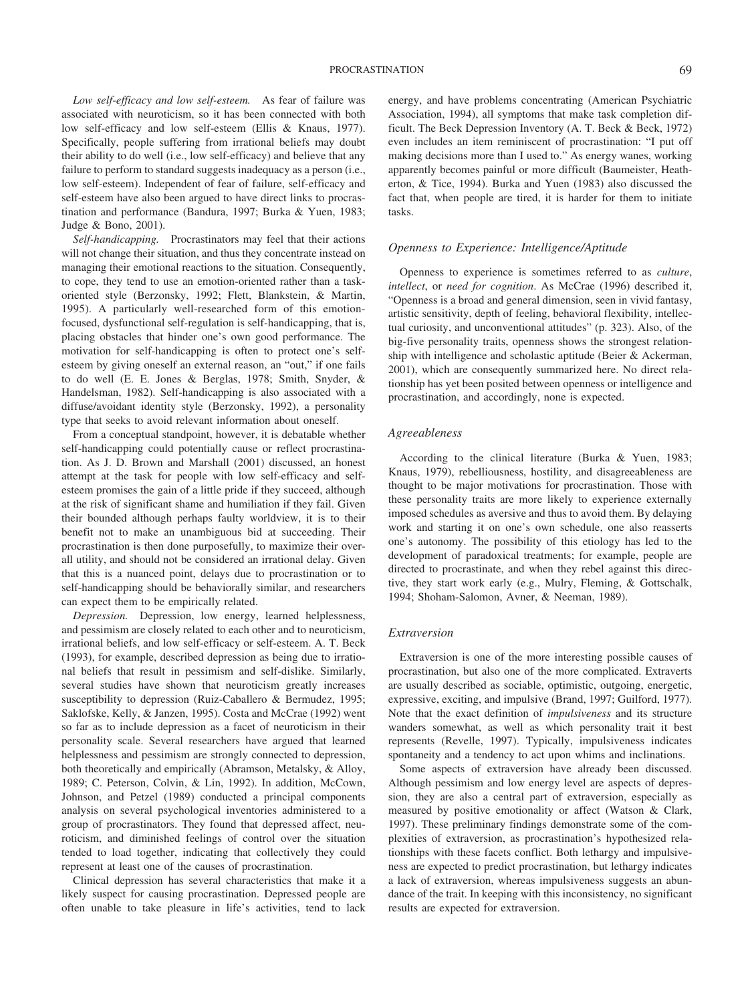*Low self-efficacy and low self-esteem.* As fear of failure was associated with neuroticism, so it has been connected with both low self-efficacy and low self-esteem (Ellis & Knaus, 1977). Specifically, people suffering from irrational beliefs may doubt their ability to do well (i.e., low self-efficacy) and believe that any failure to perform to standard suggests inadequacy as a person (i.e., low self-esteem). Independent of fear of failure, self-efficacy and self-esteem have also been argued to have direct links to procrastination and performance (Bandura, 1997; Burka & Yuen, 1983; Judge & Bono, 2001).

*Self-handicapping.* Procrastinators may feel that their actions will not change their situation, and thus they concentrate instead on managing their emotional reactions to the situation. Consequently, to cope, they tend to use an emotion-oriented rather than a taskoriented style (Berzonsky, 1992; Flett, Blankstein, & Martin, 1995). A particularly well-researched form of this emotionfocused, dysfunctional self-regulation is self-handicapping, that is, placing obstacles that hinder one's own good performance. The motivation for self-handicapping is often to protect one's selfesteem by giving oneself an external reason, an "out," if one fails to do well (E. E. Jones & Berglas, 1978; Smith, Snyder, & Handelsman, 1982). Self-handicapping is also associated with a diffuse/avoidant identity style (Berzonsky, 1992), a personality type that seeks to avoid relevant information about oneself.

From a conceptual standpoint, however, it is debatable whether self-handicapping could potentially cause or reflect procrastination. As J. D. Brown and Marshall (2001) discussed, an honest attempt at the task for people with low self-efficacy and selfesteem promises the gain of a little pride if they succeed, although at the risk of significant shame and humiliation if they fail. Given their bounded although perhaps faulty worldview, it is to their benefit not to make an unambiguous bid at succeeding. Their procrastination is then done purposefully, to maximize their overall utility, and should not be considered an irrational delay. Given that this is a nuanced point, delays due to procrastination or to self-handicapping should be behaviorally similar, and researchers can expect them to be empirically related.

*Depression.* Depression, low energy, learned helplessness, and pessimism are closely related to each other and to neuroticism, irrational beliefs, and low self-efficacy or self-esteem. A. T. Beck (1993), for example, described depression as being due to irrational beliefs that result in pessimism and self-dislike. Similarly, several studies have shown that neuroticism greatly increases susceptibility to depression (Ruiz-Caballero & Bermudez, 1995; Saklofske, Kelly, & Janzen, 1995). Costa and McCrae (1992) went so far as to include depression as a facet of neuroticism in their personality scale. Several researchers have argued that learned helplessness and pessimism are strongly connected to depression, both theoretically and empirically (Abramson, Metalsky, & Alloy, 1989; C. Peterson, Colvin, & Lin, 1992). In addition, McCown, Johnson, and Petzel (1989) conducted a principal components analysis on several psychological inventories administered to a group of procrastinators. They found that depressed affect, neuroticism, and diminished feelings of control over the situation tended to load together, indicating that collectively they could represent at least one of the causes of procrastination.

Clinical depression has several characteristics that make it a likely suspect for causing procrastination. Depressed people are often unable to take pleasure in life's activities, tend to lack energy, and have problems concentrating (American Psychiatric Association, 1994), all symptoms that make task completion difficult. The Beck Depression Inventory (A. T. Beck & Beck, 1972) even includes an item reminiscent of procrastination: "I put off making decisions more than I used to." As energy wanes, working apparently becomes painful or more difficult (Baumeister, Heatherton, & Tice, 1994). Burka and Yuen (1983) also discussed the fact that, when people are tired, it is harder for them to initiate tasks.

# *Openness to Experience: Intelligence/Aptitude*

Openness to experience is sometimes referred to as *culture*, *intellect*, or *need for cognition*. As McCrae (1996) described it, "Openness is a broad and general dimension, seen in vivid fantasy, artistic sensitivity, depth of feeling, behavioral flexibility, intellectual curiosity, and unconventional attitudes" (p. 323). Also, of the big-five personality traits, openness shows the strongest relationship with intelligence and scholastic aptitude (Beier & Ackerman, 2001), which are consequently summarized here. No direct relationship has yet been posited between openness or intelligence and procrastination, and accordingly, none is expected.

#### *Agreeableness*

According to the clinical literature (Burka & Yuen, 1983; Knaus, 1979), rebelliousness, hostility, and disagreeableness are thought to be major motivations for procrastination. Those with these personality traits are more likely to experience externally imposed schedules as aversive and thus to avoid them. By delaying work and starting it on one's own schedule, one also reasserts one's autonomy. The possibility of this etiology has led to the development of paradoxical treatments; for example, people are directed to procrastinate, and when they rebel against this directive, they start work early (e.g., Mulry, Fleming, & Gottschalk, 1994; Shoham-Salomon, Avner, & Neeman, 1989).

# *Extraversion*

Extraversion is one of the more interesting possible causes of procrastination, but also one of the more complicated. Extraverts are usually described as sociable, optimistic, outgoing, energetic, expressive, exciting, and impulsive (Brand, 1997; Guilford, 1977). Note that the exact definition of *impulsiveness* and its structure wanders somewhat, as well as which personality trait it best represents (Revelle, 1997). Typically, impulsiveness indicates spontaneity and a tendency to act upon whims and inclinations.

Some aspects of extraversion have already been discussed. Although pessimism and low energy level are aspects of depression, they are also a central part of extraversion, especially as measured by positive emotionality or affect (Watson & Clark, 1997). These preliminary findings demonstrate some of the complexities of extraversion, as procrastination's hypothesized relationships with these facets conflict. Both lethargy and impulsiveness are expected to predict procrastination, but lethargy indicates a lack of extraversion, whereas impulsiveness suggests an abundance of the trait. In keeping with this inconsistency, no significant results are expected for extraversion.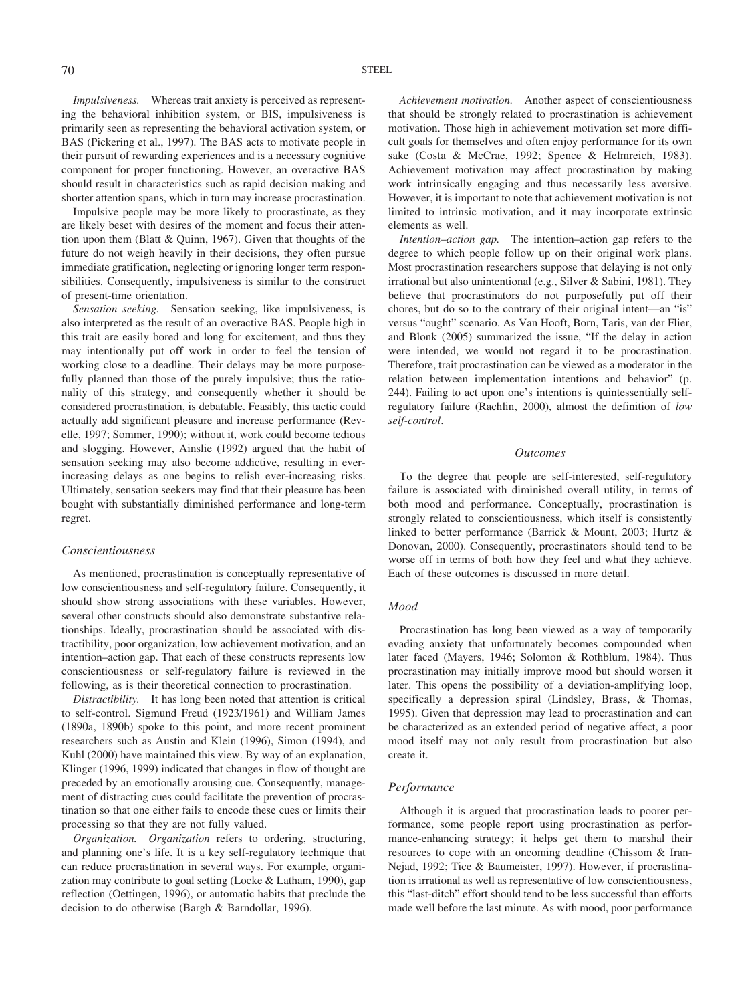*Impulsiveness.* Whereas trait anxiety is perceived as representing the behavioral inhibition system, or BIS, impulsiveness is primarily seen as representing the behavioral activation system, or BAS (Pickering et al., 1997). The BAS acts to motivate people in their pursuit of rewarding experiences and is a necessary cognitive component for proper functioning. However, an overactive BAS should result in characteristics such as rapid decision making and shorter attention spans, which in turn may increase procrastination.

Impulsive people may be more likely to procrastinate, as they are likely beset with desires of the moment and focus their attention upon them (Blatt & Quinn, 1967). Given that thoughts of the future do not weigh heavily in their decisions, they often pursue immediate gratification, neglecting or ignoring longer term responsibilities. Consequently, impulsiveness is similar to the construct of present-time orientation.

*Sensation seeking.* Sensation seeking, like impulsiveness, is also interpreted as the result of an overactive BAS. People high in this trait are easily bored and long for excitement, and thus they may intentionally put off work in order to feel the tension of working close to a deadline. Their delays may be more purposefully planned than those of the purely impulsive; thus the rationality of this strategy, and consequently whether it should be considered procrastination, is debatable. Feasibly, this tactic could actually add significant pleasure and increase performance (Revelle, 1997; Sommer, 1990); without it, work could become tedious and slogging. However, Ainslie (1992) argued that the habit of sensation seeking may also become addictive, resulting in everincreasing delays as one begins to relish ever-increasing risks. Ultimately, sensation seekers may find that their pleasure has been bought with substantially diminished performance and long-term regret.

# *Conscientiousness*

As mentioned, procrastination is conceptually representative of low conscientiousness and self-regulatory failure. Consequently, it should show strong associations with these variables. However, several other constructs should also demonstrate substantive relationships. Ideally, procrastination should be associated with distractibility, poor organization, low achievement motivation, and an intention–action gap. That each of these constructs represents low conscientiousness or self-regulatory failure is reviewed in the following, as is their theoretical connection to procrastination.

*Distractibility.* It has long been noted that attention is critical to self-control. Sigmund Freud (1923/1961) and William James (1890a, 1890b) spoke to this point, and more recent prominent researchers such as Austin and Klein (1996), Simon (1994), and Kuhl (2000) have maintained this view. By way of an explanation, Klinger (1996, 1999) indicated that changes in flow of thought are preceded by an emotionally arousing cue. Consequently, management of distracting cues could facilitate the prevention of procrastination so that one either fails to encode these cues or limits their processing so that they are not fully valued.

*Organization. Organization* refers to ordering, structuring, and planning one's life. It is a key self-regulatory technique that can reduce procrastination in several ways. For example, organization may contribute to goal setting (Locke & Latham, 1990), gap reflection (Oettingen, 1996), or automatic habits that preclude the decision to do otherwise (Bargh & Barndollar, 1996).

*Achievement motivation.* Another aspect of conscientiousness that should be strongly related to procrastination is achievement motivation. Those high in achievement motivation set more difficult goals for themselves and often enjoy performance for its own sake (Costa & McCrae, 1992; Spence & Helmreich, 1983). Achievement motivation may affect procrastination by making work intrinsically engaging and thus necessarily less aversive. However, it is important to note that achievement motivation is not limited to intrinsic motivation, and it may incorporate extrinsic elements as well.

*Intention–action gap.* The intention–action gap refers to the degree to which people follow up on their original work plans. Most procrastination researchers suppose that delaying is not only irrational but also unintentional (e.g., Silver & Sabini, 1981). They believe that procrastinators do not purposefully put off their chores, but do so to the contrary of their original intent—an "is" versus "ought" scenario. As Van Hooft, Born, Taris, van der Flier, and Blonk (2005) summarized the issue, "If the delay in action were intended, we would not regard it to be procrastination. Therefore, trait procrastination can be viewed as a moderator in the relation between implementation intentions and behavior" (p. 244). Failing to act upon one's intentions is quintessentially selfregulatory failure (Rachlin, 2000), almost the definition of *low self-control*.

#### *Outcomes*

To the degree that people are self-interested, self-regulatory failure is associated with diminished overall utility, in terms of both mood and performance. Conceptually, procrastination is strongly related to conscientiousness, which itself is consistently linked to better performance (Barrick & Mount, 2003; Hurtz & Donovan, 2000). Consequently, procrastinators should tend to be worse off in terms of both how they feel and what they achieve. Each of these outcomes is discussed in more detail.

# *Mood*

Procrastination has long been viewed as a way of temporarily evading anxiety that unfortunately becomes compounded when later faced (Mayers, 1946; Solomon & Rothblum, 1984). Thus procrastination may initially improve mood but should worsen it later. This opens the possibility of a deviation-amplifying loop, specifically a depression spiral (Lindsley, Brass, & Thomas, 1995). Given that depression may lead to procrastination and can be characterized as an extended period of negative affect, a poor mood itself may not only result from procrastination but also create it.

#### *Performance*

Although it is argued that procrastination leads to poorer performance, some people report using procrastination as performance-enhancing strategy; it helps get them to marshal their resources to cope with an oncoming deadline (Chissom & Iran-Nejad, 1992; Tice & Baumeister, 1997). However, if procrastination is irrational as well as representative of low conscientiousness, this "last-ditch" effort should tend to be less successful than efforts made well before the last minute. As with mood, poor performance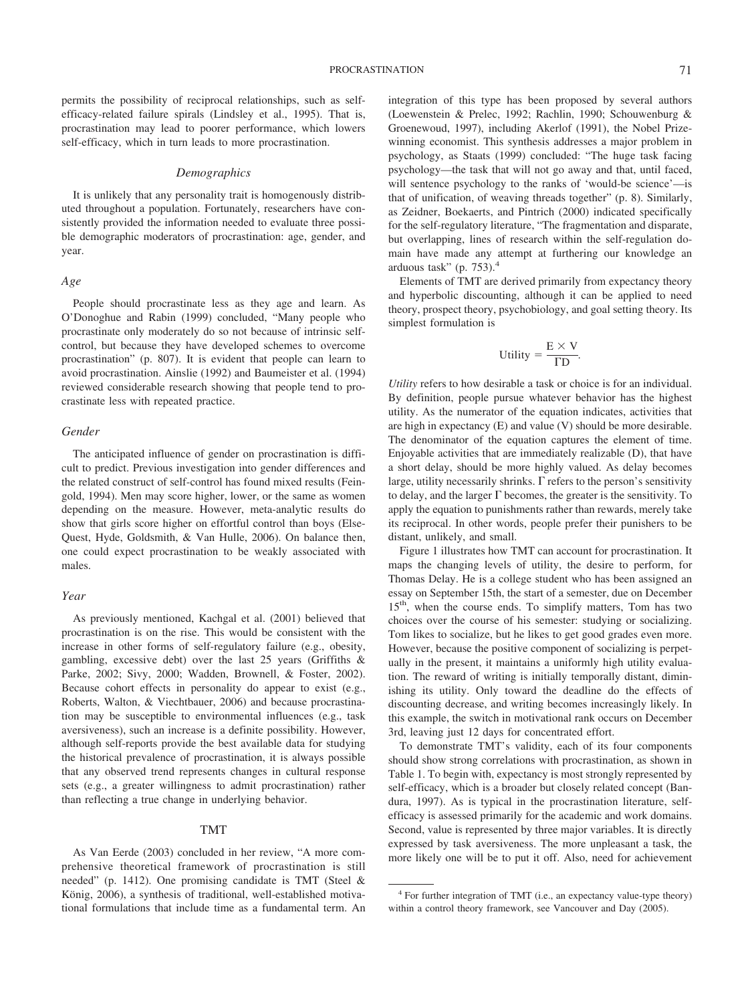permits the possibility of reciprocal relationships, such as selfefficacy-related failure spirals (Lindsley et al., 1995). That is, procrastination may lead to poorer performance, which lowers self-efficacy, which in turn leads to more procrastination.

#### *Demographics*

It is unlikely that any personality trait is homogenously distributed throughout a population. Fortunately, researchers have consistently provided the information needed to evaluate three possible demographic moderators of procrastination: age, gender, and year.

#### *Age*

People should procrastinate less as they age and learn. As O'Donoghue and Rabin (1999) concluded, "Many people who procrastinate only moderately do so not because of intrinsic selfcontrol, but because they have developed schemes to overcome procrastination" (p. 807). It is evident that people can learn to avoid procrastination. Ainslie (1992) and Baumeister et al. (1994) reviewed considerable research showing that people tend to procrastinate less with repeated practice.

# *Gender*

The anticipated influence of gender on procrastination is difficult to predict. Previous investigation into gender differences and the related construct of self-control has found mixed results (Feingold, 1994). Men may score higher, lower, or the same as women depending on the measure. However, meta-analytic results do show that girls score higher on effortful control than boys (Else-Quest, Hyde, Goldsmith, & Van Hulle, 2006). On balance then, one could expect procrastination to be weakly associated with males.

#### *Year*

As previously mentioned, Kachgal et al. (2001) believed that procrastination is on the rise. This would be consistent with the increase in other forms of self-regulatory failure (e.g., obesity, gambling, excessive debt) over the last 25 years (Griffiths & Parke, 2002; Sivy, 2000; Wadden, Brownell, & Foster, 2002). Because cohort effects in personality do appear to exist (e.g., Roberts, Walton, & Viechtbauer, 2006) and because procrastination may be susceptible to environmental influences (e.g., task aversiveness), such an increase is a definite possibility. However, although self-reports provide the best available data for studying the historical prevalence of procrastination, it is always possible that any observed trend represents changes in cultural response sets (e.g., a greater willingness to admit procrastination) rather than reflecting a true change in underlying behavior.

#### TMT

As Van Eerde (2003) concluded in her review, "A more comprehensive theoretical framework of procrastination is still needed" (p. 1412). One promising candidate is TMT (Steel & König, 2006), a synthesis of traditional, well-established motivational formulations that include time as a fundamental term. An integration of this type has been proposed by several authors (Loewenstein & Prelec, 1992; Rachlin, 1990; Schouwenburg & Groenewoud, 1997), including Akerlof (1991), the Nobel Prizewinning economist. This synthesis addresses a major problem in psychology, as Staats (1999) concluded: "The huge task facing psychology—the task that will not go away and that, until faced, will sentence psychology to the ranks of 'would-be science'—is that of unification, of weaving threads together" (p. 8). Similarly, as Zeidner, Boekaerts, and Pintrich (2000) indicated specifically for the self-regulatory literature, "The fragmentation and disparate, but overlapping, lines of research within the self-regulation domain have made any attempt at furthering our knowledge an arduous task" (p.  $753$ ).<sup>4</sup>

Elements of TMT are derived primarily from expectancy theory and hyperbolic discounting, although it can be applied to need theory, prospect theory, psychobiology, and goal setting theory. Its simplest formulation is

$$
Utility = \frac{E \times V}{\Gamma D}.
$$

*Utility* refers to how desirable a task or choice is for an individual. By definition, people pursue whatever behavior has the highest utility. As the numerator of the equation indicates, activities that are high in expectancy (E) and value (V) should be more desirable. The denominator of the equation captures the element of time. Enjoyable activities that are immediately realizable (D), that have a short delay, should be more highly valued. As delay becomes large, utility necessarily shrinks.  $\Gamma$  refers to the person's sensitivity to delay, and the larger  $\Gamma$  becomes, the greater is the sensitivity. To apply the equation to punishments rather than rewards, merely take its reciprocal. In other words, people prefer their punishers to be distant, unlikely, and small.

Figure 1 illustrates how TMT can account for procrastination. It maps the changing levels of utility, the desire to perform, for Thomas Delay. He is a college student who has been assigned an essay on September 15th, the start of a semester, due on December 15<sup>th</sup>, when the course ends. To simplify matters, Tom has two choices over the course of his semester: studying or socializing. Tom likes to socialize, but he likes to get good grades even more. However, because the positive component of socializing is perpetually in the present, it maintains a uniformly high utility evaluation. The reward of writing is initially temporally distant, diminishing its utility. Only toward the deadline do the effects of discounting decrease, and writing becomes increasingly likely. In this example, the switch in motivational rank occurs on December 3rd, leaving just 12 days for concentrated effort.

To demonstrate TMT's validity, each of its four components should show strong correlations with procrastination, as shown in Table 1. To begin with, expectancy is most strongly represented by self-efficacy, which is a broader but closely related concept (Bandura, 1997). As is typical in the procrastination literature, selfefficacy is assessed primarily for the academic and work domains. Second, value is represented by three major variables. It is directly expressed by task aversiveness. The more unpleasant a task, the more likely one will be to put it off. Also, need for achievement

<sup>4</sup> For further integration of TMT (i.e., an expectancy value-type theory) within a control theory framework, see Vancouver and Day (2005).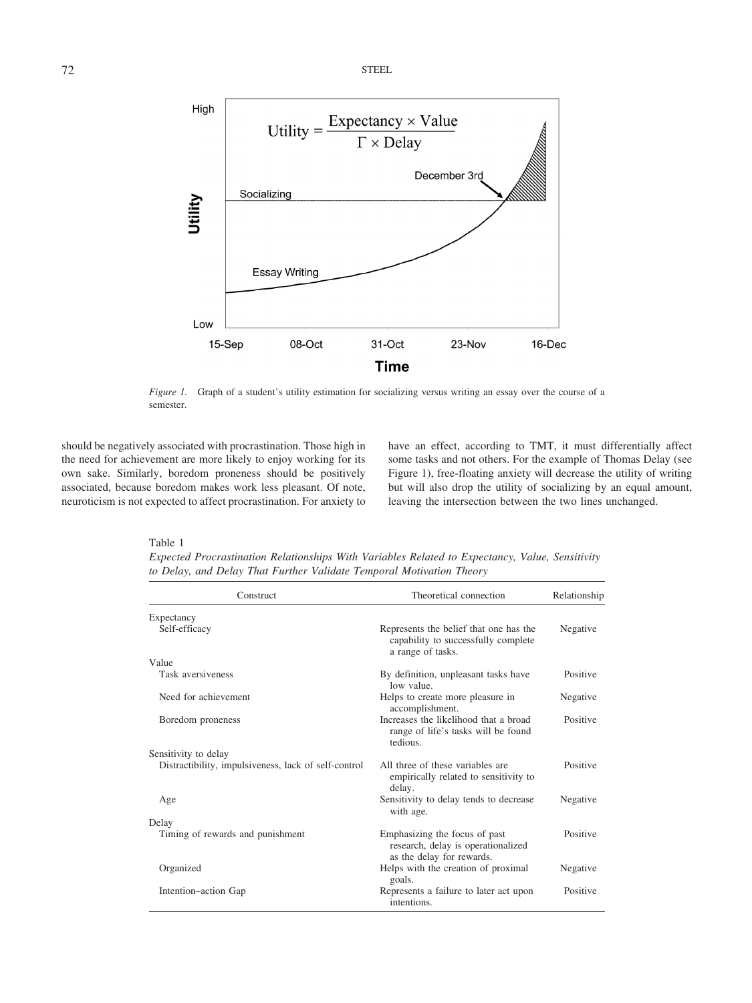72 STEEL



*Figure 1.* Graph of a student's utility estimation for socializing versus writing an essay over the course of a semester.

should be negatively associated with procrastination. Those high in the need for achievement are more likely to enjoy working for its own sake. Similarly, boredom proneness should be positively associated, because boredom makes work less pleasant. Of note, neuroticism is not expected to affect procrastination. For anxiety to have an effect, according to TMT, it must differentially affect some tasks and not others. For the example of Thomas Delay (see Figure 1), free-floating anxiety will decrease the utility of writing but will also drop the utility of socializing by an equal amount, leaving the intersection between the two lines unchanged.

Table 1

*Expected Procrastination Relationships With Variables Related to Expectancy, Value, Sensitivity to Delay, and Delay That Further Validate Temporal Motivation Theory*

| Construct                                            | Theoretical connection                                                                             | Relationship |
|------------------------------------------------------|----------------------------------------------------------------------------------------------------|--------------|
| Expectancy                                           |                                                                                                    |              |
| Self-efficacy                                        | Represents the belief that one has the<br>capability to successfully complete<br>a range of tasks. | Negative     |
| Value                                                |                                                                                                    |              |
| Task aversiveness                                    | By definition, unpleasant tasks have<br>low value.                                                 | Positive     |
| Need for achievement                                 | Helps to create more pleasure in<br>accomplishment.                                                | Negative     |
| Boredom proneness                                    | Increases the likelihood that a broad<br>range of life's tasks will be found<br>tedious.           | Positive     |
| Sensitivity to delay                                 |                                                                                                    |              |
| Distractibility, impulsiveness, lack of self-control | All three of these variables are<br>empirically related to sensitivity to<br>delay.                | Positive     |
| Age                                                  | Sensitivity to delay tends to decrease<br>with age.                                                | Negative     |
| Delay                                                |                                                                                                    |              |
| Timing of rewards and punishment                     | Emphasizing the focus of past<br>research, delay is operationalized<br>as the delay for rewards.   | Positive     |
| Organized                                            | Helps with the creation of proximal<br>goals.                                                      | Negative     |
| Intention-action Gap                                 | Represents a failure to later act upon<br>intentions.                                              | Positive     |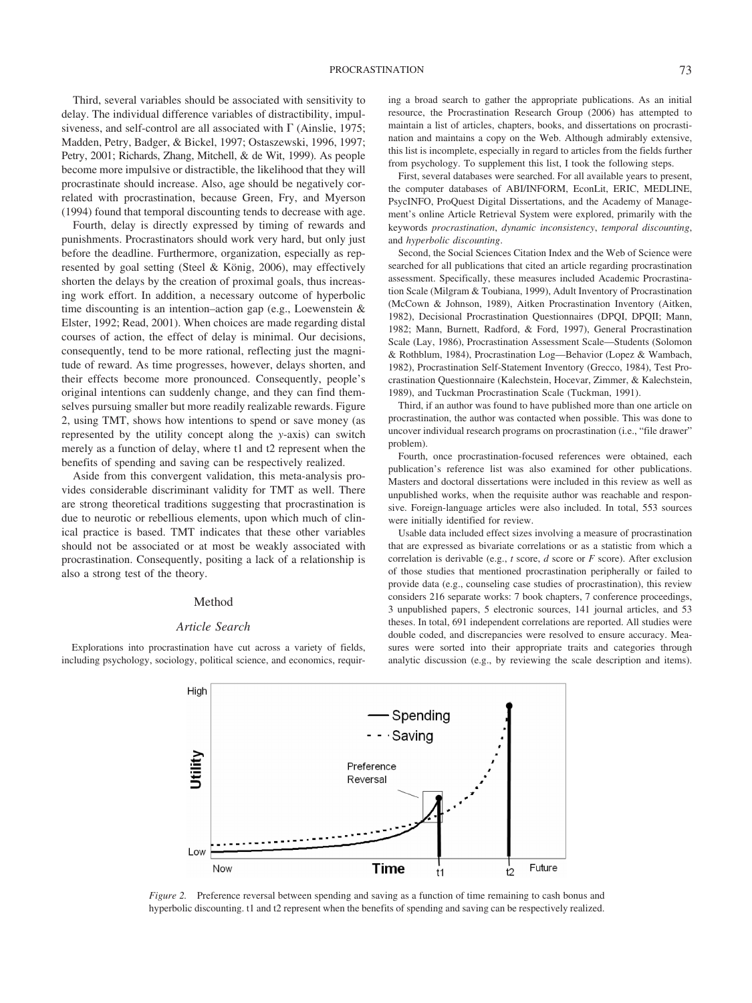Third, several variables should be associated with sensitivity to delay. The individual difference variables of distractibility, impulsiveness, and self-control are all associated with  $\Gamma$  (Ainslie, 1975; Madden, Petry, Badger, & Bickel, 1997; Ostaszewski, 1996, 1997; Petry, 2001; Richards, Zhang, Mitchell, & de Wit, 1999). As people become more impulsive or distractible, the likelihood that they will procrastinate should increase. Also, age should be negatively correlated with procrastination, because Green, Fry, and Myerson (1994) found that temporal discounting tends to decrease with age.

Fourth, delay is directly expressed by timing of rewards and punishments. Procrastinators should work very hard, but only just before the deadline. Furthermore, organization, especially as represented by goal setting (Steel & König, 2006), may effectively shorten the delays by the creation of proximal goals, thus increasing work effort. In addition, a necessary outcome of hyperbolic time discounting is an intention–action gap (e.g., Loewenstein & Elster, 1992; Read, 2001). When choices are made regarding distal courses of action, the effect of delay is minimal. Our decisions, consequently, tend to be more rational, reflecting just the magnitude of reward. As time progresses, however, delays shorten, and their effects become more pronounced. Consequently, people's original intentions can suddenly change, and they can find themselves pursuing smaller but more readily realizable rewards. Figure 2, using TMT, shows how intentions to spend or save money (as represented by the utility concept along the *y*-axis) can switch merely as a function of delay, where t1 and t2 represent when the benefits of spending and saving can be respectively realized.

Aside from this convergent validation, this meta-analysis provides considerable discriminant validity for TMT as well. There are strong theoretical traditions suggesting that procrastination is due to neurotic or rebellious elements, upon which much of clinical practice is based. TMT indicates that these other variables should not be associated or at most be weakly associated with procrastination. Consequently, positing a lack of a relationship is also a strong test of the theory.

#### Method

#### *Article Search*

Explorations into procrastination have cut across a variety of fields, including psychology, sociology, political science, and economics, requiring a broad search to gather the appropriate publications. As an initial resource, the Procrastination Research Group (2006) has attempted to maintain a list of articles, chapters, books, and dissertations on procrastination and maintains a copy on the Web. Although admirably extensive, this list is incomplete, especially in regard to articles from the fields further from psychology. To supplement this list, I took the following steps.

First, several databases were searched. For all available years to present, the computer databases of ABI/INFORM, EconLit, ERIC, MEDLINE, PsycINFO, ProQuest Digital Dissertations, and the Academy of Management's online Article Retrieval System were explored, primarily with the keywords *procrastination*, *dynamic inconsistency*, *temporal discounting*, and *hyperbolic discounting*.

Second, the Social Sciences Citation Index and the Web of Science were searched for all publications that cited an article regarding procrastination assessment. Specifically, these measures included Academic Procrastination Scale (Milgram & Toubiana, 1999), Adult Inventory of Procrastination (McCown & Johnson, 1989), Aitken Procrastination Inventory (Aitken, 1982), Decisional Procrastination Questionnaires (DPQI, DPQII; Mann, 1982; Mann, Burnett, Radford, & Ford, 1997), General Procrastination Scale (Lay, 1986), Procrastination Assessment Scale—Students (Solomon & Rothblum, 1984), Procrastination Log—Behavior (Lopez & Wambach, 1982), Procrastination Self-Statement Inventory (Grecco, 1984), Test Procrastination Questionnaire (Kalechstein, Hocevar, Zimmer, & Kalechstein, 1989), and Tuckman Procrastination Scale (Tuckman, 1991).

Third, if an author was found to have published more than one article on procrastination, the author was contacted when possible. This was done to uncover individual research programs on procrastination (i.e., "file drawer" problem).

Fourth, once procrastination-focused references were obtained, each publication's reference list was also examined for other publications. Masters and doctoral dissertations were included in this review as well as unpublished works, when the requisite author was reachable and responsive. Foreign-language articles were also included. In total, 553 sources were initially identified for review.

Usable data included effect sizes involving a measure of procrastination that are expressed as bivariate correlations or as a statistic from which a correlation is derivable (e.g., *t* score, *d* score or *F* score). After exclusion of those studies that mentioned procrastination peripherally or failed to provide data (e.g., counseling case studies of procrastination), this review considers 216 separate works: 7 book chapters, 7 conference proceedings, 3 unpublished papers, 5 electronic sources, 141 journal articles, and 53 theses. In total, 691 independent correlations are reported. All studies were double coded, and discrepancies were resolved to ensure accuracy. Measures were sorted into their appropriate traits and categories through analytic discussion (e.g., by reviewing the scale description and items).



*Figure 2.* Preference reversal between spending and saving as a function of time remaining to cash bonus and hyperbolic discounting. t1 and t2 represent when the benefits of spending and saving can be respectively realized.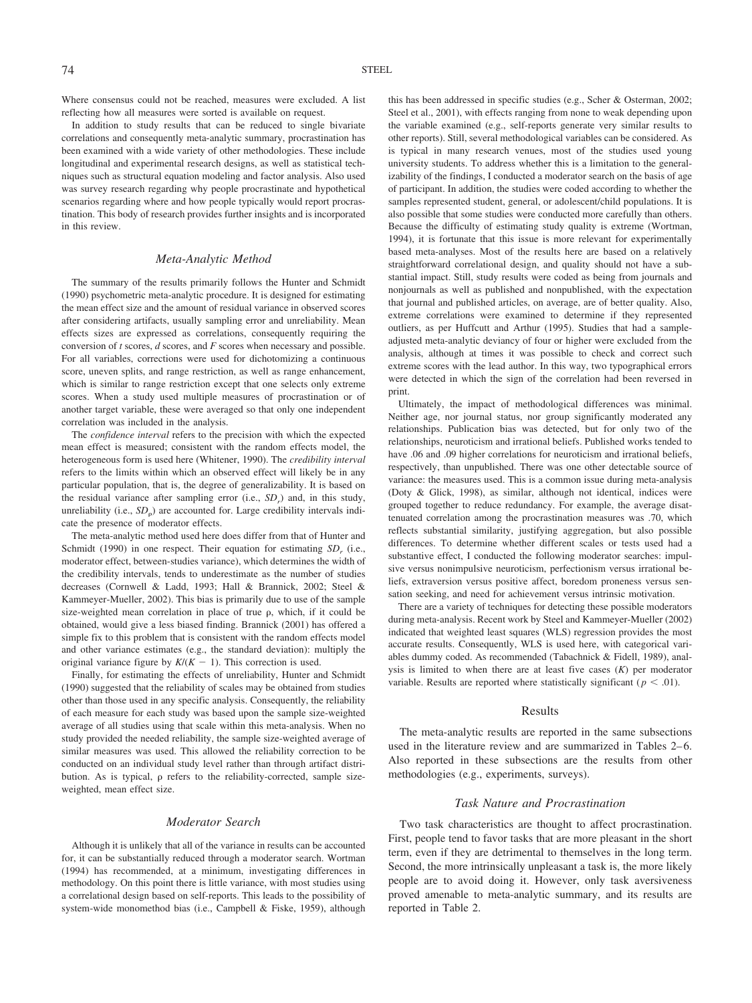Where consensus could not be reached, measures were excluded. A list reflecting how all measures were sorted is available on request.

In addition to study results that can be reduced to single bivariate correlations and consequently meta-analytic summary, procrastination has been examined with a wide variety of other methodologies. These include longitudinal and experimental research designs, as well as statistical techniques such as structural equation modeling and factor analysis. Also used was survey research regarding why people procrastinate and hypothetical scenarios regarding where and how people typically would report procrastination. This body of research provides further insights and is incorporated in this review.

#### *Meta-Analytic Method*

The summary of the results primarily follows the Hunter and Schmidt (1990) psychometric meta-analytic procedure. It is designed for estimating the mean effect size and the amount of residual variance in observed scores after considering artifacts, usually sampling error and unreliability. Mean effects sizes are expressed as correlations, consequently requiring the conversion of *t* scores, *d* scores, and *F* scores when necessary and possible. For all variables, corrections were used for dichotomizing a continuous score, uneven splits, and range restriction, as well as range enhancement, which is similar to range restriction except that one selects only extreme scores. When a study used multiple measures of procrastination or of another target variable, these were averaged so that only one independent correlation was included in the analysis.

The *confidence interval* refers to the precision with which the expected mean effect is measured; consistent with the random effects model, the heterogeneous form is used here (Whitener, 1990). The *credibility interval* refers to the limits within which an observed effect will likely be in any particular population, that is, the degree of generalizability. It is based on the residual variance after sampling error (i.e., *SDr*) and, in this study, unreliability (i.e., *SD*<sub>0</sub>) are accounted for. Large credibility intervals indicate the presence of moderator effects.

The meta-analytic method used here does differ from that of Hunter and Schmidt (1990) in one respect. Their equation for estimating *SD<sub>r</sub>* (i.e., moderator effect, between-studies variance), which determines the width of the credibility intervals, tends to underestimate as the number of studies decreases (Cornwell & Ladd, 1993; Hall & Brannick, 2002; Steel & Kammeyer-Mueller, 2002). This bias is primarily due to use of the sample size-weighted mean correlation in place of true  $\rho$ , which, if it could be obtained, would give a less biased finding. Brannick (2001) has offered a simple fix to this problem that is consistent with the random effects model and other variance estimates (e.g., the standard deviation): multiply the original variance figure by  $K/(K - 1)$ . This correction is used.

Finally, for estimating the effects of unreliability, Hunter and Schmidt (1990) suggested that the reliability of scales may be obtained from studies other than those used in any specific analysis. Consequently, the reliability of each measure for each study was based upon the sample size-weighted average of all studies using that scale within this meta-analysis. When no study provided the needed reliability, the sample size-weighted average of similar measures was used. This allowed the reliability correction to be conducted on an individual study level rather than through artifact distribution. As is typical,  $\rho$  refers to the reliability-corrected, sample sizeweighted, mean effect size.

#### *Moderator Search*

Although it is unlikely that all of the variance in results can be accounted for, it can be substantially reduced through a moderator search. Wortman (1994) has recommended, at a minimum, investigating differences in methodology. On this point there is little variance, with most studies using a correlational design based on self-reports. This leads to the possibility of system-wide monomethod bias (i.e., Campbell & Fiske, 1959), although this has been addressed in specific studies (e.g., Scher & Osterman, 2002; Steel et al., 2001), with effects ranging from none to weak depending upon the variable examined (e.g., self-reports generate very similar results to other reports). Still, several methodological variables can be considered. As is typical in many research venues, most of the studies used young university students. To address whether this is a limitation to the generalizability of the findings, I conducted a moderator search on the basis of age of participant. In addition, the studies were coded according to whether the samples represented student, general, or adolescent/child populations. It is also possible that some studies were conducted more carefully than others. Because the difficulty of estimating study quality is extreme (Wortman, 1994), it is fortunate that this issue is more relevant for experimentally based meta-analyses. Most of the results here are based on a relatively straightforward correlational design, and quality should not have a substantial impact. Still, study results were coded as being from journals and nonjournals as well as published and nonpublished, with the expectation that journal and published articles, on average, are of better quality. Also, extreme correlations were examined to determine if they represented outliers, as per Huffcutt and Arthur (1995). Studies that had a sampleadjusted meta-analytic deviancy of four or higher were excluded from the analysis, although at times it was possible to check and correct such extreme scores with the lead author. In this way, two typographical errors were detected in which the sign of the correlation had been reversed in print.

Ultimately, the impact of methodological differences was minimal. Neither age, nor journal status, nor group significantly moderated any relationships. Publication bias was detected, but for only two of the relationships, neuroticism and irrational beliefs. Published works tended to have .06 and .09 higher correlations for neuroticism and irrational beliefs, respectively, than unpublished. There was one other detectable source of variance: the measures used. This is a common issue during meta-analysis (Doty & Glick, 1998), as similar, although not identical, indices were grouped together to reduce redundancy. For example, the average disattenuated correlation among the procrastination measures was .70, which reflects substantial similarity, justifying aggregation, but also possible differences. To determine whether different scales or tests used had a substantive effect, I conducted the following moderator searches: impulsive versus nonimpulsive neuroticism, perfectionism versus irrational beliefs, extraversion versus positive affect, boredom proneness versus sensation seeking, and need for achievement versus intrinsic motivation.

There are a variety of techniques for detecting these possible moderators during meta-analysis. Recent work by Steel and Kammeyer-Mueller (2002) indicated that weighted least squares (WLS) regression provides the most accurate results. Consequently, WLS is used here, with categorical variables dummy coded. As recommended (Tabachnick & Fidell, 1989), analysis is limited to when there are at least five cases (*K*) per moderator variable. Results are reported where statistically significant ( $p < .01$ ).

#### Results

The meta-analytic results are reported in the same subsections used in the literature review and are summarized in Tables 2–6. Also reported in these subsections are the results from other methodologies (e.g., experiments, surveys).

#### *Task Nature and Procrastination*

Two task characteristics are thought to affect procrastination. First, people tend to favor tasks that are more pleasant in the short term, even if they are detrimental to themselves in the long term. Second, the more intrinsically unpleasant a task is, the more likely people are to avoid doing it. However, only task aversiveness proved amenable to meta-analytic summary, and its results are reported in Table 2.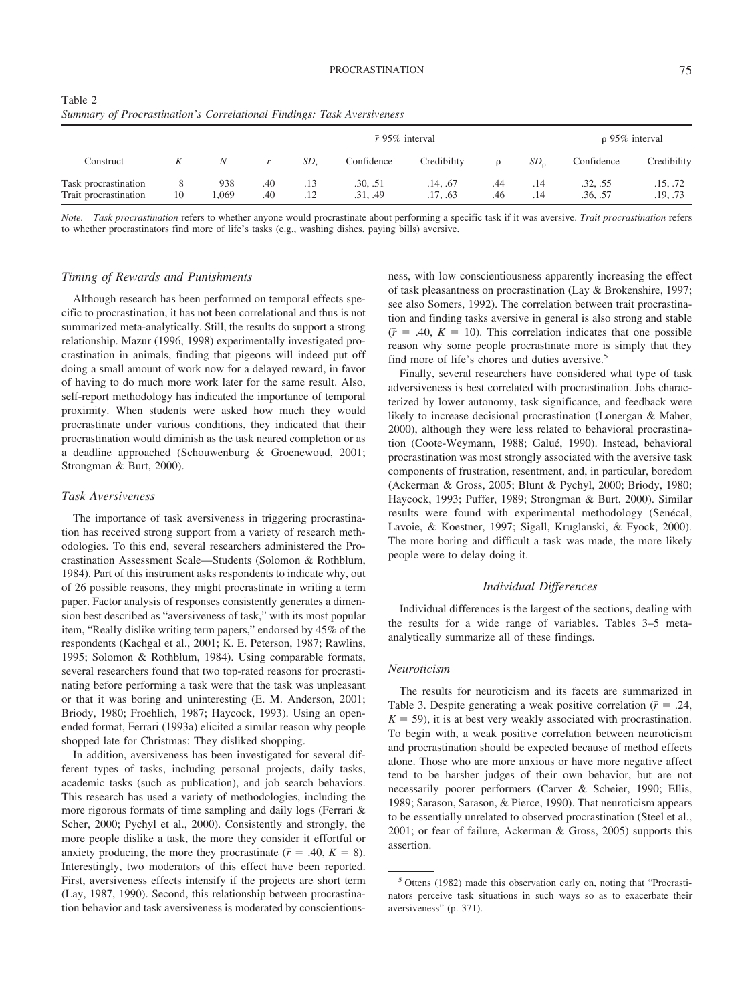| Table 2                                                                |  |
|------------------------------------------------------------------------|--|
| Summary of Procrastination's Correlational Findings: Task Aversiveness |  |

|                                               |         |             |              |            | $\bar{r}$ 95% interval |                      |            |            | $\rho$ 95% interval  |                      |
|-----------------------------------------------|---------|-------------|--------------|------------|------------------------|----------------------|------------|------------|----------------------|----------------------|
| Construct                                     |         | N           | $\mathbf{r}$ | SD.        | Confidence             | Credibility          |            | SD.        | Confidence           | Credibility          |
| Task procrastination<br>Trait procrastination | 8<br>10 | 938<br>.069 | .40<br>.40   | .13<br>.12 | .30, .51<br>.31, .49   | .14, .67<br>.17. .63 | .44<br>.46 | .14<br>.14 | .32, .55<br>.36, .57 | .15, .72<br>.19, .73 |

*Note. Task procrastination* refers to whether anyone would procrastinate about performing a specific task if it was aversive. *Trait procrastination* refers to whether procrastinators find more of life's tasks (e.g., washing dishes, paying bills) aversive.

#### *Timing of Rewards and Punishments*

Although research has been performed on temporal effects specific to procrastination, it has not been correlational and thus is not summarized meta-analytically. Still, the results do support a strong relationship. Mazur (1996, 1998) experimentally investigated procrastination in animals, finding that pigeons will indeed put off doing a small amount of work now for a delayed reward, in favor of having to do much more work later for the same result. Also, self-report methodology has indicated the importance of temporal proximity. When students were asked how much they would procrastinate under various conditions, they indicated that their procrastination would diminish as the task neared completion or as a deadline approached (Schouwenburg & Groenewoud, 2001; Strongman & Burt, 2000).

# *Task Aversiveness*

The importance of task aversiveness in triggering procrastination has received strong support from a variety of research methodologies. To this end, several researchers administered the Procrastination Assessment Scale—Students (Solomon & Rothblum, 1984). Part of this instrument asks respondents to indicate why, out of 26 possible reasons, they might procrastinate in writing a term paper. Factor analysis of responses consistently generates a dimension best described as "aversiveness of task," with its most popular item, "Really dislike writing term papers," endorsed by 45% of the respondents (Kachgal et al., 2001; K. E. Peterson, 1987; Rawlins, 1995; Solomon & Rothblum, 1984). Using comparable formats, several researchers found that two top-rated reasons for procrastinating before performing a task were that the task was unpleasant or that it was boring and uninteresting (E. M. Anderson, 2001; Briody, 1980; Froehlich, 1987; Haycock, 1993). Using an openended format, Ferrari (1993a) elicited a similar reason why people shopped late for Christmas: They disliked shopping.

In addition, aversiveness has been investigated for several different types of tasks, including personal projects, daily tasks, academic tasks (such as publication), and job search behaviors. This research has used a variety of methodologies, including the more rigorous formats of time sampling and daily logs (Ferrari & Scher, 2000; Pychyl et al., 2000). Consistently and strongly, the more people dislike a task, the more they consider it effortful or anxiety producing, the more they procrastinate ( $\bar{r}$  = .40,  $K = 8$ ). Interestingly, two moderators of this effect have been reported. First, aversiveness effects intensify if the projects are short term (Lay, 1987, 1990). Second, this relationship between procrastination behavior and task aversiveness is moderated by conscientiousness, with low conscientiousness apparently increasing the effect of task pleasantness on procrastination (Lay & Brokenshire, 1997; see also Somers, 1992). The correlation between trait procrastination and finding tasks aversive in general is also strong and stable  $(\bar{r}$  = .40,  $K = 10$ ). This correlation indicates that one possible reason why some people procrastinate more is simply that they find more of life's chores and duties aversive.<sup>5</sup>

Finally, several researchers have considered what type of task adversiveness is best correlated with procrastination. Jobs characterized by lower autonomy, task significance, and feedback were likely to increase decisional procrastination (Lonergan & Maher, 2000), although they were less related to behavioral procrastination (Coote-Weymann, 1988; Galué, 1990). Instead, behavioral procrastination was most strongly associated with the aversive task components of frustration, resentment, and, in particular, boredom (Ackerman & Gross, 2005; Blunt & Pychyl, 2000; Briody, 1980; Haycock, 1993; Puffer, 1989; Strongman & Burt, 2000). Similar results were found with experimental methodology (Senécal, Lavoie, & Koestner, 1997; Sigall, Kruglanski, & Fyock, 2000). The more boring and difficult a task was made, the more likely people were to delay doing it.

#### *Individual Differences*

Individual differences is the largest of the sections, dealing with the results for a wide range of variables. Tables 3–5 metaanalytically summarize all of these findings.

#### *Neuroticism*

The results for neuroticism and its facets are summarized in Table 3. Despite generating a weak positive correlation  $(\bar{r} = .24, )$  $K = 59$ ), it is at best very weakly associated with procrastination. To begin with, a weak positive correlation between neuroticism and procrastination should be expected because of method effects alone. Those who are more anxious or have more negative affect tend to be harsher judges of their own behavior, but are not necessarily poorer performers (Carver & Scheier, 1990; Ellis, 1989; Sarason, Sarason, & Pierce, 1990). That neuroticism appears to be essentially unrelated to observed procrastination (Steel et al., 2001; or fear of failure, Ackerman & Gross, 2005) supports this assertion.

<sup>5</sup> Ottens (1982) made this observation early on, noting that "Procrastinators perceive task situations in such ways so as to exacerbate their aversiveness" (p. 371).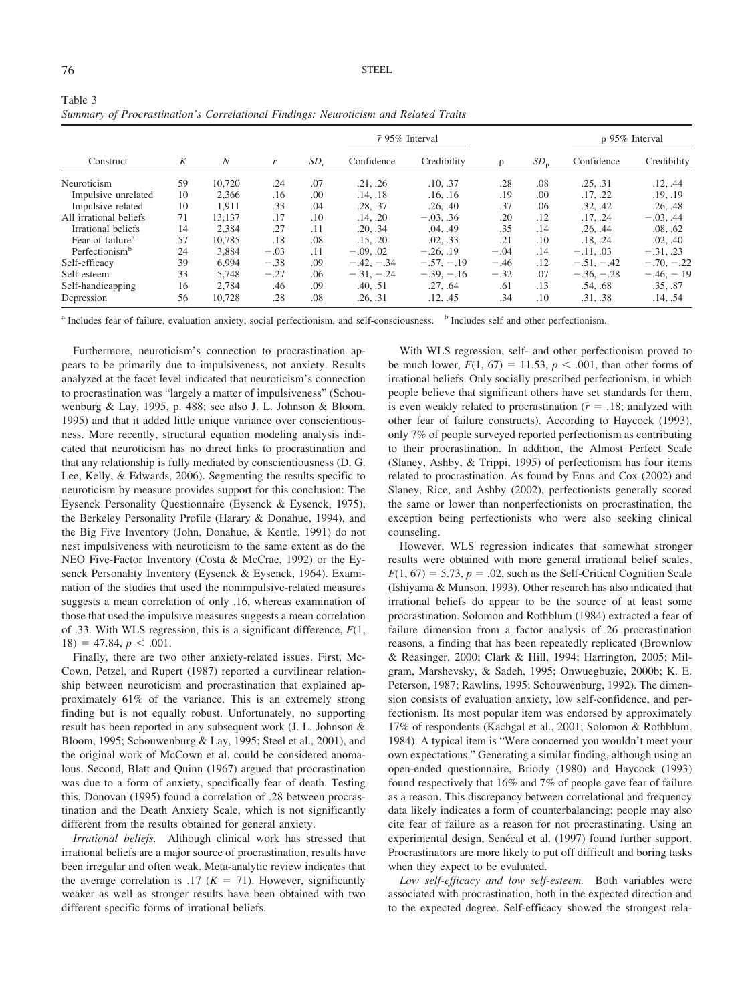# 76 STEEL

| Table 3                                                                             |  |
|-------------------------------------------------------------------------------------|--|
| Summary of Procrastination's Correlational Findings: Neuroticism and Related Traits |  |

|                              |    |        |           |        | $\bar{r}$ 95% Interval |               |        |                 | $\rho$ 95% Interval |               |
|------------------------------|----|--------|-----------|--------|------------------------|---------------|--------|-----------------|---------------------|---------------|
| Construct                    | K  | N      | $\bar{r}$ | $SD_r$ | Confidence             | Credibility   | $\rho$ | SD <sub>0</sub> | Confidence          | Credibility   |
| Neuroticism                  | 59 | 10.720 | .24       | .07    | .21, .26               | .10, .37      | .28    | .08             | .25, .31            | .12, .44      |
| Impulsive unrelated          | 10 | 2.366  | .16       | .00    | .14, .18               | .16, .16      | .19    | .00             | .17, .22            | .19. .19      |
| Impulsive related            | 10 | 1.911  | .33       | .04    | .28. .37               | .26, .40      | .37    | .06             | .32, .42            | .26, .48      |
| All irrational beliefs       | 71 | 13.137 | .17       | .10    | .14, .20               | $-.03, .36$   | .20    | .12             | .17, .24            | $-.03, .44$   |
| Irrational beliefs           | 14 | 2.384  | .27       | .11    | .20, .34               | .04, .49      | .35    | .14             | .26, .44            | .08, .62      |
| Fear of failure <sup>a</sup> | 57 | 10.785 | .18       | .08    | .15. .20               | .02. .33      | .21    | .10             | .18. .24            | .02, .40      |
| Perfectionism <sup>b</sup>   | 24 | 3.884  | $-.03$    | .11    | $-.09.02$              | $-.26, .19$   | $-.04$ | .14             | $-.11, .03$         | $-.31, .23$   |
| Self-efficacy                | 39 | 6.994  | $-.38$    | .09    | $-.42, -.34$           | $-.57, -.19$  | $-.46$ | $.12\,$         | $-.51, -.42$        | $-.70, -.22$  |
| Self-esteem                  | 33 | 5.748  | $-.27$    | .06    | $-.31, -.24$           | $-.39. - .16$ | $-.32$ | .07             | $-.36, -.28$        | $-.46. - .19$ |
| Self-handicapping            | 16 | 2.784  | .46       | .09    | .40, .51               | .27, .64      | .61    | .13             | .54, .68            | .35, .87      |
| Depression                   | 56 | 10.728 | .28       | .08    | .26, .31               | .12, .45      | .34    | .10             | .31, .38            | .14, .54      |

<sup>a</sup> Includes fear of failure, evaluation anxiety, social perfectionism, and self-consciousness. <sup>b</sup> Includes self and other perfectionism.

Furthermore, neuroticism's connection to procrastination appears to be primarily due to impulsiveness, not anxiety. Results analyzed at the facet level indicated that neuroticism's connection to procrastination was "largely a matter of impulsiveness" (Schouwenburg & Lay, 1995, p. 488; see also J. L. Johnson & Bloom, 1995) and that it added little unique variance over conscientiousness. More recently, structural equation modeling analysis indicated that neuroticism has no direct links to procrastination and that any relationship is fully mediated by conscientiousness (D. G. Lee, Kelly, & Edwards, 2006). Segmenting the results specific to neuroticism by measure provides support for this conclusion: The Eysenck Personality Questionnaire (Eysenck & Eysenck, 1975), the Berkeley Personality Profile (Harary & Donahue, 1994), and the Big Five Inventory (John, Donahue, & Kentle, 1991) do not nest impulsiveness with neuroticism to the same extent as do the NEO Five-Factor Inventory (Costa & McCrae, 1992) or the Eysenck Personality Inventory (Eysenck & Eysenck, 1964). Examination of the studies that used the nonimpulsive-related measures suggests a mean correlation of only .16, whereas examination of those that used the impulsive measures suggests a mean correlation of .33. With WLS regression, this is a significant difference, *F*(1,  $18) = 47.84, p < .001.$ 

Finally, there are two other anxiety-related issues. First, Mc-Cown, Petzel, and Rupert (1987) reported a curvilinear relationship between neuroticism and procrastination that explained approximately 61% of the variance. This is an extremely strong finding but is not equally robust. Unfortunately, no supporting result has been reported in any subsequent work (J. L. Johnson & Bloom, 1995; Schouwenburg & Lay, 1995; Steel et al., 2001), and the original work of McCown et al. could be considered anomalous. Second, Blatt and Quinn (1967) argued that procrastination was due to a form of anxiety, specifically fear of death. Testing this, Donovan (1995) found a correlation of .28 between procrastination and the Death Anxiety Scale, which is not significantly different from the results obtained for general anxiety.

*Irrational beliefs.* Although clinical work has stressed that irrational beliefs are a major source of procrastination, results have been irregular and often weak. Meta-analytic review indicates that the average correlation is .17 ( $K = 71$ ). However, significantly weaker as well as stronger results have been obtained with two different specific forms of irrational beliefs.

With WLS regression, self- and other perfectionism proved to be much lower,  $F(1, 67) = 11.53$ ,  $p < .001$ , than other forms of irrational beliefs. Only socially prescribed perfectionism, in which people believe that significant others have set standards for them, is even weakly related to procrastination ( $\bar{r}$  = .18; analyzed with other fear of failure constructs). According to Haycock (1993), only 7% of people surveyed reported perfectionism as contributing to their procrastination. In addition, the Almost Perfect Scale (Slaney, Ashby, & Trippi, 1995) of perfectionism has four items related to procrastination. As found by Enns and Cox (2002) and Slaney, Rice, and Ashby (2002), perfectionists generally scored the same or lower than nonperfectionists on procrastination, the exception being perfectionists who were also seeking clinical counseling.

However, WLS regression indicates that somewhat stronger results were obtained with more general irrational belief scales,  $F(1, 67) = 5.73$ ,  $p = .02$ , such as the Self-Critical Cognition Scale (Ishiyama & Munson, 1993). Other research has also indicated that irrational beliefs do appear to be the source of at least some procrastination. Solomon and Rothblum (1984) extracted a fear of failure dimension from a factor analysis of 26 procrastination reasons, a finding that has been repeatedly replicated (Brownlow & Reasinger, 2000; Clark & Hill, 1994; Harrington, 2005; Milgram, Marshevsky, & Sadeh, 1995; Onwuegbuzie, 2000b; K. E. Peterson, 1987; Rawlins, 1995; Schouwenburg, 1992). The dimension consists of evaluation anxiety, low self-confidence, and perfectionism. Its most popular item was endorsed by approximately 17% of respondents (Kachgal et al., 2001; Solomon & Rothblum, 1984). A typical item is "Were concerned you wouldn't meet your own expectations." Generating a similar finding, although using an open-ended questionnaire, Briody (1980) and Haycock (1993) found respectively that 16% and 7% of people gave fear of failure as a reason. This discrepancy between correlational and frequency data likely indicates a form of counterbalancing; people may also cite fear of failure as a reason for not procrastinating. Using an experimental design, Senécal et al. (1997) found further support. Procrastinators are more likely to put off difficult and boring tasks when they expect to be evaluated.

*Low self-efficacy and low self-esteem.* Both variables were associated with procrastination, both in the expected direction and to the expected degree. Self-efficacy showed the strongest rela-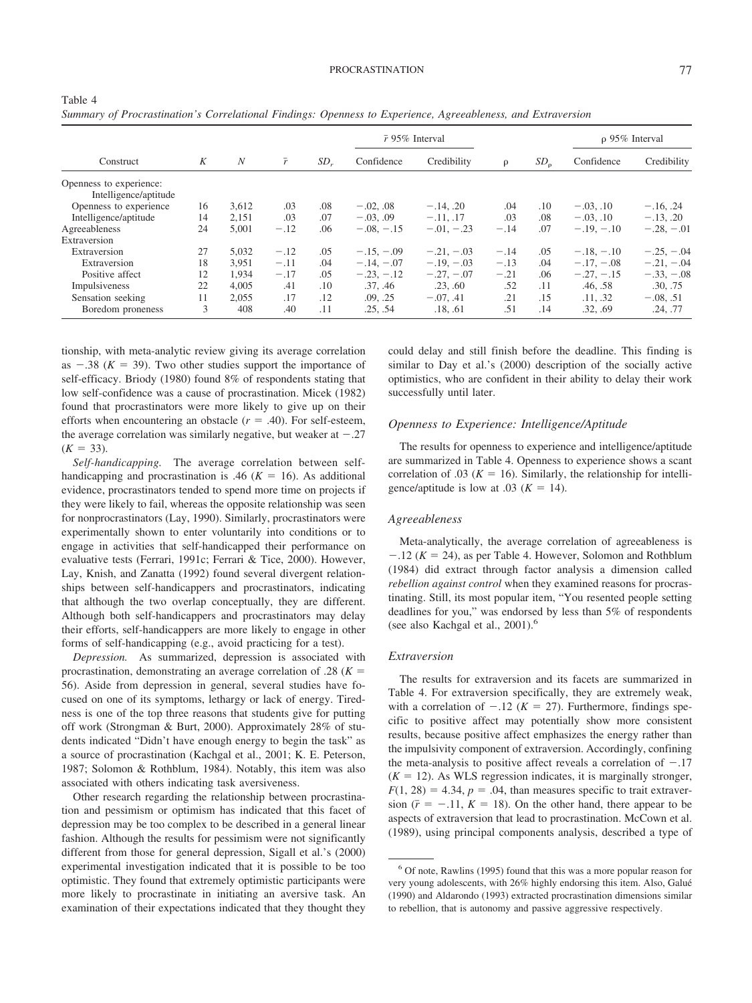|                         |    |                  |                |        | $\bar{r}$ 95% Interval |               |        |             | $\rho$ 95% Interval |              |
|-------------------------|----|------------------|----------------|--------|------------------------|---------------|--------|-------------|---------------------|--------------|
| Construct               | K  | $\boldsymbol{N}$ | $\overline{r}$ | $SD_r$ | Confidence             | Credibility   | $\rho$ | $SD_{\rho}$ | Confidence          | Credibility  |
| Openness to experience: |    |                  |                |        |                        |               |        |             |                     |              |
| Intelligence/aptitude   |    |                  |                |        |                        |               |        |             |                     |              |
| Openness to experience  | 16 | 3.612            | .03            | .08    | $-.02, .08$            | $-.14, .20$   | .04    | .10         | $-.03, .10$         | $-.16, .24$  |
| Intelligence/aptitude   | 14 | 2,151            | .03            | .07    | $-.03, .09$            | $-.11, .17$   | .03    | .08         | $-.03, .10$         | $-.13, .20$  |
| Agreeableness           | 24 | 5,001            | $-.12$         | .06    | $-.08, -.15$           | $-.01, -.23$  | $-.14$ | .07         | $-.19.-.10$         | $-.28.-.01$  |
| Extraversion            |    |                  |                |        |                        |               |        |             |                     |              |
| Extraversion            | 27 | 5.032            | $-.12$         | .05    | $-.15, -.09$           | $-.21, -.03$  | $-.14$ | .05         | $-.18, -.10$        | $-.25, -.04$ |
| Extraversion            | 18 | 3,951            | $-.11$         | .04    | $-.14, -.07$           | $-.19.-.03$   | $-.13$ | .04         | $-.17.-.08$         | $-.21, -.04$ |
| Positive affect         | 12 | 1.934            | $-.17$         | .05    | $-.23, -.12$           | $-.27. - .07$ | $-.21$ | .06         | $-.27, -.15$        | $-.33, -.08$ |
| Impulsiveness           | 22 | 4.005            | .41            | .10    | .37, .46               | .23, .60      | .52    | .11         | .46, .58            | .30, .75     |
| Sensation seeking       | 11 | 2,055            | .17            | .12    | .09, .25               | $-.07, .41$   | .21    | .15         | .11, .32            | $-.08, .51$  |
| Boredom proneness       | 3  | 408              | .40            | .11    | .25, .54               | .18, .61      | .51    | .14         | .32, .69            | .24, .77     |

Table 4 *Summary of Procrastination's Correlational Findings: Openness to Experience, Agreeableness, and Extraversion*

tionship, with meta-analytic review giving its average correlation as  $-.38$  ( $K = 39$ ). Two other studies support the importance of self-efficacy. Briody (1980) found 8% of respondents stating that low self-confidence was a cause of procrastination. Micek (1982) found that procrastinators were more likely to give up on their efforts when encountering an obstacle  $(r = .40)$ . For self-esteem, the average correlation was similarly negative, but weaker at  $-.27$  $(K = 33)$ .

*Self-handicapping.* The average correlation between selfhandicapping and procrastination is .46 ( $K = 16$ ). As additional evidence, procrastinators tended to spend more time on projects if they were likely to fail, whereas the opposite relationship was seen for nonprocrastinators (Lay, 1990). Similarly, procrastinators were experimentally shown to enter voluntarily into conditions or to engage in activities that self-handicapped their performance on evaluative tests (Ferrari, 1991c; Ferrari & Tice, 2000). However, Lay, Knish, and Zanatta (1992) found several divergent relationships between self-handicappers and procrastinators, indicating that although the two overlap conceptually, they are different. Although both self-handicappers and procrastinators may delay their efforts, self-handicappers are more likely to engage in other forms of self-handicapping (e.g., avoid practicing for a test).

*Depression.* As summarized, depression is associated with procrastination, demonstrating an average correlation of .28 (*K* 56). Aside from depression in general, several studies have focused on one of its symptoms, lethargy or lack of energy. Tiredness is one of the top three reasons that students give for putting off work (Strongman & Burt, 2000). Approximately 28% of students indicated "Didn't have enough energy to begin the task" as a source of procrastination (Kachgal et al., 2001; K. E. Peterson, 1987; Solomon & Rothblum, 1984). Notably, this item was also associated with others indicating task aversiveness.

Other research regarding the relationship between procrastination and pessimism or optimism has indicated that this facet of depression may be too complex to be described in a general linear fashion. Although the results for pessimism were not significantly different from those for general depression, Sigall et al.'s (2000) experimental investigation indicated that it is possible to be too optimistic. They found that extremely optimistic participants were more likely to procrastinate in initiating an aversive task. An examination of their expectations indicated that they thought they could delay and still finish before the deadline. This finding is similar to Day et al.'s (2000) description of the socially active optimistics, who are confident in their ability to delay their work successfully until later.

# *Openness to Experience: Intelligence/Aptitude*

The results for openness to experience and intelligence/aptitude are summarized in Table 4. Openness to experience shows a scant correlation of .03 ( $K = 16$ ). Similarly, the relationship for intelligence/aptitude is low at .03 ( $K = 14$ ).

#### *Agreeableness*

Meta-analytically, the average correlation of agreeableness is  $-$ .12 ( $K = 24$ ), as per Table 4. However, Solomon and Rothblum (1984) did extract through factor analysis a dimension called *rebellion against control* when they examined reasons for procrastinating. Still, its most popular item, "You resented people setting deadlines for you," was endorsed by less than 5% of respondents (see also Kachgal et al., 2001).6

# *Extraversion*

The results for extraversion and its facets are summarized in Table 4. For extraversion specifically, they are extremely weak, with a correlation of  $-.12$  ( $K = 27$ ). Furthermore, findings specific to positive affect may potentially show more consistent results, because positive affect emphasizes the energy rather than the impulsivity component of extraversion. Accordingly, confining the meta-analysis to positive affect reveals a correlation of  $-.17$  $(K = 12)$ . As WLS regression indicates, it is marginally stronger,  $F(1, 28) = 4.34$ ,  $p = .04$ , than measures specific to trait extraversion ( $\bar{r}$  = -.11,  $K = 18$ ). On the other hand, there appear to be aspects of extraversion that lead to procrastination. McCown et al. (1989), using principal components analysis, described a type of

<sup>6</sup> Of note, Rawlins (1995) found that this was a more popular reason for very young adolescents, with 26% highly endorsing this item. Also, Galué (1990) and Aldarondo (1993) extracted procrastination dimensions similar to rebellion, that is autonomy and passive aggressive respectively.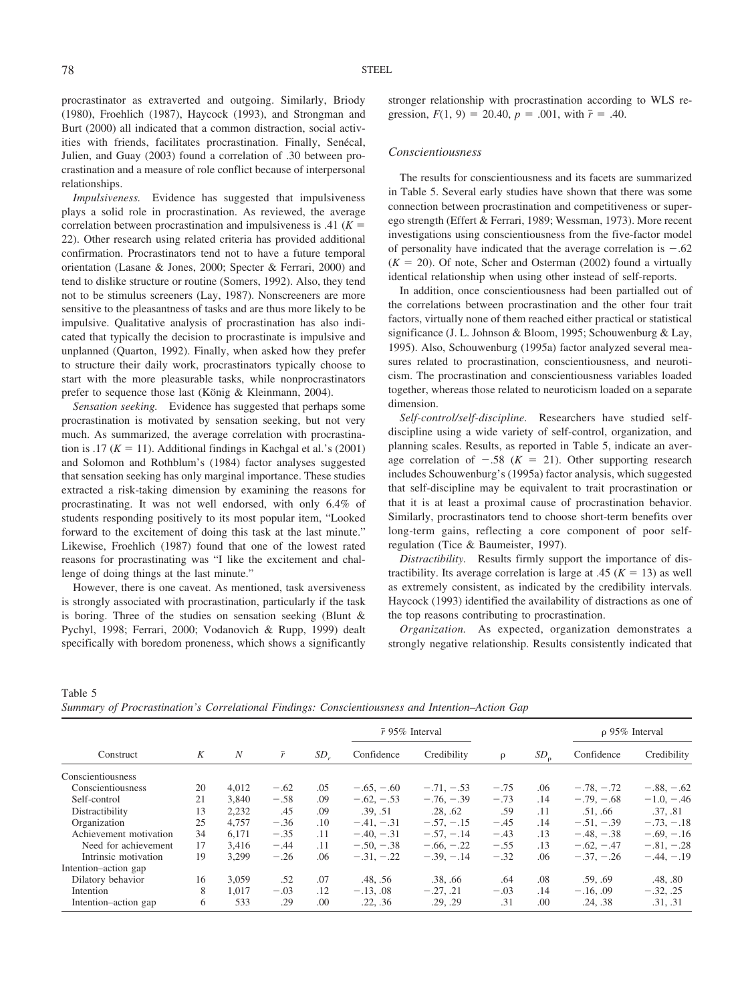procrastinator as extraverted and outgoing. Similarly, Briody (1980), Froehlich (1987), Haycock (1993), and Strongman and Burt (2000) all indicated that a common distraction, social activities with friends, facilitates procrastination. Finally, Senécal, Julien, and Guay (2003) found a correlation of .30 between procrastination and a measure of role conflict because of interpersonal relationships.

*Impulsiveness.* Evidence has suggested that impulsiveness plays a solid role in procrastination. As reviewed, the average correlation between procrastination and impulsiveness is .41  $(K =$ 22). Other research using related criteria has provided additional confirmation. Procrastinators tend not to have a future temporal orientation (Lasane & Jones, 2000; Specter & Ferrari, 2000) and tend to dislike structure or routine (Somers, 1992). Also, they tend not to be stimulus screeners (Lay, 1987). Nonscreeners are more sensitive to the pleasantness of tasks and are thus more likely to be impulsive. Qualitative analysis of procrastination has also indicated that typically the decision to procrastinate is impulsive and unplanned (Quarton, 1992). Finally, when asked how they prefer to structure their daily work, procrastinators typically choose to start with the more pleasurable tasks, while nonprocrastinators prefer to sequence those last (König  $&$  Kleinmann, 2004).

*Sensation seeking.* Evidence has suggested that perhaps some procrastination is motivated by sensation seeking, but not very much. As summarized, the average correlation with procrastination is .17 ( $K = 11$ ). Additional findings in Kachgal et al.'s (2001) and Solomon and Rothblum's (1984) factor analyses suggested that sensation seeking has only marginal importance. These studies extracted a risk-taking dimension by examining the reasons for procrastinating. It was not well endorsed, with only 6.4% of students responding positively to its most popular item, "Looked forward to the excitement of doing this task at the last minute." Likewise, Froehlich (1987) found that one of the lowest rated reasons for procrastinating was "I like the excitement and challenge of doing things at the last minute."

However, there is one caveat. As mentioned, task aversiveness is strongly associated with procrastination, particularly if the task is boring. Three of the studies on sensation seeking (Blunt & Pychyl, 1998; Ferrari, 2000; Vodanovich & Rupp, 1999) dealt specifically with boredom proneness, which shows a significantly stronger relationship with procrastination according to WLS regression,  $F(1, 9) = 20.40$ ,  $p = .001$ , with  $\bar{r} = .40$ .

#### *Conscientiousness*

The results for conscientiousness and its facets are summarized in Table 5. Several early studies have shown that there was some connection between procrastination and competitiveness or superego strength (Effert & Ferrari, 1989; Wessman, 1973). More recent investigations using conscientiousness from the five-factor model of personality have indicated that the average correlation is  $-.62$  $(K = 20)$ . Of note, Scher and Osterman (2002) found a virtually identical relationship when using other instead of self-reports.

In addition, once conscientiousness had been partialled out of the correlations between procrastination and the other four trait factors, virtually none of them reached either practical or statistical significance (J. L. Johnson & Bloom, 1995; Schouwenburg & Lay, 1995). Also, Schouwenburg (1995a) factor analyzed several measures related to procrastination, conscientiousness, and neuroticism. The procrastination and conscientiousness variables loaded together, whereas those related to neuroticism loaded on a separate dimension.

*Self-control/self-discipline.* Researchers have studied selfdiscipline using a wide variety of self-control, organization, and planning scales. Results, as reported in Table 5, indicate an average correlation of  $-.58$  ( $K = 21$ ). Other supporting research includes Schouwenburg's (1995a) factor analysis, which suggested that self-discipline may be equivalent to trait procrastination or that it is at least a proximal cause of procrastination behavior. Similarly, procrastinators tend to choose short-term benefits over long-term gains, reflecting a core component of poor selfregulation (Tice & Baumeister, 1997).

*Distractibility.* Results firmly support the importance of distractibility. Its average correlation is large at .45 ( $K = 13$ ) as well as extremely consistent, as indicated by the credibility intervals. Haycock (1993) identified the availability of distractions as one of the top reasons contributing to procrastination.

*Organization.* As expected, organization demonstrates a strongly negative relationship. Results consistently indicated that

| Table 5                                                                                         |  |
|-------------------------------------------------------------------------------------------------|--|
| Summary of Procrastination's Correlational Findings: Conscientiousness and Intention–Action Gap |  |

|                        |    |       | $\bar{r}$ | $SD_{-}$ | $\bar{r}$ 95% Interval |               |        |                 | $\rho$ 95% Interval |               |
|------------------------|----|-------|-----------|----------|------------------------|---------------|--------|-----------------|---------------------|---------------|
| Construct              | K  | N     |           |          | Confidence             | Credibility   | $\rho$ | SD <sub>o</sub> | Confidence          | Credibility   |
| Conscientiousness      |    |       |           |          |                        |               |        |                 |                     |               |
| Conscientiousness      | 20 | 4.012 | $-.62$    | .05      | $-.65, -.60$           | $-.71, -.53$  | $-.75$ | .06             | $-.78.-.72$         | $-.88, -.62$  |
| Self-control           | 21 | 3.840 | $-.58$    | .09      | $-.62, -.53$           | $-.76, -.39$  | $-.73$ | .14             | $-.79. - .68$       | $-1.0, -0.46$ |
| Distractibility        | 13 | 2,232 | .45       | .09      | .39, .51               | .28, .62      | .59    | .11             | .51, .66            | .37. .81      |
| Organization           | 25 | 4.757 | $-.36$    | .10      | $-.41, -.31$           | $-.57, -.15$  | $-.45$ | .14             | $-.51, -.39$        | $-.73.-.18$   |
| Achievement motivation | 34 | 6.171 | $-.35$    | .11      | $-.40, -.31$           | $-.57, -.14$  | $-.43$ | .13             | $-.48.-.38$         | $-.69. - .16$ |
| Need for achievement   | 17 | 3.416 | $-.44$    | .11      | $-.50, -.38$           | $-.66, -.22$  | $-.55$ | .13             | $-.62, -.47$        | $-.81, -.28$  |
| Intrinsic motivation   | 19 | 3.299 | $-.26$    | .06      | $-.31, -.22$           | $-.39. - .14$ | $-.32$ | .06             | $-.37, -.26$        | $-.44.-.19$   |
| Intention-action gap   |    |       |           |          |                        |               |        |                 |                     |               |
| Dilatory behavior      | 16 | 3.059 | .52       | .07      | .48, .56               | .38, .66      | .64    | .08             | .59, .69            | .48, .80      |
| Intention              | 8  | 1.017 | $-.03$    | .12      | $-.13, .08$            | $-.27, .21$   | $-.03$ | .14             | $-.16, .09$         | $-.32, .25$   |
| Intention-action gap   | 6  | 533   | .29       | .00      | .22, .36               | .29. .29      | .31    | .00             | .24, .38            | .31, .31      |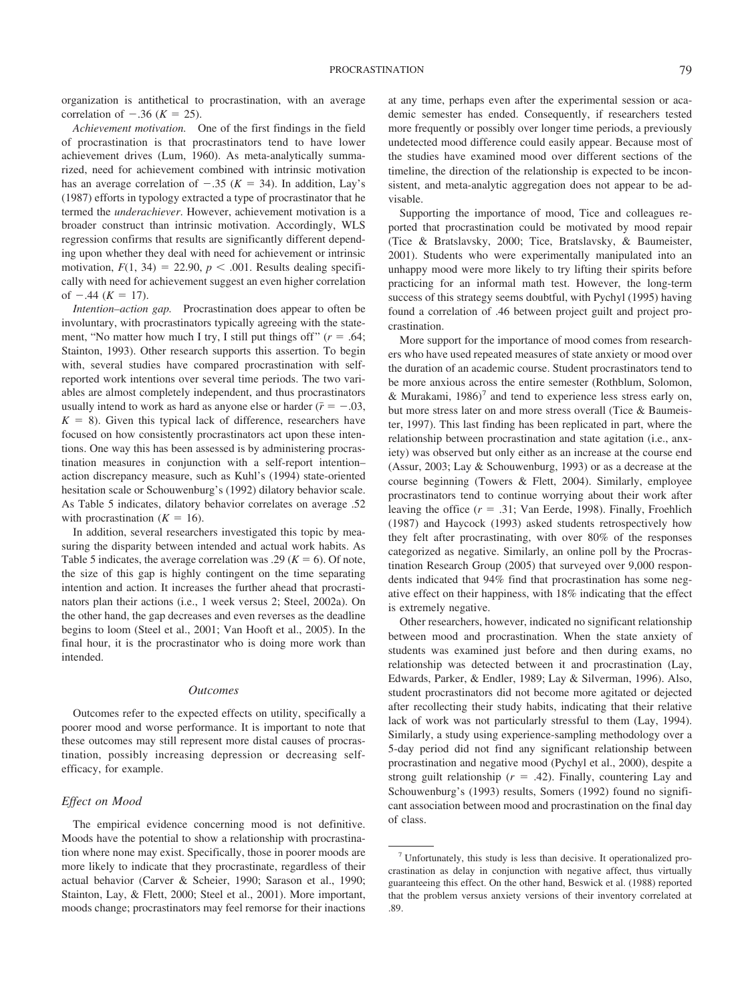organization is antithetical to procrastination, with an average correlation of  $-.36$  ( $K = 25$ ).

*Achievement motivation.* One of the first findings in the field of procrastination is that procrastinators tend to have lower achievement drives (Lum, 1960). As meta-analytically summarized, need for achievement combined with intrinsic motivation has an average correlation of  $-.35$  ( $K = 34$ ). In addition, Lay's (1987) efforts in typology extracted a type of procrastinator that he termed the *underachiever*. However, achievement motivation is a broader construct than intrinsic motivation. Accordingly, WLS regression confirms that results are significantly different depending upon whether they deal with need for achievement or intrinsic motivation,  $F(1, 34) = 22.90$ ,  $p < .001$ . Results dealing specifically with need for achievement suggest an even higher correlation of  $-.44$  ( $K = 17$ ).

*Intention–action gap.* Procrastination does appear to often be involuntary, with procrastinators typically agreeing with the statement, "No matter how much I try, I still put things off"  $(r = .64;$ Stainton, 1993). Other research supports this assertion. To begin with, several studies have compared procrastination with selfreported work intentions over several time periods. The two variables are almost completely independent, and thus procrastinators usually intend to work as hard as anyone else or harder ( $\bar{r} = -.03$ ,  $K = 8$ ). Given this typical lack of difference, researchers have focused on how consistently procrastinators act upon these intentions. One way this has been assessed is by administering procrastination measures in conjunction with a self-report intention– action discrepancy measure, such as Kuhl's (1994) state-oriented hesitation scale or Schouwenburg's (1992) dilatory behavior scale. As Table 5 indicates, dilatory behavior correlates on average .52 with procrastination  $(K = 16)$ .

In addition, several researchers investigated this topic by measuring the disparity between intended and actual work habits. As Table 5 indicates, the average correlation was .29 ( $K = 6$ ). Of note, the size of this gap is highly contingent on the time separating intention and action. It increases the further ahead that procrastinators plan their actions (i.e., 1 week versus 2; Steel, 2002a). On the other hand, the gap decreases and even reverses as the deadline begins to loom (Steel et al., 2001; Van Hooft et al., 2005). In the final hour, it is the procrastinator who is doing more work than intended.

#### *Outcomes*

Outcomes refer to the expected effects on utility, specifically a poorer mood and worse performance. It is important to note that these outcomes may still represent more distal causes of procrastination, possibly increasing depression or decreasing selfefficacy, for example.

# *Effect on Mood*

The empirical evidence concerning mood is not definitive. Moods have the potential to show a relationship with procrastination where none may exist. Specifically, those in poorer moods are more likely to indicate that they procrastinate, regardless of their actual behavior (Carver & Scheier, 1990; Sarason et al., 1990; Stainton, Lay, & Flett, 2000; Steel et al., 2001). More important, moods change; procrastinators may feel remorse for their inactions at any time, perhaps even after the experimental session or academic semester has ended. Consequently, if researchers tested more frequently or possibly over longer time periods, a previously undetected mood difference could easily appear. Because most of the studies have examined mood over different sections of the timeline, the direction of the relationship is expected to be inconsistent, and meta-analytic aggregation does not appear to be advisable.

Supporting the importance of mood, Tice and colleagues reported that procrastination could be motivated by mood repair (Tice & Bratslavsky, 2000; Tice, Bratslavsky, & Baumeister, 2001). Students who were experimentally manipulated into an unhappy mood were more likely to try lifting their spirits before practicing for an informal math test. However, the long-term success of this strategy seems doubtful, with Pychyl (1995) having found a correlation of .46 between project guilt and project procrastination.

More support for the importance of mood comes from researchers who have used repeated measures of state anxiety or mood over the duration of an academic course. Student procrastinators tend to be more anxious across the entire semester (Rothblum, Solomon, & Murakami,  $1986$ <sup>7</sup> and tend to experience less stress early on, but more stress later on and more stress overall (Tice & Baumeister, 1997). This last finding has been replicated in part, where the relationship between procrastination and state agitation (i.e., anxiety) was observed but only either as an increase at the course end (Assur, 2003; Lay & Schouwenburg, 1993) or as a decrease at the course beginning (Towers & Flett, 2004). Similarly, employee procrastinators tend to continue worrying about their work after leaving the office  $(r = .31;$  Van Eerde, 1998). Finally, Froehlich (1987) and Haycock (1993) asked students retrospectively how they felt after procrastinating, with over 80% of the responses categorized as negative. Similarly, an online poll by the Procrastination Research Group (2005) that surveyed over 9,000 respondents indicated that 94% find that procrastination has some negative effect on their happiness, with 18% indicating that the effect is extremely negative.

Other researchers, however, indicated no significant relationship between mood and procrastination. When the state anxiety of students was examined just before and then during exams, no relationship was detected between it and procrastination (Lay, Edwards, Parker, & Endler, 1989; Lay & Silverman, 1996). Also, student procrastinators did not become more agitated or dejected after recollecting their study habits, indicating that their relative lack of work was not particularly stressful to them (Lay, 1994). Similarly, a study using experience-sampling methodology over a 5-day period did not find any significant relationship between procrastination and negative mood (Pychyl et al., 2000), despite a strong guilt relationship  $(r = .42)$ . Finally, countering Lay and Schouwenburg's (1993) results, Somers (1992) found no significant association between mood and procrastination on the final day of class.

<sup>7</sup> Unfortunately, this study is less than decisive. It operationalized procrastination as delay in conjunction with negative affect, thus virtually guaranteeing this effect. On the other hand, Beswick et al. (1988) reported that the problem versus anxiety versions of their inventory correlated at .89.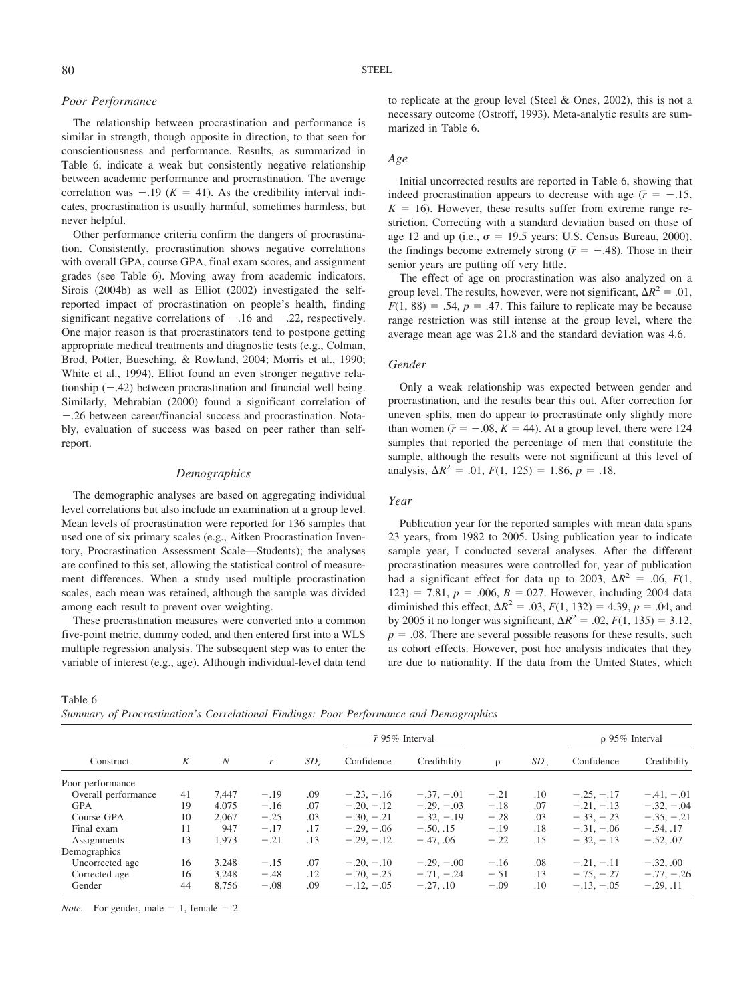#### *Poor Performance*

The relationship between procrastination and performance is similar in strength, though opposite in direction, to that seen for conscientiousness and performance. Results, as summarized in Table 6, indicate a weak but consistently negative relationship between academic performance and procrastination. The average correlation was  $-.19$  ( $K = 41$ ). As the credibility interval indicates, procrastination is usually harmful, sometimes harmless, but never helpful.

Other performance criteria confirm the dangers of procrastination. Consistently, procrastination shows negative correlations with overall GPA, course GPA, final exam scores, and assignment grades (see Table 6). Moving away from academic indicators, Sirois (2004b) as well as Elliot (2002) investigated the selfreported impact of procrastination on people's health, finding significant negative correlations of  $-.16$  and  $-.22$ , respectively. One major reason is that procrastinators tend to postpone getting appropriate medical treatments and diagnostic tests (e.g., Colman, Brod, Potter, Buesching, & Rowland, 2004; Morris et al., 1990; White et al., 1994). Elliot found an even stronger negative relationship  $(-.42)$  between procrastination and financial well being. Similarly, Mehrabian (2000) found a significant correlation of -.26 between career/financial success and procrastination. Notably, evaluation of success was based on peer rather than selfreport.

#### *Demographics*

The demographic analyses are based on aggregating individual level correlations but also include an examination at a group level. Mean levels of procrastination were reported for 136 samples that used one of six primary scales (e.g., Aitken Procrastination Inventory, Procrastination Assessment Scale—Students); the analyses are confined to this set, allowing the statistical control of measurement differences. When a study used multiple procrastination scales, each mean was retained, although the sample was divided among each result to prevent over weighting.

These procrastination measures were converted into a common five-point metric, dummy coded, and then entered first into a WLS multiple regression analysis. The subsequent step was to enter the variable of interest (e.g., age). Although individual-level data tend to replicate at the group level (Steel & Ones, 2002), this is not a necessary outcome (Ostroff, 1993). Meta-analytic results are summarized in Table 6.

# *Age*

Initial uncorrected results are reported in Table 6, showing that indeed procrastination appears to decrease with age  $(\bar{r} = -.15, )$  $K = 16$ ). However, these results suffer from extreme range restriction. Correcting with a standard deviation based on those of age 12 and up (i.e.,  $\sigma = 19.5$  years; U.S. Census Bureau, 2000), the findings become extremely strong ( $\bar{r} = -.48$ ). Those in their senior years are putting off very little.

The effect of age on procrastination was also analyzed on a group level. The results, however, were not significant,  $\Delta R^2 = .01$ ,  $F(1, 88) = .54$ ,  $p = .47$ . This failure to replicate may be because range restriction was still intense at the group level, where the average mean age was 21.8 and the standard deviation was 4.6.

# *Gender*

Only a weak relationship was expected between gender and procrastination, and the results bear this out. After correction for uneven splits, men do appear to procrastinate only slightly more than women ( $\bar{r} = -.08$ ,  $K = 44$ ). At a group level, there were 124 samples that reported the percentage of men that constitute the sample, although the results were not significant at this level of analysis,  $\Delta R^2 = .01$ ,  $F(1, 125) = 1.86$ ,  $p = .18$ .

# *Year*

Publication year for the reported samples with mean data spans 23 years, from 1982 to 2005. Using publication year to indicate sample year, I conducted several analyses. After the different procrastination measures were controlled for, year of publication had a significant effect for data up to 2003,  $\Delta R^2 = .06$ ,  $F(1, 1)$ 123) = 7.81,  $p = .006$ ,  $B = .027$ . However, including 2004 data diminished this effect,  $\Delta R^2 = .03$ ,  $F(1, 132) = 4.39$ ,  $p = .04$ , and by 2005 it no longer was significant,  $\Delta R^2 = .02$ ,  $F(1, 135) = 3.12$ ,  $p = 0.08$ . There are several possible reasons for these results, such as cohort effects. However, post hoc analysis indicates that they are due to nationality. If the data from the United States, which

Table 6

*Summary of Procrastination's Correlational Findings: Poor Performance and Demographics*

|                     |    |       | $\bar{r}$ |        | $\bar{r}$ 95% Interval |               |        |                 | $\rho$ 95% Interval |              |
|---------------------|----|-------|-----------|--------|------------------------|---------------|--------|-----------------|---------------------|--------------|
| Construct           | K  | N     |           | $SD_r$ | Confidence             | Credibility   | $\rho$ | SD <sub>o</sub> | Confidence          | Credibility  |
| Poor performance    |    |       |           |        |                        |               |        |                 |                     |              |
| Overall performance | 41 | 7.447 | $-.19$    | .09    | $-.23. - .16$          | $-.37, -.01$  | $-.21$ | .10             | $-.25, -.17$        | $-.41, -.01$ |
| <b>GPA</b>          | 19 | 4.075 | $-.16$    | .07    | $-.20, -.12$           | $-.29. - .03$ | $-.18$ | .07             | $-.21, -.13$        | $-.32, -.04$ |
| Course GPA          | 10 | 2.067 | $-.25$    | .03    | $-.30, -.21$           | $-.32, -.19$  | $-.28$ | .03             | $-.33.-.23$         | $-.35, -.21$ |
| Final exam          | 11 | 947   | $-.17$    | .17    | $-.29. - .06$          | $-.50, .15$   | $-.19$ | .18             | $-.31, -.06$        | $-.54, .17$  |
| Assignments         | 13 | 1.973 | $-.21$    | .13    | $-.29. - .12$          | $-.47, .06$   | $-.22$ | .15             | $-.32, -.13$        | $-.52, .07$  |
| Demographics        |    |       |           |        |                        |               |        |                 |                     |              |
| Uncorrected age     | 16 | 3.248 | $-.15$    | .07    | $-.20, -.10$           | $-.29. - .00$ | $-.16$ | .08             | $-.21, -.11$        | $-.32, .00$  |
| Corrected age       | 16 | 3.248 | $-.48$    | .12    | $-.70, -.25$           | $-.71, -.24$  | $-.51$ | .13             | $-.75, -.27$        | $-.77, -.26$ |
| Gender              | 44 | 8.756 | $-.08$    | .09    | $-.12, -.05$           | $-.27, .10$   | $-.09$ | .10             | $-.13.-.05$         | $-.29.11$    |

*Note.* For gender, male  $= 1$ , female  $= 2$ .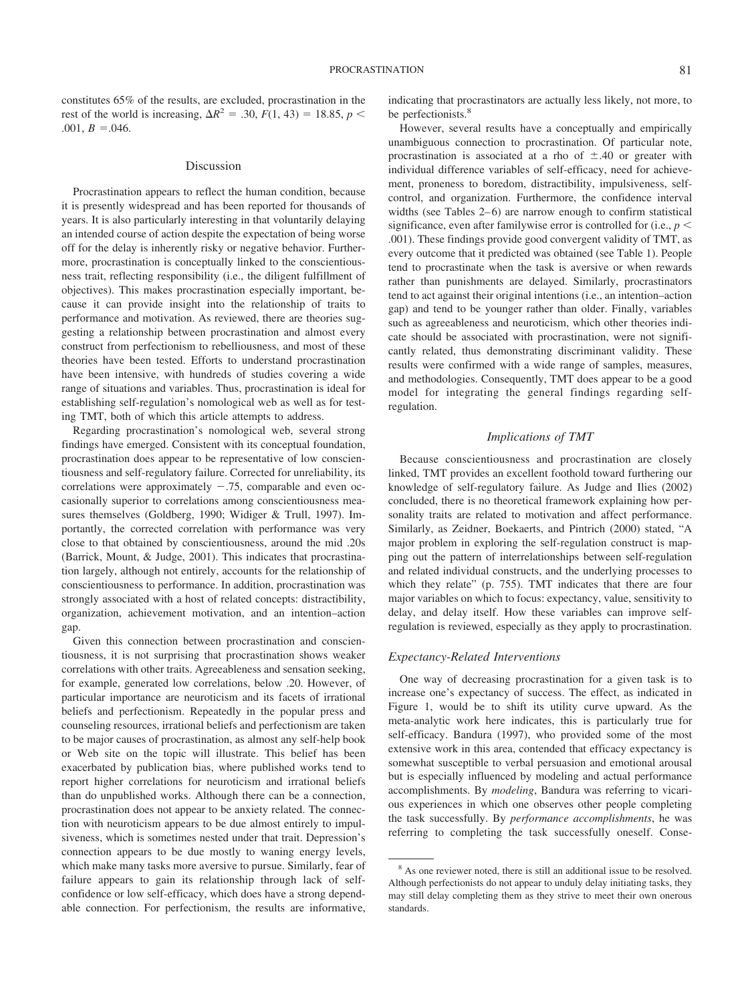constitutes 65% of the results, are excluded, procrastination in the rest of the world is increasing,  $\Delta R^2 = .30$ ,  $F(1, 43) = 18.85$ ,  $p <$  $.001, B = 0.046.$ 

#### Discussion

Procrastination appears to reflect the human condition, because it is presently widespread and has been reported for thousands of years. It is also particularly interesting in that voluntarily delaying an intended course of action despite the expectation of being worse off for the delay is inherently risky or negative behavior. Furthermore, procrastination is conceptually linked to the conscientiousness trait, reflecting responsibility (i.e., the diligent fulfillment of objectives). This makes procrastination especially important, because it can provide insight into the relationship of traits to performance and motivation. As reviewed, there are theories suggesting a relationship between procrastination and almost every construct from perfectionism to rebelliousness, and most of these theories have been tested. Efforts to understand procrastination have been intensive, with hundreds of studies covering a wide range of situations and variables. Thus, procrastination is ideal for establishing self-regulation's nomological web as well as for testing TMT, both of which this article attempts to address.

Regarding procrastination's nomological web, several strong findings have emerged. Consistent with its conceptual foundation, procrastination does appear to be representative of low conscientiousness and self-regulatory failure. Corrected for unreliability, its correlations were approximately  $-.75$ , comparable and even occasionally superior to correlations among conscientiousness measures themselves (Goldberg, 1990; Widiger & Trull, 1997). Importantly, the corrected correlation with performance was very close to that obtained by conscientiousness, around the mid .20s (Barrick, Mount, & Judge, 2001). This indicates that procrastination largely, although not entirely, accounts for the relationship of conscientiousness to performance. In addition, procrastination was strongly associated with a host of related concepts: distractibility, organization, achievement motivation, and an intention–action gap.

Given this connection between procrastination and conscientiousness, it is not surprising that procrastination shows weaker correlations with other traits. Agreeableness and sensation seeking, for example, generated low correlations, below .20. However, of particular importance are neuroticism and its facets of irrational beliefs and perfectionism. Repeatedly in the popular press and counseling resources, irrational beliefs and perfectionism are taken to be major causes of procrastination, as almost any self-help book or Web site on the topic will illustrate. This belief has been exacerbated by publication bias, where published works tend to report higher correlations for neuroticism and irrational beliefs than do unpublished works. Although there can be a connection, procrastination does not appear to be anxiety related. The connection with neuroticism appears to be due almost entirely to impulsiveness, which is sometimes nested under that trait. Depression's connection appears to be due mostly to waning energy levels, which make many tasks more aversive to pursue. Similarly, fear of failure appears to gain its relationship through lack of selfconfidence or low self-efficacy, which does have a strong dependable connection. For perfectionism, the results are informative,

indicating that procrastinators are actually less likely, not more, to be perfectionists.<sup>8</sup>

However, several results have a conceptually and empirically unambiguous connection to procrastination. Of particular note, procrastination is associated at a rho of  $\pm .40$  or greater with individual difference variables of self-efficacy, need for achievement, proneness to boredom, distractibility, impulsiveness, selfcontrol, and organization. Furthermore, the confidence interval widths (see Tables 2–6) are narrow enough to confirm statistical significance, even after familywise error is controlled for (i.e.,  $p <$ .001). These findings provide good convergent validity of TMT, as every outcome that it predicted was obtained (see Table 1). People tend to procrastinate when the task is aversive or when rewards rather than punishments are delayed. Similarly, procrastinators tend to act against their original intentions (i.e., an intention–action gap) and tend to be younger rather than older. Finally, variables such as agreeableness and neuroticism, which other theories indicate should be associated with procrastination, were not significantly related, thus demonstrating discriminant validity. These results were confirmed with a wide range of samples, measures, and methodologies. Consequently, TMT does appear to be a good model for integrating the general findings regarding selfregulation.

#### *Implications of TMT*

Because conscientiousness and procrastination are closely linked, TMT provides an excellent foothold toward furthering our knowledge of self-regulatory failure. As Judge and Ilies (2002) concluded, there is no theoretical framework explaining how personality traits are related to motivation and affect performance. Similarly, as Zeidner, Boekaerts, and Pintrich (2000) stated, "A major problem in exploring the self-regulation construct is mapping out the pattern of interrelationships between self-regulation and related individual constructs, and the underlying processes to which they relate" (p. 755). TMT indicates that there are four major variables on which to focus: expectancy, value, sensitivity to delay, and delay itself. How these variables can improve selfregulation is reviewed, especially as they apply to procrastination.

#### *Expectancy-Related Interventions*

One way of decreasing procrastination for a given task is to increase one's expectancy of success. The effect, as indicated in Figure 1, would be to shift its utility curve upward. As the meta-analytic work here indicates, this is particularly true for self-efficacy. Bandura (1997), who provided some of the most extensive work in this area, contended that efficacy expectancy is somewhat susceptible to verbal persuasion and emotional arousal but is especially influenced by modeling and actual performance accomplishments. By *modeling*, Bandura was referring to vicarious experiences in which one observes other people completing the task successfully. By *performance accomplishments*, he was referring to completing the task successfully oneself. Conse-

<sup>8</sup> As one reviewer noted, there is still an additional issue to be resolved. Although perfectionists do not appear to unduly delay initiating tasks, they may still delay completing them as they strive to meet their own onerous standards.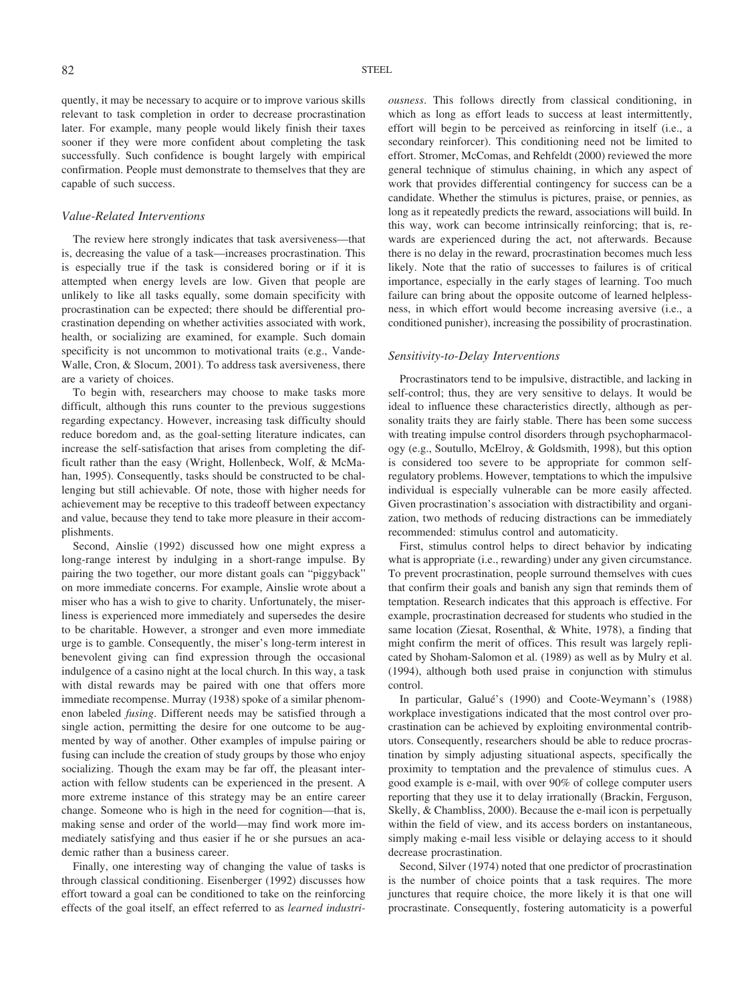quently, it may be necessary to acquire or to improve various skills relevant to task completion in order to decrease procrastination later. For example, many people would likely finish their taxes sooner if they were more confident about completing the task successfully. Such confidence is bought largely with empirical confirmation. People must demonstrate to themselves that they are capable of such success.

### *Value-Related Interventions*

The review here strongly indicates that task aversiveness—that is, decreasing the value of a task—increases procrastination. This is especially true if the task is considered boring or if it is attempted when energy levels are low. Given that people are unlikely to like all tasks equally, some domain specificity with procrastination can be expected; there should be differential procrastination depending on whether activities associated with work, health, or socializing are examined, for example. Such domain specificity is not uncommon to motivational traits (e.g., Vande-Walle, Cron, & Slocum, 2001). To address task aversiveness, there are a variety of choices.

To begin with, researchers may choose to make tasks more difficult, although this runs counter to the previous suggestions regarding expectancy. However, increasing task difficulty should reduce boredom and, as the goal-setting literature indicates, can increase the self-satisfaction that arises from completing the difficult rather than the easy (Wright, Hollenbeck, Wolf, & McMahan, 1995). Consequently, tasks should be constructed to be challenging but still achievable. Of note, those with higher needs for achievement may be receptive to this tradeoff between expectancy and value, because they tend to take more pleasure in their accomplishments.

Second, Ainslie (1992) discussed how one might express a long-range interest by indulging in a short-range impulse. By pairing the two together, our more distant goals can "piggyback" on more immediate concerns. For example, Ainslie wrote about a miser who has a wish to give to charity. Unfortunately, the miserliness is experienced more immediately and supersedes the desire to be charitable. However, a stronger and even more immediate urge is to gamble. Consequently, the miser's long-term interest in benevolent giving can find expression through the occasional indulgence of a casino night at the local church. In this way, a task with distal rewards may be paired with one that offers more immediate recompense. Murray (1938) spoke of a similar phenomenon labeled *fusing*. Different needs may be satisfied through a single action, permitting the desire for one outcome to be augmented by way of another. Other examples of impulse pairing or fusing can include the creation of study groups by those who enjoy socializing. Though the exam may be far off, the pleasant interaction with fellow students can be experienced in the present. A more extreme instance of this strategy may be an entire career change. Someone who is high in the need for cognition—that is, making sense and order of the world—may find work more immediately satisfying and thus easier if he or she pursues an academic rather than a business career.

Finally, one interesting way of changing the value of tasks is through classical conditioning. Eisenberger (1992) discusses how effort toward a goal can be conditioned to take on the reinforcing effects of the goal itself, an effect referred to as *learned industri-* *ousness*. This follows directly from classical conditioning, in which as long as effort leads to success at least intermittently, effort will begin to be perceived as reinforcing in itself (i.e., a secondary reinforcer). This conditioning need not be limited to effort. Stromer, McComas, and Rehfeldt (2000) reviewed the more general technique of stimulus chaining, in which any aspect of work that provides differential contingency for success can be a candidate. Whether the stimulus is pictures, praise, or pennies, as long as it repeatedly predicts the reward, associations will build. In this way, work can become intrinsically reinforcing; that is, rewards are experienced during the act, not afterwards. Because there is no delay in the reward, procrastination becomes much less likely. Note that the ratio of successes to failures is of critical importance, especially in the early stages of learning. Too much failure can bring about the opposite outcome of learned helplessness, in which effort would become increasing aversive (i.e., a conditioned punisher), increasing the possibility of procrastination.

# *Sensitivity-to-Delay Interventions*

Procrastinators tend to be impulsive, distractible, and lacking in self-control; thus, they are very sensitive to delays. It would be ideal to influence these characteristics directly, although as personality traits they are fairly stable. There has been some success with treating impulse control disorders through psychopharmacology (e.g., Soutullo, McElroy, & Goldsmith, 1998), but this option is considered too severe to be appropriate for common selfregulatory problems. However, temptations to which the impulsive individual is especially vulnerable can be more easily affected. Given procrastination's association with distractibility and organization, two methods of reducing distractions can be immediately recommended: stimulus control and automaticity.

First, stimulus control helps to direct behavior by indicating what is appropriate (i.e., rewarding) under any given circumstance. To prevent procrastination, people surround themselves with cues that confirm their goals and banish any sign that reminds them of temptation. Research indicates that this approach is effective. For example, procrastination decreased for students who studied in the same location (Ziesat, Rosenthal, & White, 1978), a finding that might confirm the merit of offices. This result was largely replicated by Shoham-Salomon et al. (1989) as well as by Mulry et al. (1994), although both used praise in conjunction with stimulus control.

In particular, Galué's (1990) and Coote-Weymann's (1988) workplace investigations indicated that the most control over procrastination can be achieved by exploiting environmental contributors. Consequently, researchers should be able to reduce procrastination by simply adjusting situational aspects, specifically the proximity to temptation and the prevalence of stimulus cues. A good example is e-mail, with over 90% of college computer users reporting that they use it to delay irrationally (Brackin, Ferguson, Skelly, & Chambliss, 2000). Because the e-mail icon is perpetually within the field of view, and its access borders on instantaneous, simply making e-mail less visible or delaying access to it should decrease procrastination.

Second, Silver (1974) noted that one predictor of procrastination is the number of choice points that a task requires. The more junctures that require choice, the more likely it is that one will procrastinate. Consequently, fostering automaticity is a powerful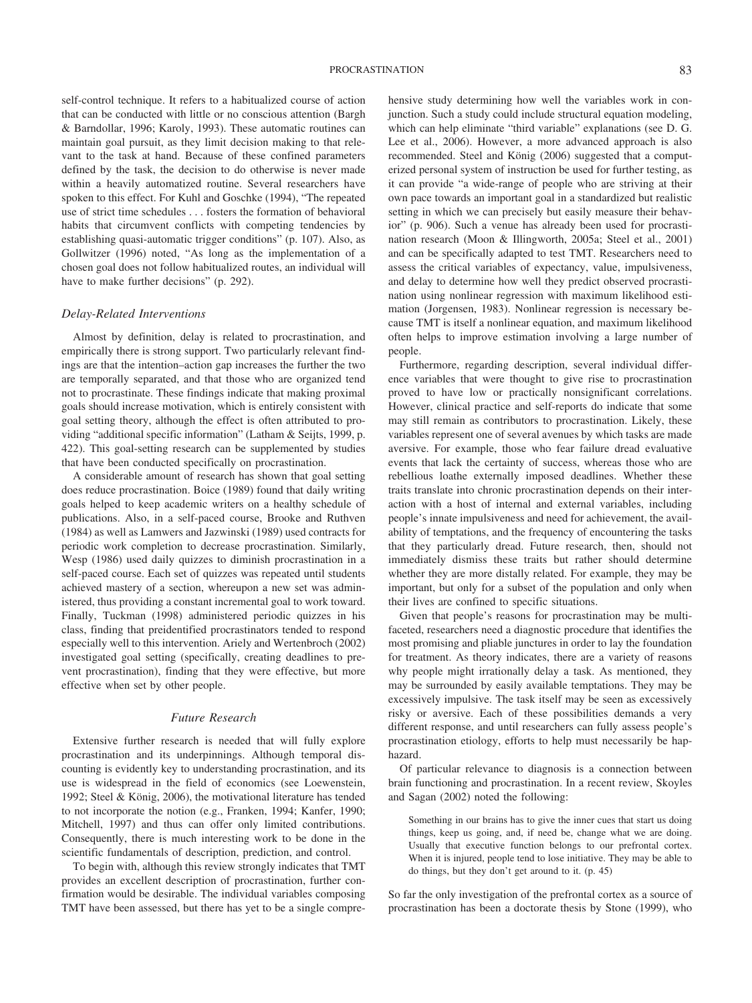self-control technique. It refers to a habitualized course of action that can be conducted with little or no conscious attention (Bargh & Barndollar, 1996; Karoly, 1993). These automatic routines can maintain goal pursuit, as they limit decision making to that relevant to the task at hand. Because of these confined parameters defined by the task, the decision to do otherwise is never made within a heavily automatized routine. Several researchers have spoken to this effect. For Kuhl and Goschke (1994), "The repeated use of strict time schedules . . . fosters the formation of behavioral habits that circumvent conflicts with competing tendencies by establishing quasi-automatic trigger conditions" (p. 107). Also, as Gollwitzer (1996) noted, "As long as the implementation of a chosen goal does not follow habitualized routes, an individual will have to make further decisions" (p. 292).

# *Delay-Related Interventions*

Almost by definition, delay is related to procrastination, and empirically there is strong support. Two particularly relevant findings are that the intention–action gap increases the further the two are temporally separated, and that those who are organized tend not to procrastinate. These findings indicate that making proximal goals should increase motivation, which is entirely consistent with goal setting theory, although the effect is often attributed to providing "additional specific information" (Latham & Seijts, 1999, p. 422). This goal-setting research can be supplemented by studies that have been conducted specifically on procrastination.

A considerable amount of research has shown that goal setting does reduce procrastination. Boice (1989) found that daily writing goals helped to keep academic writers on a healthy schedule of publications. Also, in a self-paced course, Brooke and Ruthven (1984) as well as Lamwers and Jazwinski (1989) used contracts for periodic work completion to decrease procrastination. Similarly, Wesp (1986) used daily quizzes to diminish procrastination in a self-paced course. Each set of quizzes was repeated until students achieved mastery of a section, whereupon a new set was administered, thus providing a constant incremental goal to work toward. Finally, Tuckman (1998) administered periodic quizzes in his class, finding that preidentified procrastinators tended to respond especially well to this intervention. Ariely and Wertenbroch (2002) investigated goal setting (specifically, creating deadlines to prevent procrastination), finding that they were effective, but more effective when set by other people.

### *Future Research*

Extensive further research is needed that will fully explore procrastination and its underpinnings. Although temporal discounting is evidently key to understanding procrastination, and its use is widespread in the field of economics (see Loewenstein, 1992; Steel & König, 2006), the motivational literature has tended to not incorporate the notion (e.g., Franken, 1994; Kanfer, 1990; Mitchell, 1997) and thus can offer only limited contributions. Consequently, there is much interesting work to be done in the scientific fundamentals of description, prediction, and control.

To begin with, although this review strongly indicates that TMT provides an excellent description of procrastination, further confirmation would be desirable. The individual variables composing TMT have been assessed, but there has yet to be a single comprehensive study determining how well the variables work in conjunction. Such a study could include structural equation modeling, which can help eliminate "third variable" explanations (see D. G. Lee et al., 2006). However, a more advanced approach is also recommended. Steel and König (2006) suggested that a computerized personal system of instruction be used for further testing, as it can provide "a wide-range of people who are striving at their own pace towards an important goal in a standardized but realistic setting in which we can precisely but easily measure their behavior" (p. 906). Such a venue has already been used for procrastination research (Moon & Illingworth, 2005a; Steel et al., 2001) and can be specifically adapted to test TMT. Researchers need to assess the critical variables of expectancy, value, impulsiveness, and delay to determine how well they predict observed procrastination using nonlinear regression with maximum likelihood estimation (Jorgensen, 1983). Nonlinear regression is necessary because TMT is itself a nonlinear equation, and maximum likelihood often helps to improve estimation involving a large number of people.

Furthermore, regarding description, several individual difference variables that were thought to give rise to procrastination proved to have low or practically nonsignificant correlations. However, clinical practice and self-reports do indicate that some may still remain as contributors to procrastination. Likely, these variables represent one of several avenues by which tasks are made aversive. For example, those who fear failure dread evaluative events that lack the certainty of success, whereas those who are rebellious loathe externally imposed deadlines. Whether these traits translate into chronic procrastination depends on their interaction with a host of internal and external variables, including people's innate impulsiveness and need for achievement, the availability of temptations, and the frequency of encountering the tasks that they particularly dread. Future research, then, should not immediately dismiss these traits but rather should determine whether they are more distally related. For example, they may be important, but only for a subset of the population and only when their lives are confined to specific situations.

Given that people's reasons for procrastination may be multifaceted, researchers need a diagnostic procedure that identifies the most promising and pliable junctures in order to lay the foundation for treatment. As theory indicates, there are a variety of reasons why people might irrationally delay a task. As mentioned, they may be surrounded by easily available temptations. They may be excessively impulsive. The task itself may be seen as excessively risky or aversive. Each of these possibilities demands a very different response, and until researchers can fully assess people's procrastination etiology, efforts to help must necessarily be haphazard.

Of particular relevance to diagnosis is a connection between brain functioning and procrastination. In a recent review, Skoyles and Sagan (2002) noted the following:

Something in our brains has to give the inner cues that start us doing things, keep us going, and, if need be, change what we are doing. Usually that executive function belongs to our prefrontal cortex. When it is injured, people tend to lose initiative. They may be able to do things, but they don't get around to it. (p. 45)

So far the only investigation of the prefrontal cortex as a source of procrastination has been a doctorate thesis by Stone (1999), who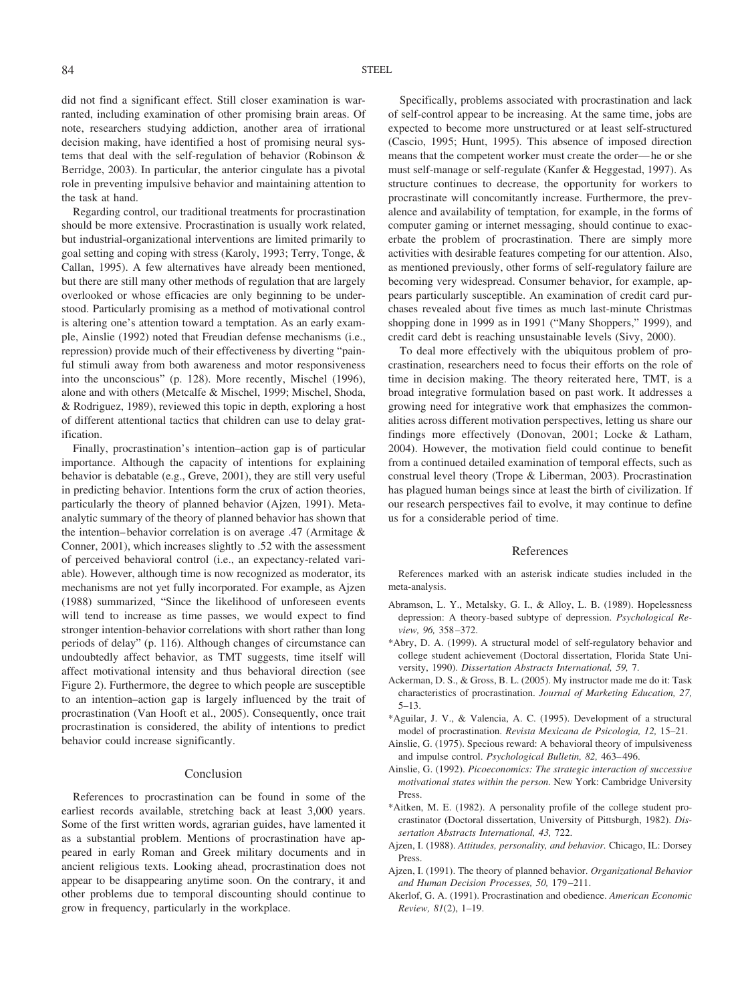did not find a significant effect. Still closer examination is warranted, including examination of other promising brain areas. Of note, researchers studying addiction, another area of irrational decision making, have identified a host of promising neural systems that deal with the self-regulation of behavior (Robinson & Berridge, 2003). In particular, the anterior cingulate has a pivotal role in preventing impulsive behavior and maintaining attention to the task at hand.

Regarding control, our traditional treatments for procrastination should be more extensive. Procrastination is usually work related, but industrial-organizational interventions are limited primarily to goal setting and coping with stress (Karoly, 1993; Terry, Tonge, & Callan, 1995). A few alternatives have already been mentioned, but there are still many other methods of regulation that are largely overlooked or whose efficacies are only beginning to be understood. Particularly promising as a method of motivational control is altering one's attention toward a temptation. As an early example, Ainslie (1992) noted that Freudian defense mechanisms (i.e., repression) provide much of their effectiveness by diverting "painful stimuli away from both awareness and motor responsiveness into the unconscious" (p. 128). More recently, Mischel (1996), alone and with others (Metcalfe & Mischel, 1999; Mischel, Shoda, & Rodriguez, 1989), reviewed this topic in depth, exploring a host of different attentional tactics that children can use to delay gratification.

Finally, procrastination's intention–action gap is of particular importance. Although the capacity of intentions for explaining behavior is debatable (e.g., Greve, 2001), they are still very useful in predicting behavior. Intentions form the crux of action theories, particularly the theory of planned behavior (Ajzen, 1991). Metaanalytic summary of the theory of planned behavior has shown that the intention–behavior correlation is on average .47 (Armitage & Conner, 2001), which increases slightly to .52 with the assessment of perceived behavioral control (i.e., an expectancy-related variable). However, although time is now recognized as moderator, its mechanisms are not yet fully incorporated. For example, as Ajzen (1988) summarized, "Since the likelihood of unforeseen events will tend to increase as time passes, we would expect to find stronger intention-behavior correlations with short rather than long periods of delay" (p. 116). Although changes of circumstance can undoubtedly affect behavior, as TMT suggests, time itself will affect motivational intensity and thus behavioral direction (see Figure 2). Furthermore, the degree to which people are susceptible to an intention–action gap is largely influenced by the trait of procrastination (Van Hooft et al., 2005). Consequently, once trait procrastination is considered, the ability of intentions to predict behavior could increase significantly.

# Conclusion

References to procrastination can be found in some of the earliest records available, stretching back at least 3,000 years. Some of the first written words, agrarian guides, have lamented it as a substantial problem. Mentions of procrastination have appeared in early Roman and Greek military documents and in ancient religious texts. Looking ahead, procrastination does not appear to be disappearing anytime soon. On the contrary, it and other problems due to temporal discounting should continue to grow in frequency, particularly in the workplace.

Specifically, problems associated with procrastination and lack of self-control appear to be increasing. At the same time, jobs are expected to become more unstructured or at least self-structured (Cascio, 1995; Hunt, 1995). This absence of imposed direction means that the competent worker must create the order—he or she must self-manage or self-regulate (Kanfer & Heggestad, 1997). As structure continues to decrease, the opportunity for workers to procrastinate will concomitantly increase. Furthermore, the prevalence and availability of temptation, for example, in the forms of computer gaming or internet messaging, should continue to exacerbate the problem of procrastination. There are simply more activities with desirable features competing for our attention. Also, as mentioned previously, other forms of self-regulatory failure are becoming very widespread. Consumer behavior, for example, appears particularly susceptible. An examination of credit card purchases revealed about five times as much last-minute Christmas shopping done in 1999 as in 1991 ("Many Shoppers," 1999), and credit card debt is reaching unsustainable levels (Sivy, 2000).

To deal more effectively with the ubiquitous problem of procrastination, researchers need to focus their efforts on the role of time in decision making. The theory reiterated here, TMT, is a broad integrative formulation based on past work. It addresses a growing need for integrative work that emphasizes the commonalities across different motivation perspectives, letting us share our findings more effectively (Donovan, 2001; Locke & Latham, 2004). However, the motivation field could continue to benefit from a continued detailed examination of temporal effects, such as construal level theory (Trope & Liberman, 2003). Procrastination has plagued human beings since at least the birth of civilization. If our research perspectives fail to evolve, it may continue to define us for a considerable period of time.

# References

References marked with an asterisk indicate studies included in the meta-analysis.

- Abramson, L. Y., Metalsky, G. I., & Alloy, L. B. (1989). Hopelessness depression: A theory-based subtype of depression. *Psychological Review, 96,* 358–372.
- \*Abry, D. A. (1999). A structural model of self-regulatory behavior and college student achievement (Doctoral dissertation, Florida State University, 1990). *Dissertation Abstracts International, 59,* 7.
- Ackerman, D. S., & Gross, B. L. (2005). My instructor made me do it: Task characteristics of procrastination. *Journal of Marketing Education, 27,* 5–13.
- \*Aguilar, J. V., & Valencia, A. C. (1995). Development of a structural model of procrastination. *Revista Mexicana de Psicologia, 12,* 15–21.
- Ainslie, G. (1975). Specious reward: A behavioral theory of impulsiveness and impulse control. *Psychological Bulletin, 82,* 463–496.
- Ainslie, G. (1992). *Picoeconomics: The strategic interaction of successive motivational states within the person.* New York: Cambridge University Press.
- \*Aitken, M. E. (1982). A personality profile of the college student procrastinator (Doctoral dissertation, University of Pittsburgh, 1982). *Dissertation Abstracts International, 43,* 722.
- Ajzen, I. (1988). *Attitudes, personality, and behavior.* Chicago, IL: Dorsey Press.
- Ajzen, I. (1991). The theory of planned behavior. *Organizational Behavior and Human Decision Processes, 50,* 179–211.
- Akerlof, G. A. (1991). Procrastination and obedience. *American Economic Review, 81*(2), 1–19.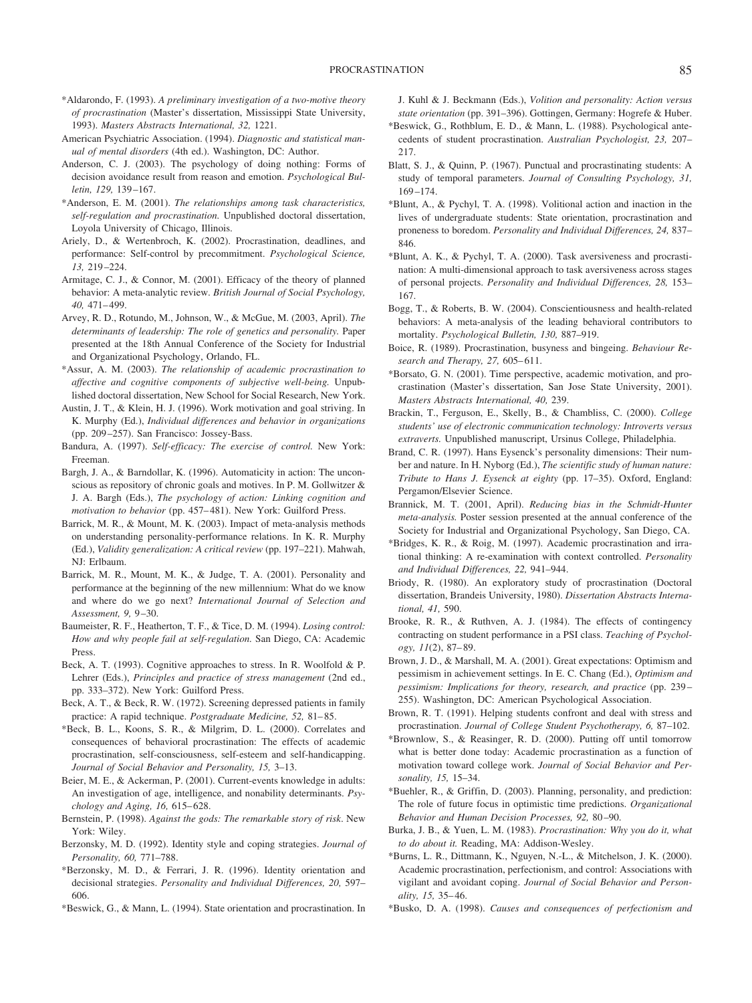- \*Aldarondo, F. (1993). *A preliminary investigation of a two-motive theory of procrastination* (Master's dissertation, Mississippi State University, 1993). *Masters Abstracts International, 32,* 1221.
- American Psychiatric Association. (1994). *Diagnostic and statistical manual of mental disorders* (4th ed.). Washington, DC: Author.
- Anderson, C. J. (2003). The psychology of doing nothing: Forms of decision avoidance result from reason and emotion. *Psychological Bulletin, 129,* 139–167.
- \*Anderson, E. M. (2001). *The relationships among task characteristics, self-regulation and procrastination.* Unpublished doctoral dissertation, Loyola University of Chicago, Illinois.
- Ariely, D., & Wertenbroch, K. (2002). Procrastination, deadlines, and performance: Self-control by precommitment. *Psychological Science, 13,* 219–224.
- Armitage, C. J., & Connor, M. (2001). Efficacy of the theory of planned behavior: A meta-analytic review. *British Journal of Social Psychology, 40,* 471–499.
- Arvey, R. D., Rotundo, M., Johnson, W., & McGue, M. (2003, April). *The determinants of leadership: The role of genetics and personality.* Paper presented at the 18th Annual Conference of the Society for Industrial and Organizational Psychology, Orlando, FL.
- \*Assur, A. M. (2003). *The relationship of academic procrastination to affective and cognitive components of subjective well-being.* Unpublished doctoral dissertation, New School for Social Research, New York.
- Austin, J. T., & Klein, H. J. (1996). Work motivation and goal striving. In K. Murphy (Ed.), *Individual differences and behavior in organizations* (pp. 209–257). San Francisco: Jossey-Bass.
- Bandura, A. (1997). *Self-efficacy: The exercise of control.* New York: Freeman.
- Bargh, J. A., & Barndollar, K. (1996). Automaticity in action: The unconscious as repository of chronic goals and motives. In P. M. Gollwitzer & J. A. Bargh (Eds.), *The psychology of action: Linking cognition and motivation to behavior* (pp. 457–481). New York: Guilford Press.
- Barrick, M. R., & Mount, M. K. (2003). Impact of meta-analysis methods on understanding personality-performance relations. In K. R. Murphy (Ed.), *Validity generalization: A critical review* (pp. 197–221). Mahwah, NJ: Erlbaum.
- Barrick, M. R., Mount, M. K., & Judge, T. A. (2001). Personality and performance at the beginning of the new millennium: What do we know and where do we go next? *International Journal of Selection and Assessment, 9,* 9–30.
- Baumeister, R. F., Heatherton, T. F., & Tice, D. M. (1994). *Losing control: How and why people fail at self-regulation.* San Diego, CA: Academic Press.
- Beck, A. T. (1993). Cognitive approaches to stress. In R. Woolfold & P. Lehrer (Eds.), *Principles and practice of stress management* (2nd ed., pp. 333–372). New York: Guilford Press.
- Beck, A. T., & Beck, R. W. (1972). Screening depressed patients in family practice: A rapid technique. *Postgraduate Medicine, 52,* 81–85.
- \*Beck, B. L., Koons, S. R., & Milgrim, D. L. (2000). Correlates and consequences of behavioral procrastination: The effects of academic procrastination, self-consciousness, self-esteem and self-handicapping. *Journal of Social Behavior and Personality, 15,* 3–13.
- Beier, M. E., & Ackerman, P. (2001). Current-events knowledge in adults: An investigation of age, intelligence, and nonability determinants. *Psychology and Aging, 16,* 615–628.
- Bernstein, P. (1998). *Against the gods: The remarkable story of risk*. New York: Wiley.
- Berzonsky, M. D. (1992). Identity style and coping strategies. *Journal of Personality, 60,* 771–788.
- \*Berzonsky, M. D., & Ferrari, J. R. (1996). Identity orientation and decisional strategies. *Personality and Individual Differences, 20,* 597– 606.
- \*Beswick, G., & Mann, L. (1994). State orientation and procrastination. In

J. Kuhl & J. Beckmann (Eds.), *Volition and personality: Action versus state orientation* (pp. 391–396). Gottingen, Germany: Hogrefe & Huber.

- \*Beswick, G., Rothblum, E. D., & Mann, L. (1988). Psychological antecedents of student procrastination. *Australian Psychologist, 23,* 207– 217.
- Blatt, S. J., & Quinn, P. (1967). Punctual and procrastinating students: A study of temporal parameters. *Journal of Consulting Psychology, 31,* 169–174.
- \*Blunt, A., & Pychyl, T. A. (1998). Volitional action and inaction in the lives of undergraduate students: State orientation, procrastination and proneness to boredom. *Personality and Individual Differences, 24,* 837– 846.
- \*Blunt, A. K., & Pychyl, T. A. (2000). Task aversiveness and procrastination: A multi-dimensional approach to task aversiveness across stages of personal projects. *Personality and Individual Differences, 28,* 153– 167.
- Bogg, T., & Roberts, B. W. (2004). Conscientiousness and health-related behaviors: A meta-analysis of the leading behavioral contributors to mortality. *Psychological Bulletin, 130,* 887–919.
- Boice, R. (1989). Procrastination, busyness and bingeing. *Behaviour Research and Therapy, 27,* 605–611.
- \*Borsato, G. N. (2001). Time perspective, academic motivation, and procrastination (Master's dissertation, San Jose State University, 2001). *Masters Abstracts International, 40,* 239.
- Brackin, T., Ferguson, E., Skelly, B., & Chambliss, C. (2000). *College students' use of electronic communication technology: Introverts versus extraverts.* Unpublished manuscript, Ursinus College, Philadelphia.
- Brand, C. R. (1997). Hans Eysenck's personality dimensions: Their number and nature. In H. Nyborg (Ed.), *The scientific study of human nature: Tribute to Hans J. Eysenck at eighty* (pp. 17–35). Oxford, England: Pergamon/Elsevier Science.
- Brannick, M. T. (2001, April). *Reducing bias in the Schmidt-Hunter meta-analysis.* Poster session presented at the annual conference of the Society for Industrial and Organizational Psychology, San Diego, CA.
- \*Bridges, K. R., & Roig, M. (1997). Academic procrastination and irrational thinking: A re-examination with context controlled. *Personality and Individual Differences, 22,* 941–944.
- Briody, R. (1980). An exploratory study of procrastination (Doctoral dissertation, Brandeis University, 1980). *Dissertation Abstracts International, 41,* 590.
- Brooke, R. R., & Ruthven, A. J. (1984). The effects of contingency contracting on student performance in a PSI class. *Teaching of Psychology, 11*(2), 87–89.
- Brown, J. D., & Marshall, M. A. (2001). Great expectations: Optimism and pessimism in achievement settings. In E. C. Chang (Ed.), *Optimism and pessimism: Implications for theory, research, and practice* (pp. 239– 255). Washington, DC: American Psychological Association.
- Brown, R. T. (1991). Helping students confront and deal with stress and procrastination. *Journal of College Student Psychotherapy, 6,* 87–102.
- \*Brownlow, S., & Reasinger, R. D. (2000). Putting off until tomorrow what is better done today: Academic procrastination as a function of motivation toward college work. *Journal of Social Behavior and Personality, 15,* 15–34.
- \*Buehler, R., & Griffin, D. (2003). Planning, personality, and prediction: The role of future focus in optimistic time predictions. *Organizational Behavior and Human Decision Processes, 92,* 80–90.
- Burka, J. B., & Yuen, L. M. (1983). *Procrastination: Why you do it, what to do about it.* Reading, MA: Addison-Wesley.
- \*Burns, L. R., Dittmann, K., Nguyen, N.-L., & Mitchelson, J. K. (2000). Academic procrastination, perfectionism, and control: Associations with vigilant and avoidant coping. *Journal of Social Behavior and Personality, 15,* 35–46.
- \*Busko, D. A. (1998). *Causes and consequences of perfectionism and*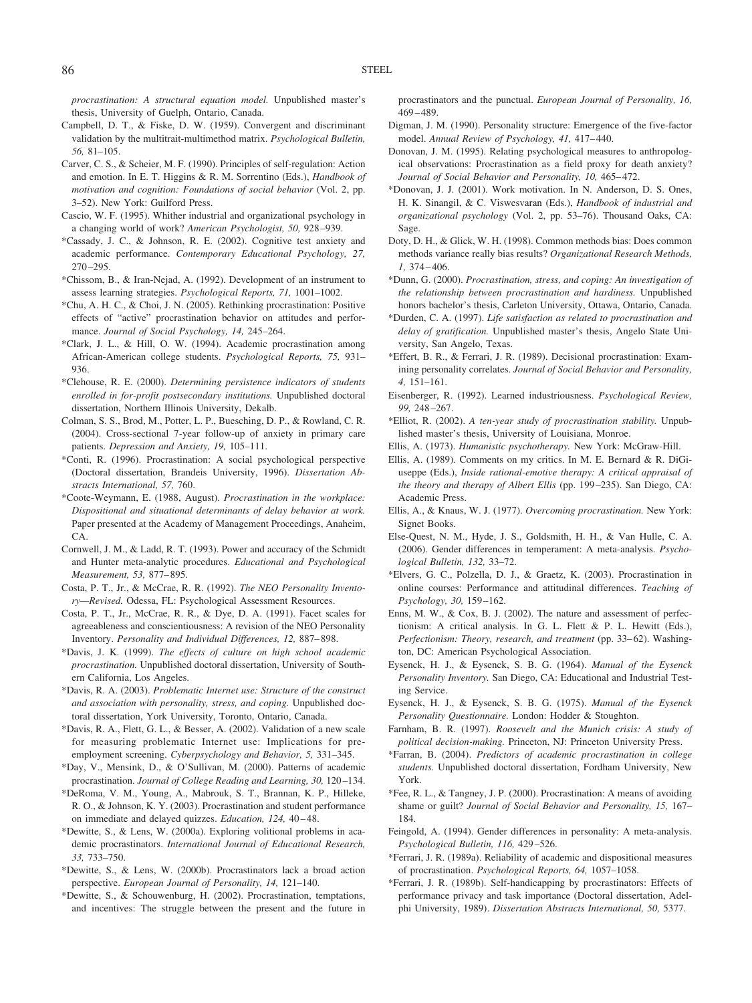*procrastination: A structural equation model.* Unpublished master's thesis, University of Guelph, Ontario, Canada.

- Campbell, D. T., & Fiske, D. W. (1959). Convergent and discriminant validation by the multitrait-multimethod matrix. *Psychological Bulletin, 56,* 81–105.
- Carver, C. S., & Scheier, M. F. (1990). Principles of self-regulation: Action and emotion. In E. T. Higgins & R. M. Sorrentino (Eds.), *Handbook of motivation and cognition: Foundations of social behavior* (Vol. 2, pp. 3–52). New York: Guilford Press.
- Cascio, W. F. (1995). Whither industrial and organizational psychology in a changing world of work? *American Psychologist, 50,* 928–939.
- \*Cassady, J. C., & Johnson, R. E. (2002). Cognitive test anxiety and academic performance. *Contemporary Educational Psychology, 27,* 270–295.
- \*Chissom, B., & Iran-Nejad, A. (1992). Development of an instrument to assess learning strategies. *Psychological Reports, 71,* 1001–1002.
- \*Chu, A. H. C., & Choi, J. N. (2005). Rethinking procrastination: Positive effects of "active" procrastination behavior on attitudes and performance. *Journal of Social Psychology, 14,* 245–264.
- \*Clark, J. L., & Hill, O. W. (1994). Academic procrastination among African-American college students. *Psychological Reports, 75,* 931– 936.
- \*Clehouse, R. E. (2000). *Determining persistence indicators of students enrolled in for-profit postsecondary institutions.* Unpublished doctoral dissertation, Northern Illinois University, Dekalb.
- Colman, S. S., Brod, M., Potter, L. P., Buesching, D. P., & Rowland, C. R. (2004). Cross-sectional 7-year follow-up of anxiety in primary care patients. *Depression and Anxiety, 19,* 105–111.
- \*Conti, R. (1996). Procrastination: A social psychological perspective (Doctoral dissertation, Brandeis University, 1996). *Dissertation Abstracts International, 57,* 760.
- \*Coote-Weymann, E. (1988, August). *Procrastination in the workplace: Dispositional and situational determinants of delay behavior at work.* Paper presented at the Academy of Management Proceedings, Anaheim, CA.
- Cornwell, J. M., & Ladd, R. T. (1993). Power and accuracy of the Schmidt and Hunter meta-analytic procedures. *Educational and Psychological Measurement, 53,* 877–895.
- Costa, P. T., Jr., & McCrae, R. R. (1992). *The NEO Personality Inventory—Revised.* Odessa, FL: Psychological Assessment Resources.
- Costa, P. T., Jr., McCrae, R. R., & Dye, D. A. (1991). Facet scales for agreeableness and conscientiousness: A revision of the NEO Personality Inventory. *Personality and Individual Differences, 12,* 887–898.
- \*Davis, J. K. (1999). *The effects of culture on high school academic procrastination.* Unpublished doctoral dissertation, University of Southern California, Los Angeles.
- \*Davis, R. A. (2003). *Problematic Internet use: Structure of the construct and association with personality, stress, and coping.* Unpublished doctoral dissertation, York University, Toronto, Ontario, Canada.
- \*Davis, R. A., Flett, G. L., & Besser, A. (2002). Validation of a new scale for measuring problematic Internet use: Implications for preemployment screening. *Cyberpsychology and Behavior, 5,* 331–345.
- \*Day, V., Mensink, D., & O'Sullivan, M. (2000). Patterns of academic procrastination. *Journal of College Reading and Learning, 30,* 120–134.
- \*DeRoma, V. M., Young, A., Mabrouk, S. T., Brannan, K. P., Hilleke, R. O., & Johnson, K. Y. (2003). Procrastination and student performance on immediate and delayed quizzes. *Education, 124,* 40–48.
- \*Dewitte, S., & Lens, W. (2000a). Exploring volitional problems in academic procrastinators. *International Journal of Educational Research, 33,* 733–750.
- \*Dewitte, S., & Lens, W. (2000b). Procrastinators lack a broad action perspective. *European Journal of Personality, 14,* 121–140.
- \*Dewitte, S., & Schouwenburg, H. (2002). Procrastination, temptations, and incentives: The struggle between the present and the future in

procrastinators and the punctual. *European Journal of Personality, 16,* 469–489.

- Digman, J. M. (1990). Personality structure: Emergence of the five-factor model. *Annual Review of Psychology, 41,* 417–440.
- Donovan, J. M. (1995). Relating psychological measures to anthropological observations: Procrastination as a field proxy for death anxiety? *Journal of Social Behavior and Personality, 10,* 465–472.
- \*Donovan, J. J. (2001). Work motivation. In N. Anderson, D. S. Ones, H. K. Sinangil, & C. Viswesvaran (Eds.), *Handbook of industrial and organizational psychology* (Vol. 2, pp. 53–76). Thousand Oaks, CA: Sage.
- Doty, D. H., & Glick, W. H. (1998). Common methods bias: Does common methods variance really bias results? *Organizational Research Methods, 1,* 374–406.
- \*Dunn, G. (2000). *Procrastination, stress, and coping: An investigation of the relationship between procrastination and hardiness.* Unpublished honors bachelor's thesis, Carleton University, Ottawa, Ontario, Canada.
- \*Durden, C. A. (1997). *Life satisfaction as related to procrastination and delay of gratification.* Unpublished master's thesis, Angelo State University, San Angelo, Texas.
- \*Effert, B. R., & Ferrari, J. R. (1989). Decisional procrastination: Examining personality correlates. *Journal of Social Behavior and Personality, 4,* 151–161.
- Eisenberger, R. (1992). Learned industriousness. *Psychological Review, 99,* 248–267.
- \*Elliot, R. (2002). *A ten-year study of procrastination stability.* Unpublished master's thesis, University of Louisiana, Monroe.
- Ellis, A. (1973). *Humanistic psychotherapy.* New York: McGraw-Hill.
- Ellis, A. (1989). Comments on my critics. In M. E. Bernard & R. DiGiuseppe (Eds.), *Inside rational-emotive therapy: A critical appraisal of the theory and therapy of Albert Ellis* (pp. 199–235). San Diego, CA: Academic Press.
- Ellis, A., & Knaus, W. J. (1977). *Overcoming procrastination.* New York: Signet Books.
- Else-Quest, N. M., Hyde, J. S., Goldsmith, H. H., & Van Hulle, C. A. (2006). Gender differences in temperament: A meta-analysis. *Psychological Bulletin, 132,* 33–72.
- \*Elvers, G. C., Polzella, D. J., & Graetz, K. (2003). Procrastination in online courses: Performance and attitudinal differences. *Teaching of Psychology, 30,* 159–162.
- Enns, M. W., & Cox, B. J. (2002). The nature and assessment of perfectionism: A critical analysis. In G. L. Flett & P. L. Hewitt (Eds.), *Perfectionism: Theory, research, and treatment* (pp. 33–62). Washington, DC: American Psychological Association.
- Eysenck, H. J., & Eysenck, S. B. G. (1964). *Manual of the Eysenck Personality Inventory.* San Diego, CA: Educational and Industrial Testing Service.
- Eysenck, H. J., & Eysenck, S. B. G. (1975). *Manual of the Eysenck Personality Questionnaire.* London: Hodder & Stoughton.
- Farnham, B. R. (1997). *Roosevelt and the Munich crisis: A study of political decision-making.* Princeton, NJ: Princeton University Press.
- \*Farran, B. (2004). *Predictors of academic procrastination in college students.* Unpublished doctoral dissertation, Fordham University, New York.
- \*Fee, R. L., & Tangney, J. P. (2000). Procrastination: A means of avoiding shame or guilt? *Journal of Social Behavior and Personality, 15,* 167– 184.
- Feingold, A. (1994). Gender differences in personality: A meta-analysis. *Psychological Bulletin, 116,* 429–526.
- \*Ferrari, J. R. (1989a). Reliability of academic and dispositional measures of procrastination. *Psychological Reports, 64,* 1057–1058.
- \*Ferrari, J. R. (1989b). Self-handicapping by procrastinators: Effects of performance privacy and task importance (Doctoral dissertation, Adelphi University, 1989). *Dissertation Abstracts International, 50,* 5377.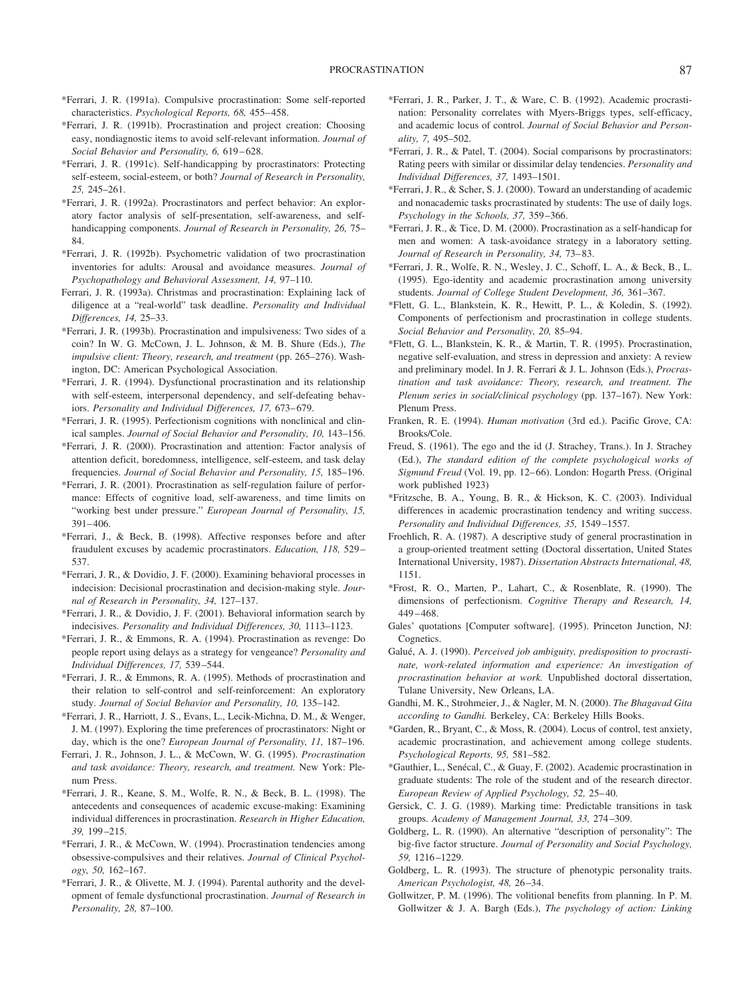- \*Ferrari, J. R. (1991a). Compulsive procrastination: Some self-reported characteristics. *Psychological Reports, 68,* 455–458.
- \*Ferrari, J. R. (1991b). Procrastination and project creation: Choosing easy, nondiagnostic items to avoid self-relevant information. *Journal of Social Behavior and Personality, 6,* 619–628.
- \*Ferrari, J. R. (1991c). Self-handicapping by procrastinators: Protecting self-esteem, social-esteem, or both? *Journal of Research in Personality, 25,* 245–261.
- \*Ferrari, J. R. (1992a). Procrastinators and perfect behavior: An exploratory factor analysis of self-presentation, self-awareness, and selfhandicapping components. *Journal of Research in Personality, 26,* 75– 84.
- \*Ferrari, J. R. (1992b). Psychometric validation of two procrastination inventories for adults: Arousal and avoidance measures. *Journal of Psychopathology and Behavioral Assessment, 14,* 97–110.
- Ferrari, J. R. (1993a). Christmas and procrastination: Explaining lack of diligence at a "real-world" task deadline. *Personality and Individual Differences, 14,* 25–33.
- \*Ferrari, J. R. (1993b). Procrastination and impulsiveness: Two sides of a coin? In W. G. McCown, J. L. Johnson, & M. B. Shure (Eds.), *The impulsive client: Theory, research, and treatment* (pp. 265–276). Washington, DC: American Psychological Association.
- \*Ferrari, J. R. (1994). Dysfunctional procrastination and its relationship with self-esteem, interpersonal dependency, and self-defeating behaviors. *Personality and Individual Differences, 17,* 673–679.
- \*Ferrari, J. R. (1995). Perfectionism cognitions with nonclinical and clinical samples. *Journal of Social Behavior and Personality, 10,* 143–156.
- \*Ferrari, J. R. (2000). Procrastination and attention: Factor analysis of attention deficit, boredomness, intelligence, self-esteem, and task delay frequencies. *Journal of Social Behavior and Personality, 15,* 185–196.
- \*Ferrari, J. R. (2001). Procrastination as self-regulation failure of performance: Effects of cognitive load, self-awareness, and time limits on "working best under pressure." *European Journal of Personality, 15,* 391–406.
- \*Ferrari, J., & Beck, B. (1998). Affective responses before and after fraudulent excuses by academic procrastinators. *Education, 118,* 529– 537.
- \*Ferrari, J. R., & Dovidio, J. F. (2000). Examining behavioral processes in indecision: Decisional procrastination and decision-making style. *Journal of Research in Personality, 34,* 127–137.
- \*Ferrari, J. R., & Dovidio, J. F. (2001). Behavioral information search by indecisives. *Personality and Individual Differences, 30,* 1113–1123.
- \*Ferrari, J. R., & Emmons, R. A. (1994). Procrastination as revenge: Do people report using delays as a strategy for vengeance? *Personality and Individual Differences, 17,* 539–544.
- \*Ferrari, J. R., & Emmons, R. A. (1995). Methods of procrastination and their relation to self-control and self-reinforcement: An exploratory study. *Journal of Social Behavior and Personality, 10,* 135–142.
- \*Ferrari, J. R., Harriott, J. S., Evans, L., Lecik-Michna, D. M., & Wenger, J. M. (1997). Exploring the time preferences of procrastinators: Night or day, which is the one? *European Journal of Personality, 11,* 187–196.
- Ferrari, J. R., Johnson, J. L., & McCown, W. G. (1995). *Procrastination and task avoidance: Theory, research, and treatment.* New York: Plenum Press.
- \*Ferrari, J. R., Keane, S. M., Wolfe, R. N., & Beck, B. L. (1998). The antecedents and consequences of academic excuse-making: Examining individual differences in procrastination. *Research in Higher Education, 39,* 199–215.
- \*Ferrari, J. R., & McCown, W. (1994). Procrastination tendencies among obsessive-compulsives and their relatives. *Journal of Clinical Psychology, 50,* 162–167.
- \*Ferrari, J. R., & Olivette, M. J. (1994). Parental authority and the development of female dysfunctional procrastination. *Journal of Research in Personality, 28,* 87–100.
- \*Ferrari, J. R., Parker, J. T., & Ware, C. B. (1992). Academic procrastination: Personality correlates with Myers-Briggs types, self-efficacy, and academic locus of control. *Journal of Social Behavior and Personality, 7,* 495–502.
- \*Ferrari, J. R., & Patel, T. (2004). Social comparisons by procrastinators: Rating peers with similar or dissimilar delay tendencies. *Personality and Individual Differences, 37,* 1493–1501.
- \*Ferrari, J. R., & Scher, S. J. (2000). Toward an understanding of academic and nonacademic tasks procrastinated by students: The use of daily logs. *Psychology in the Schools, 37,* 359–366.
- \*Ferrari, J. R., & Tice, D. M. (2000). Procrastination as a self-handicap for men and women: A task-avoidance strategy in a laboratory setting. *Journal of Research in Personality, 34,* 73–83.
- \*Ferrari, J. R., Wolfe, R. N., Wesley, J. C., Schoff, L. A., & Beck, B., L. (1995). Ego-identity and academic procrastination among university students. *Journal of College Student Development, 36,* 361–367.
- \*Flett, G. L., Blankstein, K. R., Hewitt, P. L., & Koledin, S. (1992). Components of perfectionism and procrastination in college students. *Social Behavior and Personality, 20,* 85–94.
- \*Flett, G. L., Blankstein, K. R., & Martin, T. R. (1995). Procrastination, negative self-evaluation, and stress in depression and anxiety: A review and preliminary model. In J. R. Ferrari & J. L. Johnson (Eds.), *Procrastination and task avoidance: Theory, research, and treatment. The Plenum series in social/clinical psychology* (pp. 137–167). New York: Plenum Press.
- Franken, R. E. (1994). *Human motivation* (3rd ed.). Pacific Grove, CA: Brooks/Cole.
- Freud, S. (1961). The ego and the id (J. Strachey, Trans.). In J. Strachey (Ed.), *The standard edition of the complete psychological works of Sigmund Freud* (Vol. 19, pp. 12–66). London: Hogarth Press. (Original work published 1923)
- \*Fritzsche, B. A., Young, B. R., & Hickson, K. C. (2003). Individual differences in academic procrastination tendency and writing success. *Personality and Individual Differences, 35,* 1549–1557.
- Froehlich, R. A. (1987). A descriptive study of general procrastination in a group-oriented treatment setting (Doctoral dissertation, United States International University, 1987). *Dissertation Abstracts International, 48,* 1151.
- \*Frost, R. O., Marten, P., Lahart, C., & Rosenblate, R. (1990). The dimensions of perfectionism. *Cognitive Therapy and Research, 14,* 449–468.
- Gales' quotations [Computer software]. (1995). Princeton Junction, NJ: Cognetics.
- Galué, A. J. (1990). *Perceived job ambiguity, predisposition to procrastinate, work-related information and experience: An investigation of procrastination behavior at work.* Unpublished doctoral dissertation, Tulane University, New Orleans, LA.
- Gandhi, M. K., Strohmeier, J., & Nagler, M. N. (2000). *The Bhagavad Gita according to Gandhi.* Berkeley, CA: Berkeley Hills Books.
- \*Garden, R., Bryant, C., & Moss, R. (2004). Locus of control, test anxiety, academic procrastination, and achievement among college students. *Psychological Reports, 95,* 581–582.
- \*Gauthier, L., Senécal, C., & Guay, F. (2002). Academic procrastination in graduate students: The role of the student and of the research director. *European Review of Applied Psychology, 52,* 25–40.
- Gersick, C. J. G. (1989). Marking time: Predictable transitions in task groups. *Academy of Management Journal, 33,* 274–309.
- Goldberg, L. R. (1990). An alternative "description of personality": The big-five factor structure. *Journal of Personality and Social Psychology, 59,* 1216–1229.
- Goldberg, L. R. (1993). The structure of phenotypic personality traits. *American Psychologist, 48,* 26–34.
- Gollwitzer, P. M. (1996). The volitional benefits from planning. In P. M. Gollwitzer & J. A. Bargh (Eds.), *The psychology of action: Linking*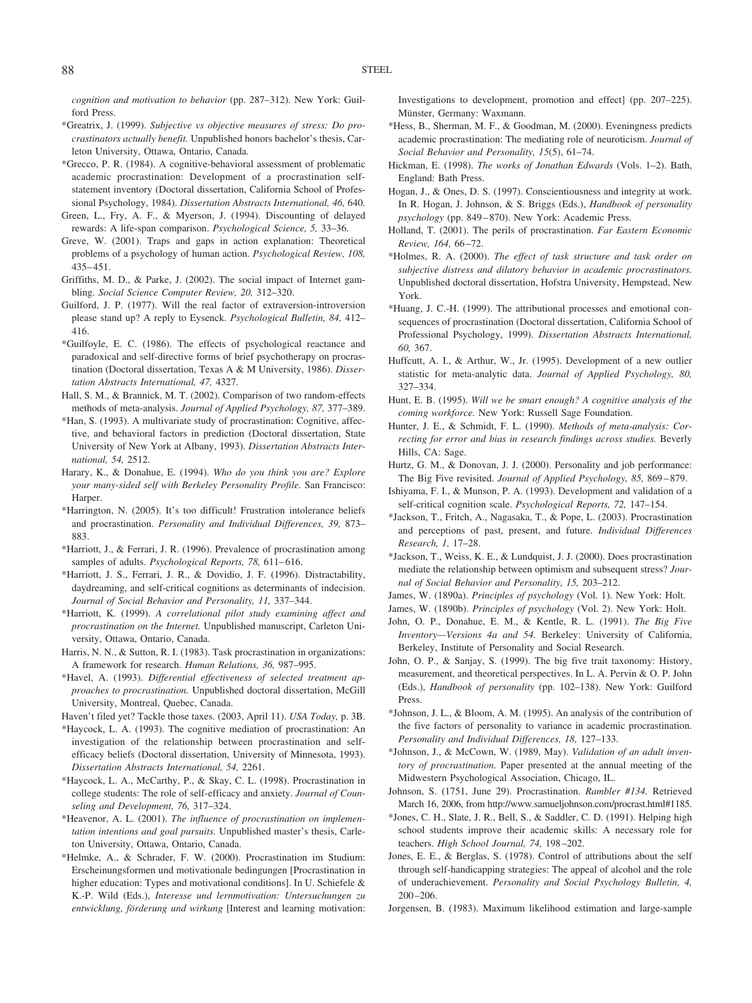*cognition and motivation to behavior* (pp. 287–312). New York: Guilford Press.

- \*Greatrix, J. (1999). *Subjective vs objective measures of stress: Do procrastinators actually benefit.* Unpublished honors bachelor's thesis, Carleton University, Ottawa, Ontario, Canada.
- \*Grecco, P. R. (1984). A cognitive-behavioral assessment of problematic academic procrastination: Development of a procrastination selfstatement inventory (Doctoral dissertation, California School of Professional Psychology, 1984). *Dissertation Abstracts International, 46,* 640.
- Green, L., Fry, A. F., & Myerson, J. (1994). Discounting of delayed rewards: A life-span comparison. *Psychological Science, 5,* 33–36.
- Greve, W. (2001). Traps and gaps in action explanation: Theoretical problems of a psychology of human action. *Psychological Review, 108,* 435–451.
- Griffiths, M. D., & Parke, J. (2002). The social impact of Internet gambling. *Social Science Computer Review, 20,* 312–320.
- Guilford, J. P. (1977). Will the real factor of extraversion-introversion please stand up? A reply to Eysenck. *Psychological Bulletin, 84,* 412– 416.
- \*Guilfoyle, E. C. (1986). The effects of psychological reactance and paradoxical and self-directive forms of brief psychotherapy on procrastination (Doctoral dissertation, Texas A & M University, 1986). *Dissertation Abstracts International, 47,* 4327.
- Hall, S. M., & Brannick, M. T. (2002). Comparison of two random-effects methods of meta-analysis. *Journal of Applied Psychology, 87,* 377–389.
- \*Han, S. (1993). A multivariate study of procrastination: Cognitive, affective, and behavioral factors in prediction (Doctoral dissertation, State University of New York at Albany, 1993). *Dissertation Abstracts International, 54,* 2512.
- Harary, K., & Donahue, E. (1994). *Who do you think you are? Explore your many-sided self with Berkeley Personality Profile.* San Francisco: **Harper.**
- \*Harrington, N. (2005). It's too difficult! Frustration intolerance beliefs and procrastination. *Personality and Individual Differences, 39,* 873– 883.
- \*Harriott, J., & Ferrari, J. R. (1996). Prevalence of procrastination among samples of adults. *Psychological Reports, 78,* 611–616.
- \*Harriott, J. S., Ferrari, J. R., & Dovidio, J. F. (1996). Distractability, daydreaming, and self-critical cognitions as determinants of indecision. *Journal of Social Behavior and Personality, 11,* 337–344.
- \*Harriott, K. (1999). *A correlational pilot study examining affect and procrastination on the Internet.* Unpublished manuscript, Carleton University, Ottawa, Ontario, Canada.
- Harris, N. N., & Sutton, R. I. (1983). Task procrastination in organizations: A framework for research. *Human Relations, 36,* 987–995.
- \*Havel, A. (1993). *Differential effectiveness of selected treatment approaches to procrastination.* Unpublished doctoral dissertation, McGill University, Montreal, Quebec, Canada.
- Haven't filed yet? Tackle those taxes. (2003, April 11). *USA Today,* p. 3B.
- \*Haycock, L. A. (1993). The cognitive mediation of procrastination: An investigation of the relationship between procrastination and selfefficacy beliefs (Doctoral dissertation, University of Minnesota, 1993). *Dissertation Abstracts International, 54,* 2261.
- \*Haycock, L. A., McCarthy, P., & Skay, C. L. (1998). Procrastination in college students: The role of self-efficacy and anxiety. *Journal of Counseling and Development, 76,* 317–324.
- \*Heavenor, A. L. (2001). *The influence of procrastination on implementation intentions and goal pursuits.* Unpublished master's thesis, Carleton University, Ottawa, Ontario, Canada.
- \*Helmke, A., & Schrader, F. W. (2000). Procrastination im Studium: Erscheinungsformen und motivationale bedingungen [Procrastination in higher education: Types and motivational conditions]. In U. Schiefele & K.-P. Wild (Eds.), *Interesse und lernmotivation: Untersuchungen zu* entwicklung, förderung und wirkung [Interest and learning motivation:

Investigations to development, promotion and effect] (pp. 207–225). Münster, Germany: Waxmann.

- \*Hess, B., Sherman, M. F., & Goodman, M. (2000). Eveningness predicts academic procrastination: The mediating role of neuroticism. *Journal of Social Behavior and Personality, 15*(5), 61–74.
- Hickman, E. (1998). *The works of Jonathan Edwards* (Vols. 1–2). Bath, England: Bath Press.
- Hogan, J., & Ones, D. S. (1997). Conscientiousness and integrity at work. In R. Hogan, J. Johnson, & S. Briggs (Eds.), *Handbook of personality psychology* (pp. 849–870). New York: Academic Press.
- Holland, T. (2001). The perils of procrastination. *Far Eastern Economic Review, 164,* 66–72.
- \*Holmes, R. A. (2000). *The effect of task structure and task order on subjective distress and dilatory behavior in academic procrastinators.* Unpublished doctoral dissertation, Hofstra University, Hempstead, New York.
- \*Huang, J. C.-H. (1999). The attributional processes and emotional consequences of procrastination (Doctoral dissertation, California School of Professional Psychology, 1999). *Dissertation Abstracts International, 60,* 367.
- Huffcutt, A. I., & Arthur, W., Jr. (1995). Development of a new outlier statistic for meta-analytic data. *Journal of Applied Psychology, 80,* 327–334.
- Hunt, E. B. (1995). *Will we be smart enough? A cognitive analysis of the coming workforce.* New York: Russell Sage Foundation.
- Hunter, J. E., & Schmidt, F. L. (1990). *Methods of meta-analysis: Correcting for error and bias in research findings across studies.* Beverly Hills, CA: Sage.
- Hurtz, G. M., & Donovan, J. J. (2000). Personality and job performance: The Big Five revisited. *Journal of Applied Psychology, 85,* 869–879.
- Ishiyama, F. I., & Munson, P. A. (1993). Development and validation of a self-critical cognition scale. *Psychological Reports, 72,* 147–154.
- \*Jackson, T., Fritch, A., Nagasaka, T., & Pope, L. (2003). Procrastination and perceptions of past, present, and future. *Individual Differences Research, 1,* 17–28.
- \*Jackson, T., Weiss, K. E., & Lundquist, J. J. (2000). Does procrastination mediate the relationship between optimism and subsequent stress? *Journal of Social Behavior and Personality, 15,* 203–212.
- James, W. (1890a). *Principles of psychology* (Vol. 1). New York: Holt.
- James, W. (1890b). *Principles of psychology* (Vol. 2). New York: Holt.
- John, O. P., Donahue, E. M., & Kentle, R. L. (1991). *The Big Five Inventory—Versions 4a and 54.* Berkeley: University of California, Berkeley, Institute of Personality and Social Research.
- John, O. P., & Sanjay, S. (1999). The big five trait taxonomy: History, measurement, and theoretical perspectives. In L. A. Pervin & O. P. John (Eds.), *Handbook of personality* (pp. 102–138). New York: Guilford Press.
- \*Johnson, J. L., & Bloom, A. M. (1995). An analysis of the contribution of the five factors of personality to variance in academic procrastination. *Personality and Individual Differences, 18,* 127–133.
- \*Johnson, J., & McCown, W. (1989, May). *Validation of an adult inventory of procrastination.* Paper presented at the annual meeting of the Midwestern Psychological Association, Chicago, IL.
- Johnson, S. (1751, June 29). Procrastination. *Rambler #134.* Retrieved March 16, 2006, from http://www.samueljohnson.com/procrast.html#1185.
- \*Jones, C. H., Slate, J. R., Bell, S., & Saddler, C. D. (1991). Helping high school students improve their academic skills: A necessary role for teachers. *High School Journal, 74,* 198–202.
- Jones, E. E., & Berglas, S. (1978). Control of attributions about the self through self-handicapping strategies: The appeal of alcohol and the role of underachievement. *Personality and Social Psychology Bulletin, 4,* 200–206.
- Jorgensen, B. (1983). Maximum likelihood estimation and large-sample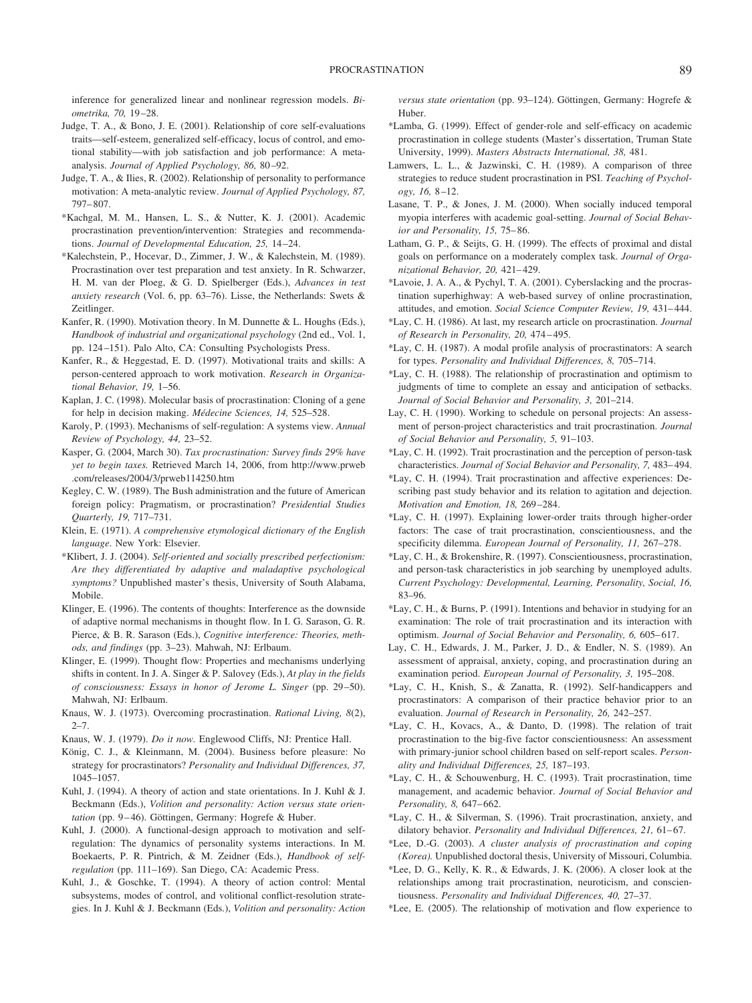inference for generalized linear and nonlinear regression models. *Biometrika, 70,* 19–28.

- Judge, T. A., & Bono, J. E. (2001). Relationship of core self-evaluations traits—self-esteem, generalized self-efficacy, locus of control, and emotional stability—with job satisfaction and job performance: A metaanalysis. *Journal of Applied Psychology, 86,* 80–92.
- Judge, T. A., & Ilies, R. (2002). Relationship of personality to performance motivation: A meta-analytic review. *Journal of Applied Psychology, 87,* 797–807.
- \*Kachgal, M. M., Hansen, L. S., & Nutter, K. J. (2001). Academic procrastination prevention/intervention: Strategies and recommendations. *Journal of Developmental Education, 25,* 14–24.
- \*Kalechstein, P., Hocevar, D., Zimmer, J. W., & Kalechstein, M. (1989). Procrastination over test preparation and test anxiety. In R. Schwarzer, H. M. van der Ploeg, & G. D. Spielberger (Eds.), *Advances in test anxiety research* (Vol. 6, pp. 63–76). Lisse, the Netherlands: Swets & Zeitlinger.
- Kanfer, R. (1990). Motivation theory. In M. Dunnette & L. Houghs (Eds.), *Handbook of industrial and organizational psychology* (2nd ed., Vol. 1, pp. 124–151). Palo Alto, CA: Consulting Psychologists Press.
- Kanfer, R., & Heggestad, E. D. (1997). Motivational traits and skills: A person-centered approach to work motivation. *Research in Organizational Behavior, 19,* 1–56.
- Kaplan, J. C. (1998). Molecular basis of procrastination: Cloning of a gene for help in decision making. *Médecine Sciences, 14, 525–528*.
- Karoly, P. (1993). Mechanisms of self-regulation: A systems view. *Annual Review of Psychology, 44,* 23–52.
- Kasper, G. (2004, March 30). *Tax procrastination: Survey finds 29% have yet to begin taxes.* Retrieved March 14, 2006, from http://www.prweb .com/releases/2004/3/prweb114250.htm
- Kegley, C. W. (1989). The Bush administration and the future of American foreign policy: Pragmatism, or procrastination? *Presidential Studies Quarterly, 19,* 717–731.
- Klein, E. (1971). *A comprehensive etymological dictionary of the English language*. New York: Elsevier.
- \*Klibert, J. J. (2004). *Self-oriented and socially prescribed perfectionism: Are they differentiated by adaptive and maladaptive psychological symptoms?* Unpublished master's thesis, University of South Alabama, Mobile.
- Klinger, E. (1996). The contents of thoughts: Interference as the downside of adaptive normal mechanisms in thought flow. In I. G. Sarason, G. R. Pierce, & B. R. Sarason (Eds.), *Cognitive interference: Theories, methods, and findings* (pp. 3–23). Mahwah, NJ: Erlbaum.
- Klinger, E. (1999). Thought flow: Properties and mechanisms underlying shifts in content. In J. A. Singer & P. Salovey (Eds.), *At play in the fields of consciousness: Essays in honor of Jerome L. Singer* (pp. 29–50). Mahwah, NJ: Erlbaum.
- Knaus, W. J. (1973). Overcoming procrastination. *Rational Living, 8*(2), 2–7.
- Knaus, W. J. (1979). *Do it now.* Englewood Cliffs, NJ: Prentice Hall.
- König, C. J., & Kleinmann, M. (2004). Business before pleasure: No strategy for procrastinators? *Personality and Individual Differences, 37,* 1045–1057.
- Kuhl, J. (1994). A theory of action and state orientations. In J. Kuhl & J. Beckmann (Eds.), *Volition and personality: Action versus state orientation* (pp. 9–46). Göttingen, Germany: Hogrefe & Huber.
- Kuhl, J. (2000). A functional-design approach to motivation and selfregulation: The dynamics of personality systems interactions. In M. Boekaerts, P. R. Pintrich, & M. Zeidner (Eds.), *Handbook of selfregulation* (pp. 111–169). San Diego, CA: Academic Press.
- Kuhl, J., & Goschke, T. (1994). A theory of action control: Mental subsystems, modes of control, and volitional conflict-resolution strategies. In J. Kuhl & J. Beckmann (Eds.), *Volition and personality: Action*

*versus state orientation* (pp. 93–124). Göttingen, Germany: Hogrefe & Huber.

- \*Lamba, G. (1999). Effect of gender-role and self-efficacy on academic procrastination in college students (Master's dissertation, Truman State University, 1999). *Masters Abstracts International, 38,* 481.
- Lamwers, L. L., & Jazwinski, C. H. (1989). A comparison of three strategies to reduce student procrastination in PSI. *Teaching of Psychology, 16,* 8–12.
- Lasane, T. P., & Jones, J. M. (2000). When socially induced temporal myopia interferes with academic goal-setting. *Journal of Social Behavior and Personality, 15,* 75–86.
- Latham, G. P., & Seijts, G. H. (1999). The effects of proximal and distal goals on performance on a moderately complex task. *Journal of Organizational Behavior, 20,* 421–429.
- \*Lavoie, J. A. A., & Pychyl, T. A. (2001). Cyberslacking and the procrastination superhighway: A web-based survey of online procrastination, attitudes, and emotion. *Social Science Computer Review, 19,* 431–444.
- \*Lay, C. H. (1986). At last, my research article on procrastination. *Journal of Research in Personality, 20,* 474–495.
- \*Lay, C. H. (1987). A modal profile analysis of procrastinators: A search for types. *Personality and Individual Differences, 8,* 705–714.
- \*Lay, C. H. (1988). The relationship of procrastination and optimism to judgments of time to complete an essay and anticipation of setbacks. *Journal of Social Behavior and Personality, 3,* 201–214.
- Lay, C. H. (1990). Working to schedule on personal projects: An assessment of person-project characteristics and trait procrastination. *Journal of Social Behavior and Personality, 5,* 91–103.
- \*Lay, C. H. (1992). Trait procrastination and the perception of person-task characteristics. *Journal of Social Behavior and Personality, 7,* 483–494.
- \*Lay, C. H. (1994). Trait procrastination and affective experiences: Describing past study behavior and its relation to agitation and dejection. *Motivation and Emotion, 18,* 269–284.
- \*Lay, C. H. (1997). Explaining lower-order traits through higher-order factors: The case of trait procrastination, conscientiousness, and the specificity dilemma. *European Journal of Personality, 11,* 267–278.
- \*Lay, C. H., & Brokenshire, R. (1997). Conscientiousness, procrastination, and person-task characteristics in job searching by unemployed adults. *Current Psychology: Developmental, Learning, Personality, Social, 16,* 83–96.
- \*Lay, C. H., & Burns, P. (1991). Intentions and behavior in studying for an examination: The role of trait procrastination and its interaction with optimism. *Journal of Social Behavior and Personality, 6,* 605–617.
- Lay, C. H., Edwards, J. M., Parker, J. D., & Endler, N. S. (1989). An assessment of appraisal, anxiety, coping, and procrastination during an examination period. *European Journal of Personality, 3,* 195–208.
- \*Lay, C. H., Knish, S., & Zanatta, R. (1992). Self-handicappers and procrastinators: A comparison of their practice behavior prior to an evaluation. *Journal of Research in Personality, 26,* 242–257.
- \*Lay, C. H., Kovacs, A., & Danto, D. (1998). The relation of trait procrastination to the big-five factor conscientiousness: An assessment with primary-junior school children based on self-report scales. *Personality and Individual Differences, 25,* 187–193.
- \*Lay, C. H., & Schouwenburg, H. C. (1993). Trait procrastination, time management, and academic behavior. *Journal of Social Behavior and Personality, 8,* 647–662.
- \*Lay, C. H., & Silverman, S. (1996). Trait procrastination, anxiety, and dilatory behavior. *Personality and Individual Differences, 21,* 61–67.
- \*Lee, D.-G. (2003). *A cluster analysis of procrastination and coping (Korea).* Unpublished doctoral thesis, University of Missouri, Columbia.
- \*Lee, D. G., Kelly, K. R., & Edwards, J. K. (2006). A closer look at the relationships among trait procrastination, neuroticism, and conscientiousness. *Personality and Individual Differences, 40,* 27–37.
- \*Lee, E. (2005). The relationship of motivation and flow experience to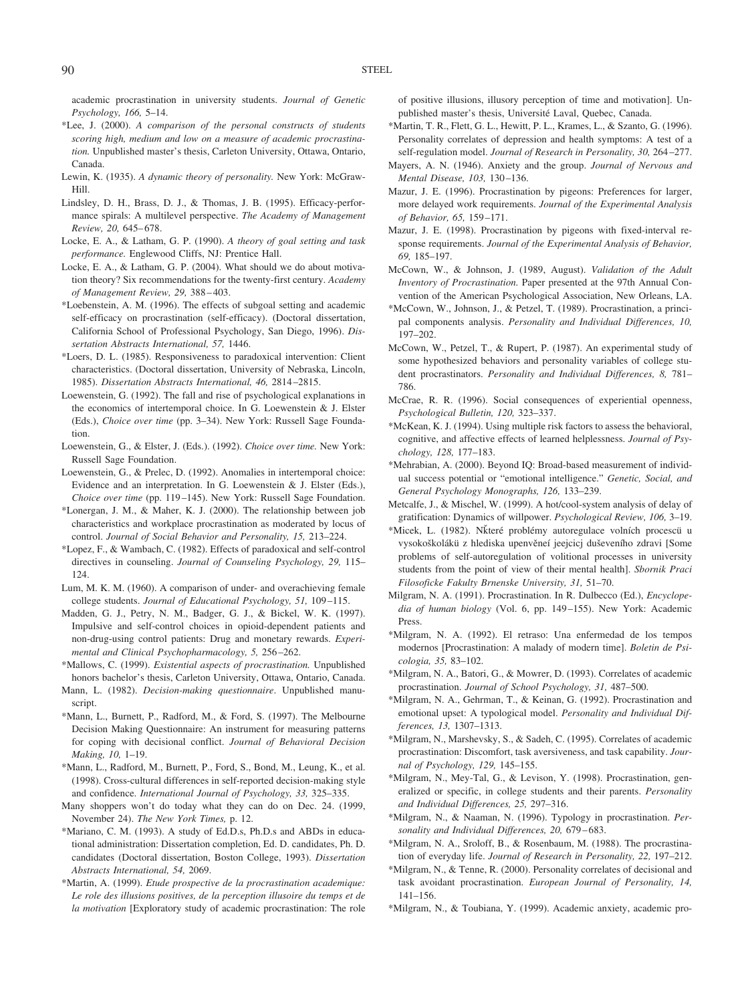academic procrastination in university students. *Journal of Genetic Psychology, 166,* 5–14.

- \*Lee, J. (2000). *A comparison of the personal constructs of students scoring high, medium and low on a measure of academic procrastination.* Unpublished master's thesis, Carleton University, Ottawa, Ontario, Canada.
- Lewin, K. (1935). *A dynamic theory of personality.* New York: McGraw-Hill.
- Lindsley, D. H., Brass, D. J., & Thomas, J. B. (1995). Efficacy-performance spirals: A multilevel perspective. *The Academy of Management Review, 20,* 645–678.
- Locke, E. A., & Latham, G. P. (1990). *A theory of goal setting and task performance.* Englewood Cliffs, NJ: Prentice Hall.
- Locke, E. A., & Latham, G. P. (2004). What should we do about motivation theory? Six recommendations for the twenty-first century. *Academy of Management Review, 29,* 388–403.
- \*Loebenstein, A. M. (1996). The effects of subgoal setting and academic self-efficacy on procrastination (self-efficacy). (Doctoral dissertation, California School of Professional Psychology, San Diego, 1996). *Dissertation Abstracts International, 57,* 1446.
- \*Loers, D. L. (1985). Responsiveness to paradoxical intervention: Client characteristics. (Doctoral dissertation, University of Nebraska, Lincoln, 1985). *Dissertation Abstracts International, 46,* 2814–2815.
- Loewenstein, G. (1992). The fall and rise of psychological explanations in the economics of intertemporal choice. In G. Loewenstein & J. Elster (Eds.), *Choice over time* (pp. 3–34). New York: Russell Sage Foundation.
- Loewenstein, G., & Elster, J. (Eds.). (1992). *Choice over time.* New York: Russell Sage Foundation.
- Loewenstein, G., & Prelec, D. (1992). Anomalies in intertemporal choice: Evidence and an interpretation. In G. Loewenstein & J. Elster (Eds.), *Choice over time* (pp. 119–145). New York: Russell Sage Foundation.
- \*Lonergan, J. M., & Maher, K. J. (2000). The relationship between job characteristics and workplace procrastination as moderated by locus of control. *Journal of Social Behavior and Personality, 15,* 213–224.
- \*Lopez, F., & Wambach, C. (1982). Effects of paradoxical and self-control directives in counseling. *Journal of Counseling Psychology, 29,* 115– 124.
- Lum, M. K. M. (1960). A comparison of under- and overachieving female college students. *Journal of Educational Psychology, 51,* 109–115.
- Madden, G. J., Petry, N. M., Badger, G. J., & Bickel, W. K. (1997). Impulsive and self-control choices in opioid-dependent patients and non-drug-using control patients: Drug and monetary rewards. *Experimental and Clinical Psychopharmacology, 5,* 256–262.
- \*Mallows, C. (1999). *Existential aspects of procrastination.* Unpublished honors bachelor's thesis, Carleton University, Ottawa, Ontario, Canada.
- Mann, L. (1982). *Decision-making questionnaire*. Unpublished manuscript.
- \*Mann, L., Burnett, P., Radford, M., & Ford, S. (1997). The Melbourne Decision Making Questionnaire: An instrument for measuring patterns for coping with decisional conflict. *Journal of Behavioral Decision Making, 10,* 1–19.
- \*Mann, L., Radford, M., Burnett, P., Ford, S., Bond, M., Leung, K., et al. (1998). Cross-cultural differences in self-reported decision-making style and confidence. *International Journal of Psychology, 33,* 325–335.
- Many shoppers won't do today what they can do on Dec. 24. (1999, November 24). *The New York Times,* p. 12.
- \*Mariano, C. M. (1993). A study of Ed.D.s, Ph.D.s and ABDs in educational administration: Dissertation completion, Ed. D. candidates, Ph. D. candidates (Doctoral dissertation, Boston College, 1993). *Dissertation Abstracts International, 54,* 2069.
- \*Martin, A. (1999). *Etude prospective de la procrastination academique: Le role des illusions positives, de la perception illusoire du temps et de la motivation* [Exploratory study of academic procrastination: The role

of positive illusions, illusory perception of time and motivation]. Unpublished master's thesis, Université Laval, Quebec, Canada.

- \*Martin, T. R., Flett, G. L., Hewitt, P. L., Krames, L., & Szanto, G. (1996). Personality correlates of depression and health symptoms: A test of a self-regulation model. *Journal of Research in Personality, 30,* 264–277.
- Mayers, A. N. (1946). Anxiety and the group. *Journal of Nervous and Mental Disease, 103,* 130–136.
- Mazur, J. E. (1996). Procrastination by pigeons: Preferences for larger, more delayed work requirements. *Journal of the Experimental Analysis of Behavior, 65,* 159–171.
- Mazur, J. E. (1998). Procrastination by pigeons with fixed-interval response requirements. *Journal of the Experimental Analysis of Behavior, 69,* 185–197.
- McCown, W., & Johnson, J. (1989, August). *Validation of the Adult Inventory of Procrastination.* Paper presented at the 97th Annual Convention of the American Psychological Association, New Orleans, LA.
- \*McCown, W., Johnson, J., & Petzel, T. (1989). Procrastination, a principal components analysis. *Personality and Individual Differences, 10,* 197–202.
- McCown, W., Petzel, T., & Rupert, P. (1987). An experimental study of some hypothesized behaviors and personality variables of college student procrastinators. *Personality and Individual Differences, 8,* 781– 786.
- McCrae, R. R. (1996). Social consequences of experiential openness, *Psychological Bulletin, 120,* 323–337.
- \*McKean, K. J. (1994). Using multiple risk factors to assess the behavioral, cognitive, and affective effects of learned helplessness. *Journal of Psychology, 128,* 177–183.
- \*Mehrabian, A. (2000). Beyond IQ: Broad-based measurement of individual success potential or "emotional intelligence." *Genetic, Social, and General Psychology Monographs, 126,* 133–239.
- Metcalfe, J., & Mischel, W. (1999). A hot/cool-system analysis of delay of gratification: Dynamics of willpower. *Psychological Review, 106,* 3–19.
- \*Micek, L. (1982). Nkteré problémy autoregulace volních procescü u vysokoškolákü z hlediska upenvěneí jeejcicj duševeního zdravi [Some problems of self-autoregulation of volitional processes in university students from the point of view of their mental health]. *Sbornik Praci Filosoficke Fakulty Brnenske University, 31,* 51–70.
- Milgram, N. A. (1991). Procrastination. In R. Dulbecco (Ed.), *Encyclopedia of human biology* (Vol. 6, pp. 149–155). New York: Academic Press.
- \*Milgram, N. A. (1992). El retraso: Una enfermedad de los tempos modernos [Procrastination: A malady of modern time]. *Boletin de Psicologia, 35,* 83–102.
- \*Milgram, N. A., Batori, G., & Mowrer, D. (1993). Correlates of academic procrastination. *Journal of School Psychology, 31,* 487–500.
- \*Milgram, N. A., Gehrman, T., & Keinan, G. (1992). Procrastination and emotional upset: A typological model. *Personality and Individual Differences, 13,* 1307–1313.
- \*Milgram, N., Marshevsky, S., & Sadeh, C. (1995). Correlates of academic procrastination: Discomfort, task aversiveness, and task capability. *Journal of Psychology, 129,* 145–155.
- \*Milgram, N., Mey-Tal, G., & Levison, Y. (1998). Procrastination, generalized or specific, in college students and their parents. *Personality and Individual Differences, 25,* 297–316.
- \*Milgram, N., & Naaman, N. (1996). Typology in procrastination. *Personality and Individual Differences, 20,* 679–683.
- \*Milgram, N. A., Sroloff, B., & Rosenbaum, M. (1988). The procrastination of everyday life. *Journal of Research in Personality, 22,* 197–212.
- \*Milgram, N., & Tenne, R. (2000). Personality correlates of decisional and task avoidant procrastination. *European Journal of Personality, 14,* 141–156.
- \*Milgram, N., & Toubiana, Y. (1999). Academic anxiety, academic pro-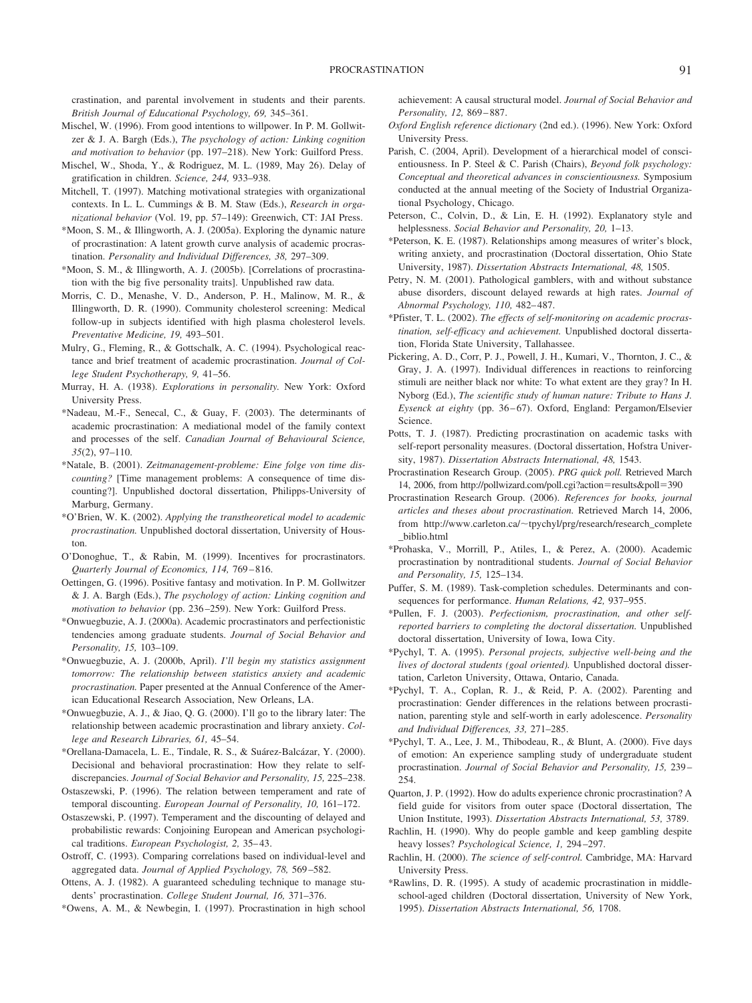crastination, and parental involvement in students and their parents. *British Journal of Educational Psychology, 69,* 345–361.

- Mischel, W. (1996). From good intentions to willpower. In P. M. Gollwitzer & J. A. Bargh (Eds.), *The psychology of action: Linking cognition and motivation to behavior* (pp. 197–218). New York: Guilford Press.
- Mischel, W., Shoda, Y., & Rodriguez, M. L. (1989, May 26). Delay of gratification in children. *Science, 244,* 933–938.
- Mitchell, T. (1997). Matching motivational strategies with organizational contexts. In L. L. Cummings & B. M. Staw (Eds.), *Research in organizational behavior* (Vol. 19, pp. 57–149): Greenwich, CT: JAI Press.
- \*Moon, S. M., & Illingworth, A. J. (2005a). Exploring the dynamic nature of procrastination: A latent growth curve analysis of academic procrastination. *Personality and Individual Differences, 38,* 297–309.
- \*Moon, S. M., & Illingworth, A. J. (2005b). [Correlations of procrastination with the big five personality traits]. Unpublished raw data.
- Morris, C. D., Menashe, V. D., Anderson, P. H., Malinow, M. R., & Illingworth, D. R. (1990). Community cholesterol screening: Medical follow-up in subjects identified with high plasma cholesterol levels. *Preventative Medicine, 19,* 493–501.
- Mulry, G., Fleming, R., & Gottschalk, A. C. (1994). Psychological reactance and brief treatment of academic procrastination. *Journal of College Student Psychotherapy, 9,* 41–56.
- Murray, H. A. (1938). *Explorations in personality.* New York: Oxford University Press.
- \*Nadeau, M.-F., Senecal, C., & Guay, F. (2003). The determinants of academic procrastination: A mediational model of the family context and processes of the self. *Canadian Journal of Behavioural Science, 35*(2), 97–110.
- \*Natale, B. (2001). *Zeitmanagement-probleme: Eine folge von time discounting?* [Time management problems: A consequence of time discounting?]. Unpublished doctoral dissertation, Philipps-University of Marburg, Germany.
- \*O'Brien, W. K. (2002). *Applying the transtheoretical model to academic procrastination.* Unpublished doctoral dissertation, University of Houston.
- O'Donoghue, T., & Rabin, M. (1999). Incentives for procrastinators. *Quarterly Journal of Economics, 114,* 769–816.
- Oettingen, G. (1996). Positive fantasy and motivation. In P. M. Gollwitzer & J. A. Bargh (Eds.), *The psychology of action: Linking cognition and motivation to behavior* (pp. 236–259). New York: Guilford Press.
- \*Onwuegbuzie, A. J. (2000a). Academic procrastinators and perfectionistic tendencies among graduate students. *Journal of Social Behavior and Personality, 15,* 103–109.
- \*Onwuegbuzie, A. J. (2000b, April). *I'll begin my statistics assignment tomorrow: The relationship between statistics anxiety and academic procrastination.* Paper presented at the Annual Conference of the American Educational Research Association, New Orleans, LA.
- \*Onwuegbuzie, A. J., & Jiao, Q. G. (2000). I'll go to the library later: The relationship between academic procrastination and library anxiety. *College and Research Libraries, 61,* 45–54.
- \*Orellana-Damacela, L. E., Tindale, R. S., & Suárez-Balcázar, Y. (2000). Decisional and behavioral procrastination: How they relate to selfdiscrepancies. *Journal of Social Behavior and Personality, 15,* 225–238.
- Ostaszewski, P. (1996). The relation between temperament and rate of temporal discounting. *European Journal of Personality, 10,* 161–172.
- Ostaszewski, P. (1997). Temperament and the discounting of delayed and probabilistic rewards: Conjoining European and American psychological traditions. *European Psychologist, 2,* 35–43.
- Ostroff, C. (1993). Comparing correlations based on individual-level and aggregated data. *Journal of Applied Psychology, 78,* 569–582.
- Ottens, A. J. (1982). A guaranteed scheduling technique to manage students' procrastination. *College Student Journal, 16,* 371–376.
- \*Owens, A. M., & Newbegin, I. (1997). Procrastination in high school

achievement: A causal structural model. *Journal of Social Behavior and Personality, 12,* 869–887.

- *Oxford English reference dictionary* (2nd ed.). (1996). New York: Oxford University Press.
- Parish, C. (2004, April). Development of a hierarchical model of conscientiousness. In P. Steel & C. Parish (Chairs), *Beyond folk psychology: Conceptual and theoretical advances in conscientiousness.* Symposium conducted at the annual meeting of the Society of Industrial Organizational Psychology, Chicago.
- Peterson, C., Colvin, D., & Lin, E. H. (1992). Explanatory style and helplessness. *Social Behavior and Personality, 20,* 1–13.
- \*Peterson, K. E. (1987). Relationships among measures of writer's block, writing anxiety, and procrastination (Doctoral dissertation, Ohio State University, 1987). *Dissertation Abstracts International, 48,* 1505.
- Petry, N. M. (2001). Pathological gamblers, with and without substance abuse disorders, discount delayed rewards at high rates. *Journal of Abnormal Psychology, 110,* 482–487.
- \*Pfister, T. L. (2002). *The effects of self-monitoring on academic procrastination, self-efficacy and achievement.* Unpublished doctoral dissertation, Florida State University, Tallahassee.
- Pickering, A. D., Corr, P. J., Powell, J. H., Kumari, V., Thornton, J. C., & Gray, J. A. (1997). Individual differences in reactions to reinforcing stimuli are neither black nor white: To what extent are they gray? In H. Nyborg (Ed.), *The scientific study of human nature: Tribute to Hans J. Eysenck at eighty* (pp. 36–67). Oxford, England: Pergamon/Elsevier Science.
- Potts, T. J. (1987). Predicting procrastination on academic tasks with self-report personality measures. (Doctoral dissertation, Hofstra University, 1987). *Dissertation Abstracts International, 48,* 1543.
- Procrastination Research Group. (2005). *PRG quick poll.* Retrieved March 14, 2006, from http://pollwizard.com/poll.cgi?action=results&poll=390
- Procrastination Research Group. (2006). *References for books, journal articles and theses about procrastination.* Retrieved March 14, 2006, from http://www.carleton.ca/~tpychyl/prg/research/research\_complete \_biblio.html
- \*Prohaska, V., Morrill, P., Atiles, I., & Perez, A. (2000). Academic procrastination by nontraditional students. *Journal of Social Behavior and Personality, 15,* 125–134.
- Puffer, S. M. (1989). Task-completion schedules. Determinants and consequences for performance. *Human Relations, 42,* 937–955.
- \*Pullen, F. J. (2003). *Perfectionism, procrastination, and other selfreported barriers to completing the doctoral dissertation.* Unpublished doctoral dissertation, University of Iowa, Iowa City.
- \*Pychyl, T. A. (1995). *Personal projects, subjective well-being and the lives of doctoral students (goal oriented).* Unpublished doctoral dissertation, Carleton University, Ottawa, Ontario, Canada.
- \*Pychyl, T. A., Coplan, R. J., & Reid, P. A. (2002). Parenting and procrastination: Gender differences in the relations between procrastination, parenting style and self-worth in early adolescence. *Personality and Individual Differences, 33,* 271–285.
- \*Pychyl, T. A., Lee, J. M., Thibodeau, R., & Blunt, A. (2000). Five days of emotion: An experience sampling study of undergraduate student procrastination. *Journal of Social Behavior and Personality, 15,* 239– 254.
- Quarton, J. P. (1992). How do adults experience chronic procrastination? A field guide for visitors from outer space (Doctoral dissertation, The Union Institute, 1993). *Dissertation Abstracts International, 53,* 3789.
- Rachlin, H. (1990). Why do people gamble and keep gambling despite heavy losses? *Psychological Science, 1,* 294–297.
- Rachlin, H. (2000). *The science of self-control.* Cambridge, MA: Harvard University Press.
- \*Rawlins, D. R. (1995). A study of academic procrastination in middleschool-aged children (Doctoral dissertation, University of New York, 1995). *Dissertation Abstracts International, 56,* 1708.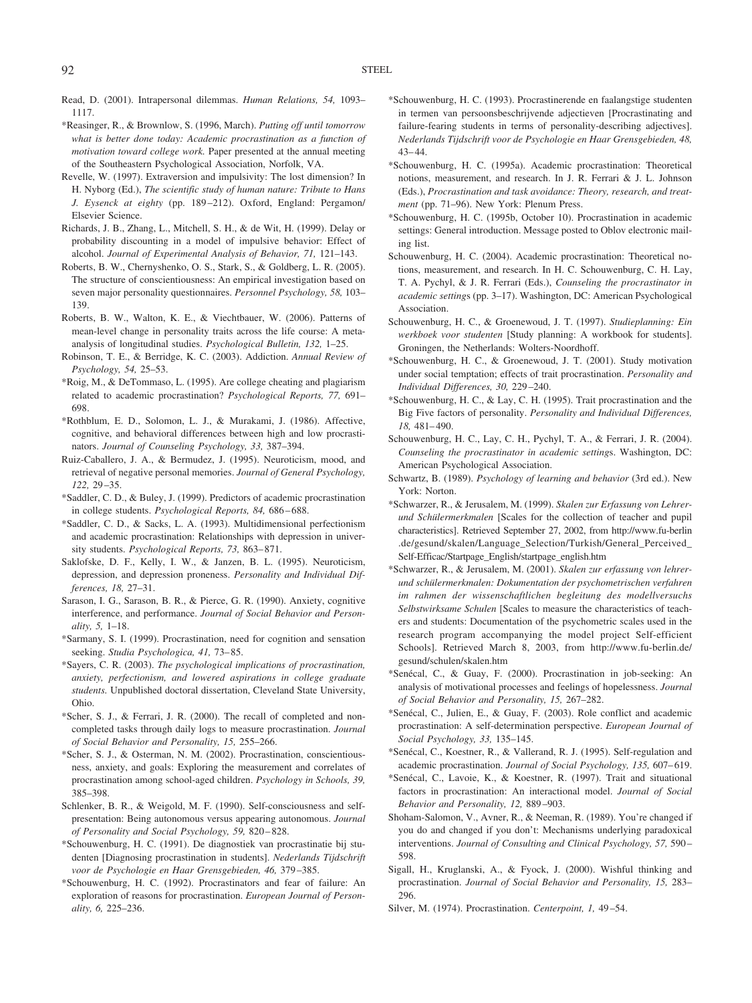- \*Reasinger, R., & Brownlow, S. (1996, March). *Putting off until tomorrow what is better done today: Academic procrastination as a function of motivation toward college work.* Paper presented at the annual meeting of the Southeastern Psychological Association, Norfolk, VA.
- Revelle, W. (1997). Extraversion and impulsivity: The lost dimension? In H. Nyborg (Ed.), *The scientific study of human nature: Tribute to Hans J. Eysenck at eighty* (pp. 189–212). Oxford, England: Pergamon/ Elsevier Science.
- Richards, J. B., Zhang, L., Mitchell, S. H., & de Wit, H. (1999). Delay or probability discounting in a model of impulsive behavior: Effect of alcohol. *Journal of Experimental Analysis of Behavior, 71,* 121–143.
- Roberts, B. W., Chernyshenko, O. S., Stark, S., & Goldberg, L. R. (2005). The structure of conscientiousness: An empirical investigation based on seven major personality questionnaires. *Personnel Psychology, 58,* 103– 139.
- Roberts, B. W., Walton, K. E., & Viechtbauer, W. (2006). Patterns of mean-level change in personality traits across the life course: A metaanalysis of longitudinal studies. *Psychological Bulletin, 132,* 1–25.
- Robinson, T. E., & Berridge, K. C. (2003). Addiction. *Annual Review of Psychology, 54,* 25–53.
- \*Roig, M., & DeTommaso, L. (1995). Are college cheating and plagiarism related to academic procrastination? *Psychological Reports, 77,* 691– 698.
- \*Rothblum, E. D., Solomon, L. J., & Murakami, J. (1986). Affective, cognitive, and behavioral differences between high and low procrastinators. *Journal of Counseling Psychology, 33,* 387–394.
- Ruiz-Caballero, J. A., & Bermudez, J. (1995). Neuroticism, mood, and retrieval of negative personal memories. *Journal of General Psychology, 122,* 29–35.
- \*Saddler, C. D., & Buley, J. (1999). Predictors of academic procrastination in college students. *Psychological Reports, 84,* 686–688.
- \*Saddler, C. D., & Sacks, L. A. (1993). Multidimensional perfectionism and academic procrastination: Relationships with depression in university students. *Psychological Reports, 73,* 863–871.
- Saklofske, D. F., Kelly, I. W., & Janzen, B. L. (1995). Neuroticism, depression, and depression proneness. *Personality and Individual Differences, 18,* 27–31.
- Sarason, I. G., Sarason, B. R., & Pierce, G. R. (1990). Anxiety, cognitive interference, and performance. *Journal of Social Behavior and Personality, 5,* 1–18.
- \*Sarmany, S. I. (1999). Procrastination, need for cognition and sensation seeking. *Studia Psychologica, 41,* 73–85.
- \*Sayers, C. R. (2003). *The psychological implications of procrastination, anxiety, perfectionism, and lowered aspirations in college graduate students.* Unpublished doctoral dissertation, Cleveland State University, Ohio.
- \*Scher, S. J., & Ferrari, J. R. (2000). The recall of completed and noncompleted tasks through daily logs to measure procrastination. *Journal of Social Behavior and Personality, 15,* 255–266.
- \*Scher, S. J., & Osterman, N. M. (2002). Procrastination, conscientiousness, anxiety, and goals: Exploring the measurement and correlates of procrastination among school-aged children. *Psychology in Schools, 39,* 385–398.
- Schlenker, B. R., & Weigold, M. F. (1990). Self-consciousness and selfpresentation: Being autonomous versus appearing autonomous. *Journal of Personality and Social Psychology, 59,* 820–828.
- \*Schouwenburg, H. C. (1991). De diagnostiek van procrastinatie bij studenten [Diagnosing procrastination in students]. *Nederlands Tijdschrift voor de Psychologie en Haar Grensgebieden, 46,* 379–385.
- \*Schouwenburg, H. C. (1992). Procrastinators and fear of failure: An exploration of reasons for procrastination. *European Journal of Personality, 6,* 225–236.
- \*Schouwenburg, H. C. (1993). Procrastinerende en faalangstige studenten in termen van persoonsbeschrijvende adjectieven [Procrastinating and failure-fearing students in terms of personality-describing adjectives]. *Nederlands Tijdschrift voor de Psychologie en Haar Grensgebieden, 48,* 43–44.
- \*Schouwenburg, H. C. (1995a). Academic procrastination: Theoretical notions, measurement, and research. In J. R. Ferrari & J. L. Johnson (Eds.), *Procrastination and task avoidance: Theory, research, and treatment* (pp. 71–96). New York: Plenum Press.
- \*Schouwenburg, H. C. (1995b, October 10). Procrastination in academic settings: General introduction. Message posted to Oblov electronic mailing list.
- Schouwenburg, H. C. (2004). Academic procrastination: Theoretical notions, measurement, and research. In H. C. Schouwenburg, C. H. Lay, T. A. Pychyl, & J. R. Ferrari (Eds.), *Counseling the procrastinator in academic setting*s (pp. 3–17). Washington, DC: American Psychological Association.
- Schouwenburg, H. C., & Groenewoud, J. T. (1997). *Studieplanning: Ein werkboek voor studenten* [Study planning: A workbook for students]. Groningen, the Netherlands: Wolters-Noordhoff.
- \*Schouwenburg, H. C., & Groenewoud, J. T. (2001). Study motivation under social temptation; effects of trait procrastination. *Personality and Individual Differences, 30,* 229–240.
- \*Schouwenburg, H. C., & Lay, C. H. (1995). Trait procrastination and the Big Five factors of personality. *Personality and Individual Differences, 18,* 481–490.
- Schouwenburg, H. C., Lay, C. H., Pychyl, T. A., & Ferrari, J. R. (2004). *Counseling the procrastinator in academic setting*s. Washington, DC: American Psychological Association.
- Schwartz, B. (1989). *Psychology of learning and behavior* (3rd ed.). New York: Norton.
- \*Schwarzer, R., & Jerusalem, M. (1999). *Skalen zur Erfassung von Lehrer*und Schülermerkmalen [Scales for the collection of teacher and pupil characteristics]. Retrieved September 27, 2002, from http://www.fu-berlin .de/gesund/skalen/Language\_Selection/Turkish/General\_Perceived\_ Self-Efficac/Startpage\_English/startpage\_english.htm
- \*Schwarzer, R., & Jerusalem, M. (2001). *Skalen zur erfassung von lehrerund schu¨lermerkmalen: Dokumentation der psychometrischen verfahren im rahmen der wissenschaftlichen begleitung des modellversuchs Selbstwirksame Schulen* [Scales to measure the characteristics of teachers and students: Documentation of the psychometric scales used in the research program accompanying the model project Self-efficient Schools]. Retrieved March 8, 2003, from http://www.fu-berlin.de/ gesund/schulen/skalen.htm
- \*Senécal, C., & Guay, F. (2000). Procrastination in job-seeking: An analysis of motivational processes and feelings of hopelessness. *Journal of Social Behavior and Personality, 15,* 267–282.
- \*Senécal, C., Julien, E., & Guay, F. (2003). Role conflict and academic procrastination: A self-determination perspective. *European Journal of Social Psychology, 33,* 135–145.
- \*Senécal, C., Koestner, R., & Vallerand, R. J. (1995). Self-regulation and academic procrastination. *Journal of Social Psychology, 135,* 607–619.
- \*Senécal, C., Lavoie, K., & Koestner, R. (1997). Trait and situational factors in procrastination: An interactional model. *Journal of Social Behavior and Personality, 12,* 889–903.
- Shoham-Salomon, V., Avner, R., & Neeman, R. (1989). You're changed if you do and changed if you don't: Mechanisms underlying paradoxical interventions. *Journal of Consulting and Clinical Psychology, 57,* 590– 598.
- Sigall, H., Kruglanski, A., & Fyock, J. (2000). Wishful thinking and procrastination. *Journal of Social Behavior and Personality, 15,* 283– 296.
- Silver, M. (1974). Procrastination. *Centerpoint, 1,* 49–54.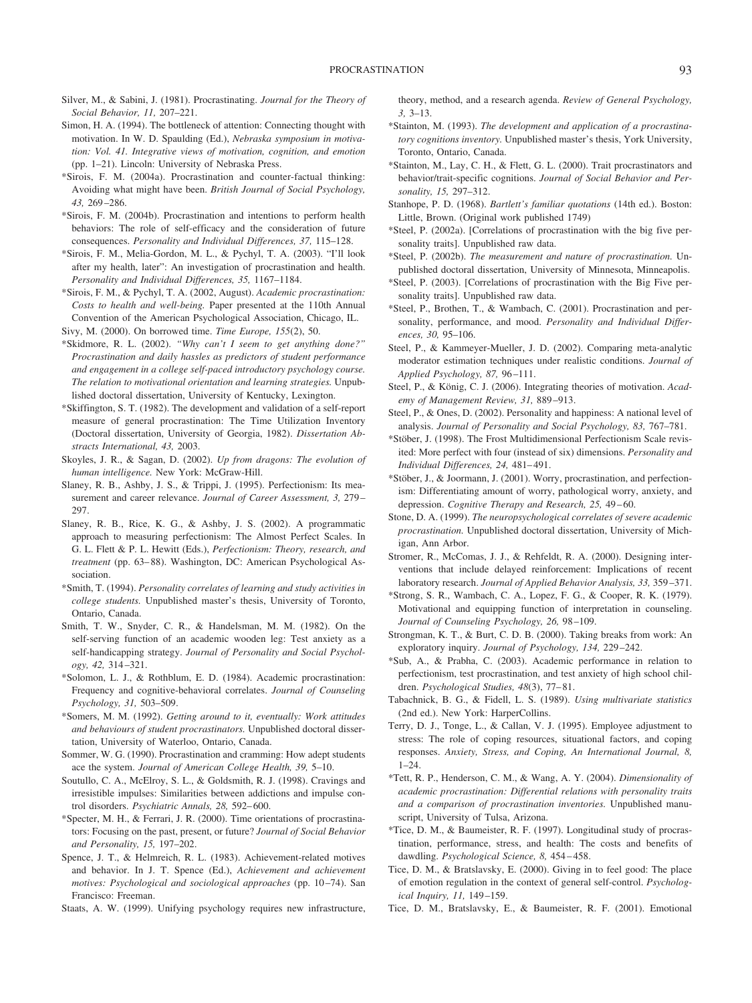- Silver, M., & Sabini, J. (1981). Procrastinating. *Journal for the Theory of Social Behavior, 11,* 207–221.
- Simon, H. A. (1994). The bottleneck of attention: Connecting thought with motivation. In W. D. Spaulding (Ed.), *Nebraska symposium in motivation: Vol. 41. Integrative views of motivation, cognition, and emotion* (pp. 1–21). Lincoln: University of Nebraska Press.
- \*Sirois, F. M. (2004a). Procrastination and counter-factual thinking: Avoiding what might have been. *British Journal of Social Psychology, 43,* 269–286.
- \*Sirois, F. M. (2004b). Procrastination and intentions to perform health behaviors: The role of self-efficacy and the consideration of future consequences. *Personality and Individual Differences, 37,* 115–128.
- \*Sirois, F. M., Melia-Gordon, M. L., & Pychyl, T. A. (2003). "I'll look after my health, later": An investigation of procrastination and health. *Personality and Individual Differences, 35,* 1167–1184.
- \*Sirois, F. M., & Pychyl, T. A. (2002, August). *Academic procrastination: Costs to health and well-being.* Paper presented at the 110th Annual Convention of the American Psychological Association, Chicago, IL.
- Sivy, M. (2000). On borrowed time. *Time Europe, 155*(2), 50. \*Skidmore, R. L. (2002). *"Why can't I seem to get anything done?" Procrastination and daily hassles as predictors of student performance and engagement in a college self-paced introductory psychology course. The relation to motivational orientation and learning strategies.* Unpublished doctoral dissertation, University of Kentucky, Lexington.
- \*Skiffington, S. T. (1982). The development and validation of a self-report measure of general procrastination: The Time Utilization Inventory (Doctoral dissertation, University of Georgia, 1982). *Dissertation Abstracts International, 43,* 2003.
- Skoyles, J. R., & Sagan, D. (2002). *Up from dragons: The evolution of human intelligence.* New York: McGraw-Hill.
- Slaney, R. B., Ashby, J. S., & Trippi, J. (1995). Perfectionism: Its measurement and career relevance. *Journal of Career Assessment, 3,* 279– 297.
- Slaney, R. B., Rice, K. G., & Ashby, J. S. (2002). A programmatic approach to measuring perfectionism: The Almost Perfect Scales. In G. L. Flett & P. L. Hewitt (Eds.), *Perfectionism: Theory, research, and treatment* (pp. 63–88). Washington, DC: American Psychological Association.
- \*Smith, T. (1994). *Personality correlates of learning and study activities in college students.* Unpublished master's thesis, University of Toronto, Ontario, Canada.
- Smith, T. W., Snyder, C. R., & Handelsman, M. M. (1982). On the self-serving function of an academic wooden leg: Test anxiety as a self-handicapping strategy. *Journal of Personality and Social Psychology, 42,* 314–321.
- \*Solomon, L. J., & Rothblum, E. D. (1984). Academic procrastination: Frequency and cognitive-behavioral correlates. *Journal of Counseling Psychology, 31,* 503–509.
- \*Somers, M. M. (1992). *Getting around to it, eventually: Work attitudes and behaviours of student procrastinators.* Unpublished doctoral dissertation, University of Waterloo, Ontario, Canada.
- Sommer, W. G. (1990). Procrastination and cramming: How adept students ace the system. *Journal of American College Health, 39,* 5–10.
- Soutullo, C. A., McElroy, S. L., & Goldsmith, R. J. (1998). Cravings and irresistible impulses: Similarities between addictions and impulse control disorders. *Psychiatric Annals, 28,* 592–600.
- \*Specter, M. H., & Ferrari, J. R. (2000). Time orientations of procrastinators: Focusing on the past, present, or future? *Journal of Social Behavior and Personality, 15,* 197–202.
- Spence, J. T., & Helmreich, R. L. (1983). Achievement-related motives and behavior. In J. T. Spence (Ed.), *Achievement and achievement motives: Psychological and sociological approaches* (pp. 10–74). San Francisco: Freeman.
- Staats, A. W. (1999). Unifying psychology requires new infrastructure,

theory, method, and a research agenda. *Review of General Psychology, 3,* 3–13.

- \*Stainton, M. (1993). *The development and application of a procrastinatory cognitions inventory.* Unpublished master's thesis, York University, Toronto, Ontario, Canada.
- \*Stainton, M., Lay, C. H., & Flett, G. L. (2000). Trait procrastinators and behavior/trait-specific cognitions. *Journal of Social Behavior and Personality, 15,* 297–312.
- Stanhope, P. D. (1968). *Bartlett's familiar quotations* (14th ed.). Boston: Little, Brown. (Original work published 1749)
- \*Steel, P. (2002a). [Correlations of procrastination with the big five personality traits]. Unpublished raw data.
- \*Steel, P. (2002b). *The measurement and nature of procrastination.* Unpublished doctoral dissertation, University of Minnesota, Minneapolis.
- \*Steel, P. (2003). [Correlations of procrastination with the Big Five personality traits]. Unpublished raw data.
- \*Steel, P., Brothen, T., & Wambach, C. (2001). Procrastination and personality, performance, and mood. *Personality and Individual Differences, 30,* 95–106.
- Steel, P., & Kammeyer-Mueller, J. D. (2002). Comparing meta-analytic moderator estimation techniques under realistic conditions. *Journal of Applied Psychology, 87,* 96–111.
- Steel, P., & König, C. J. (2006). Integrating theories of motivation. *Academy of Management Review, 31,* 889–913.
- Steel, P., & Ones, D. (2002). Personality and happiness: A national level of analysis. *Journal of Personality and Social Psychology, 83,* 767–781.
- \*Stöber, J. (1998). The Frost Multidimensional Perfectionism Scale revisited: More perfect with four (instead of six) dimensions. *Personality and Individual Differences, 24,* 481–491.
- \*Stöber, J., & Joormann, J. (2001). Worry, procrastination, and perfectionism: Differentiating amount of worry, pathological worry, anxiety, and depression. *Cognitive Therapy and Research, 25,* 49–60.
- Stone, D. A. (1999). *The neuropsychological correlates of severe academic procrastination.* Unpublished doctoral dissertation, University of Michigan, Ann Arbor.
- Stromer, R., McComas, J. J., & Rehfeldt, R. A. (2000). Designing interventions that include delayed reinforcement: Implications of recent laboratory research. *Journal of Applied Behavior Analysis, 33,* 359–371.
- \*Strong, S. R., Wambach, C. A., Lopez, F. G., & Cooper, R. K. (1979). Motivational and equipping function of interpretation in counseling. *Journal of Counseling Psychology, 26,* 98–109.
- Strongman, K. T., & Burt, C. D. B. (2000). Taking breaks from work: An exploratory inquiry. *Journal of Psychology, 134,* 229–242.
- \*Sub, A., & Prabha, C. (2003). Academic performance in relation to perfectionism, test procrastination, and test anxiety of high school children. *Psychological Studies, 48*(3), 77–81.
- Tabachnick, B. G., & Fidell, L. S. (1989). *Using multivariate statistics* (2nd ed.). New York: HarperCollins.
- Terry, D. J., Tonge, L., & Callan, V. J. (1995). Employee adjustment to stress: The role of coping resources, situational factors, and coping responses. *Anxiety, Stress, and Coping, An International Journal, 8,* 1–24.
- \*Tett, R. P., Henderson, C. M., & Wang, A. Y. (2004). *Dimensionality of academic procrastination: Differential relations with personality traits and a comparison of procrastination inventories.* Unpublished manuscript, University of Tulsa, Arizona.
- \*Tice, D. M., & Baumeister, R. F. (1997). Longitudinal study of procrastination, performance, stress, and health: The costs and benefits of dawdling. *Psychological Science, 8,* 454–458.
- Tice, D. M., & Bratslavsky, E. (2000). Giving in to feel good: The place of emotion regulation in the context of general self-control. *Psychological Inquiry, 11,* 149–159.
- Tice, D. M., Bratslavsky, E., & Baumeister, R. F. (2001). Emotional